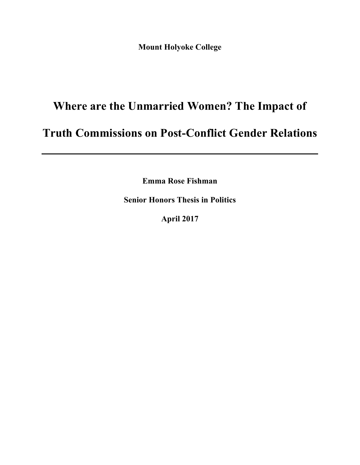**Mount Holyoke College**

# **Where are the Unmarried Women? The Impact of**

## **Truth Commissions on Post-Conflict Gender Relations**

**Emma Rose Fishman**

**Senior Honors Thesis in Politics**

**April 2017**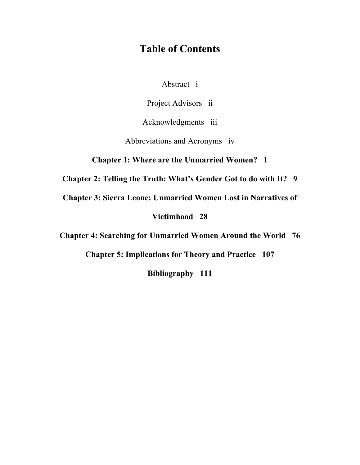## **Table of Contents**

Abstract i

Project Advisors ii

Acknowledgments iii

Abbreviations and Acronyms iv

**Chapter 1: Where are the Unmarried Women? 1**

**Chapter 2: Telling the Truth: What's Gender Got to do with It? 9**

**Chapter 3: Sierra Leone: Unmarried Women Lost in Narratives of** 

**Victimhood 28**

**Chapter 4: Searching for Unmarried Women Around the World 76**

**Chapter 5: Implications for Theory and Practice 107**

**Bibliography 111**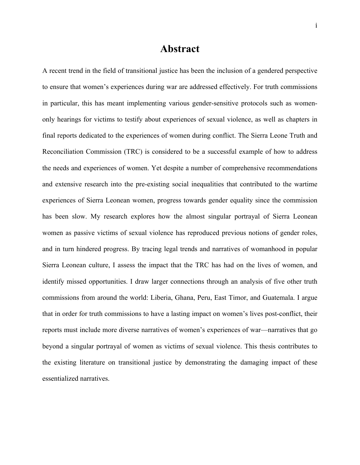### **Abstract**

A recent trend in the field of transitional justice has been the inclusion of a gendered perspective to ensure that women's experiences during war are addressed effectively. For truth commissions in particular, this has meant implementing various gender-sensitive protocols such as womenonly hearings for victims to testify about experiences of sexual violence, as well as chapters in final reports dedicated to the experiences of women during conflict. The Sierra Leone Truth and Reconciliation Commission (TRC) is considered to be a successful example of how to address the needs and experiences of women. Yet despite a number of comprehensive recommendations and extensive research into the pre-existing social inequalities that contributed to the wartime experiences of Sierra Leonean women, progress towards gender equality since the commission has been slow. My research explores how the almost singular portrayal of Sierra Leonean women as passive victims of sexual violence has reproduced previous notions of gender roles, and in turn hindered progress. By tracing legal trends and narratives of womanhood in popular Sierra Leonean culture, I assess the impact that the TRC has had on the lives of women, and identify missed opportunities. I draw larger connections through an analysis of five other truth commissions from around the world: Liberia, Ghana, Peru, East Timor, and Guatemala. I argue that in order for truth commissions to have a lasting impact on women's lives post-conflict, their reports must include more diverse narratives of women's experiences of war—narratives that go beyond a singular portrayal of women as victims of sexual violence. This thesis contributes to the existing literature on transitional justice by demonstrating the damaging impact of these essentialized narratives.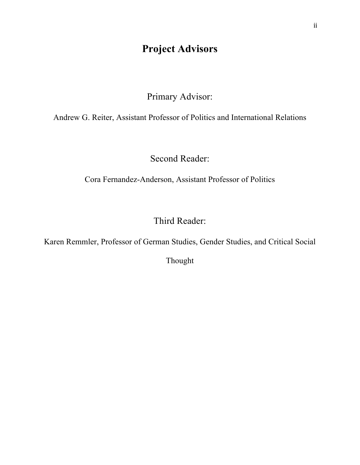## **Project Advisors**

Primary Advisor:

Andrew G. Reiter, Assistant Professor of Politics and International Relations

Second Reader:

Cora Fernandez-Anderson, Assistant Professor of Politics

Third Reader:

Karen Remmler, Professor of German Studies, Gender Studies, and Critical Social

Thought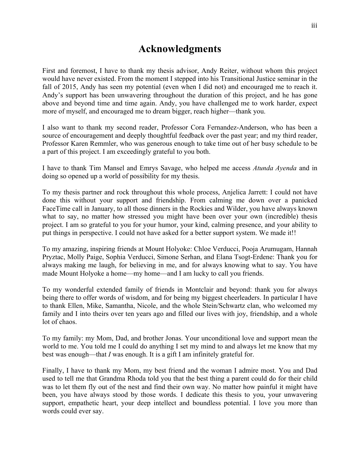## **Acknowledgments**

First and foremost, I have to thank my thesis advisor, Andy Reiter, without whom this project would have never existed. From the moment I stepped into his Transitional Justice seminar in the fall of 2015, Andy has seen my potential (even when I did not) and encouraged me to reach it. Andy's support has been unwavering throughout the duration of this project, and he has gone above and beyond time and time again. Andy, you have challenged me to work harder, expect more of myself, and encouraged me to dream bigger, reach higher—thank you.

I also want to thank my second reader, Professor Cora Fernandez-Anderson, who has been a source of encouragement and deeply thoughtful feedback over the past year; and my third reader, Professor Karen Remmler, who was generous enough to take time out of her busy schedule to be a part of this project. I am exceedingly grateful to you both.

I have to thank Tim Mansel and Emrys Savage, who helped me access *Atunda Ayenda* and in doing so opened up a world of possibility for my thesis.

To my thesis partner and rock throughout this whole process, Anjelica Jarrett: I could not have done this without your support and friendship. From calming me down over a panicked FaceTime call in January, to all those dinners in the Rockies and Wilder, you have always known what to say, no matter how stressed you might have been over your own (incredible) thesis project. I am so grateful to you for your humor, your kind, calming presence, and your ability to put things in perspective. I could not have asked for a better support system. We made it!!

To my amazing, inspiring friends at Mount Holyoke: Chloe Verducci, Pooja Arumugam, Hannah Pryztac, Molly Paige, Sophia Verducci, Simone Serhan, and Elana Tsogt-Erdene: Thank you for always making me laugh, for believing in me, and for always knowing what to say. You have made Mount Holyoke a home—my home—and I am lucky to call you friends.

To my wonderful extended family of friends in Montclair and beyond: thank you for always being there to offer words of wisdom, and for being my biggest cheerleaders. In particular I have to thank Ellen, Mike, Samantha, Nicole, and the whole Stein/Schwartz clan, who welcomed my family and I into theirs over ten years ago and filled our lives with joy, friendship, and a whole lot of chaos.

To my family: my Mom, Dad, and brother Jonas. Your unconditional love and support mean the world to me. You told me I could do anything I set my mind to and always let me know that my best was enough—that *I* was enough. It is a gift I am infinitely grateful for.

Finally, I have to thank my Mom, my best friend and the woman I admire most. You and Dad used to tell me that Grandma Rhoda told you that the best thing a parent could do for their child was to let them fly out of the nest and find their own way. No matter how painful it might have been, you have always stood by those words. I dedicate this thesis to you, your unwavering support, empathetic heart, your deep intellect and boundless potential. I love you more than words could ever say.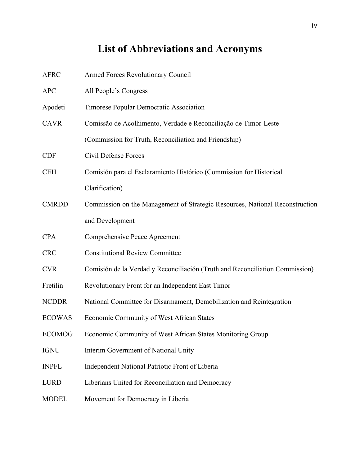## **List of Abbreviations and Acronyms**

| <b>AFRC</b>   | <b>Armed Forces Revolutionary Council</b>                                    |
|---------------|------------------------------------------------------------------------------|
| <b>APC</b>    | All People's Congress                                                        |
| Apodeti       | Timorese Popular Democratic Association                                      |
| <b>CAVR</b>   | Comissão de Acolhimento, Verdade e Reconciliação de Timor-Leste              |
|               | (Commission for Truth, Reconciliation and Friendship)                        |
| <b>CDF</b>    | Civil Defense Forces                                                         |
| <b>CEH</b>    | Comisión para el Esclaramiento Histórico (Commission for Historical          |
|               | Clarification)                                                               |
| <b>CMRDD</b>  | Commission on the Management of Strategic Resources, National Reconstruction |
|               | and Development                                                              |
| <b>CPA</b>    | Comprehensive Peace Agreement                                                |
| <b>CRC</b>    | <b>Constitutional Review Committee</b>                                       |
| <b>CVR</b>    | Comisión de la Verdad y Reconciliación (Truth and Reconciliation Commission) |
| Fretilin      | Revolutionary Front for an Independent East Timor                            |
| <b>NCDDR</b>  | National Committee for Disarmament, Demobilization and Reintegration         |
| <b>ECOWAS</b> | Economic Community of West African States                                    |
| <b>ECOMOG</b> | Economic Community of West African States Monitoring Group                   |
| <b>IGNU</b>   | Interim Government of National Unity                                         |
| <b>INPFL</b>  | Independent National Patriotic Front of Liberia                              |
| <b>LURD</b>   | Liberians United for Reconciliation and Democracy                            |
| <b>MODEL</b>  | Movement for Democracy in Liberia                                            |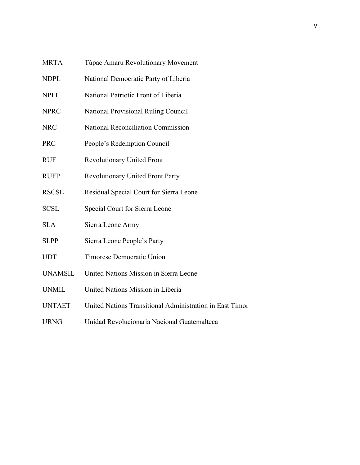| <b>MRTA</b>    | Túpac Amaru Revolutionary Movement                       |
|----------------|----------------------------------------------------------|
| <b>NDPL</b>    | National Democratic Party of Liberia                     |
| <b>NPFL</b>    | National Patriotic Front of Liberia                      |
| <b>NPRC</b>    | National Provisional Ruling Council                      |
| <b>NRC</b>     | <b>National Reconciliation Commission</b>                |
| <b>PRC</b>     | People's Redemption Council                              |
| <b>RUF</b>     | <b>Revolutionary United Front</b>                        |
| <b>RUFP</b>    | <b>Revolutionary United Front Party</b>                  |
| <b>RSCSL</b>   | Residual Special Court for Sierra Leone                  |
| <b>SCSL</b>    | Special Court for Sierra Leone                           |
| <b>SLA</b>     | Sierra Leone Army                                        |
| <b>SLPP</b>    | Sierra Leone People's Party                              |
| <b>UDT</b>     | Timorese Democratic Union                                |
| <b>UNAMSIL</b> | United Nations Mission in Sierra Leone                   |
| <b>UNMIL</b>   | United Nations Mission in Liberia                        |
| <b>UNTAET</b>  | United Nations Transitional Administration in East Timor |
| <b>URNG</b>    | Unidad Revolucionaria Nacional Guatemalteca              |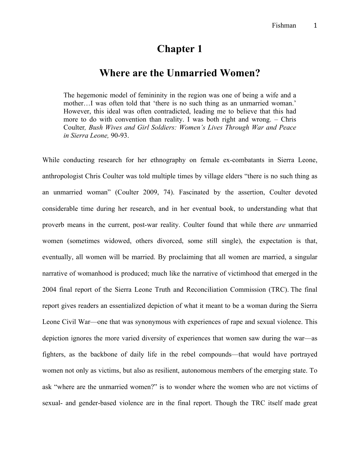## **Chapter 1**

### **Where are the Unmarried Women?**

The hegemonic model of femininity in the region was one of being a wife and a mother…I was often told that 'there is no such thing as an unmarried woman.' However, this ideal was often contradicted, leading me to believe that this had more to do with convention than reality. I was both right and wrong. – Chris Coulter*, Bush Wives and Girl Soldiers: Women's Lives Through War and Peace in Sierra Leone,* 90-93.

While conducting research for her ethnography on female ex-combatants in Sierra Leone, anthropologist Chris Coulter was told multiple times by village elders "there is no such thing as an unmarried woman" (Coulter 2009, 74). Fascinated by the assertion, Coulter devoted considerable time during her research, and in her eventual book, to understanding what that proverb means in the current, post-war reality. Coulter found that while there *are* unmarried women (sometimes widowed, others divorced, some still single), the expectation is that, eventually, all women will be married. By proclaiming that all women are married, a singular narrative of womanhood is produced; much like the narrative of victimhood that emerged in the 2004 final report of the Sierra Leone Truth and Reconciliation Commission (TRC). The final report gives readers an essentialized depiction of what it meant to be a woman during the Sierra Leone Civil War—one that was synonymous with experiences of rape and sexual violence. This depiction ignores the more varied diversity of experiences that women saw during the war—as fighters, as the backbone of daily life in the rebel compounds—that would have portrayed women not only as victims, but also as resilient, autonomous members of the emerging state. To ask "where are the unmarried women?" is to wonder where the women who are not victims of sexual- and gender-based violence are in the final report. Though the TRC itself made great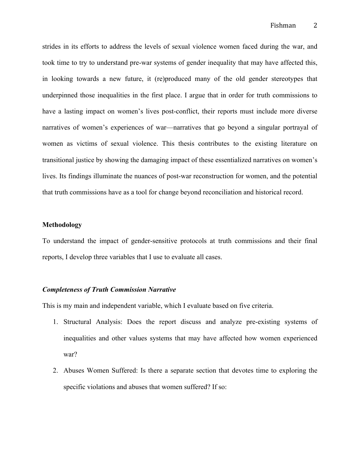strides in its efforts to address the levels of sexual violence women faced during the war, and took time to try to understand pre-war systems of gender inequality that may have affected this, in looking towards a new future, it (re)produced many of the old gender stereotypes that underpinned those inequalities in the first place. I argue that in order for truth commissions to have a lasting impact on women's lives post-conflict, their reports must include more diverse narratives of women's experiences of war—narratives that go beyond a singular portrayal of women as victims of sexual violence. This thesis contributes to the existing literature on transitional justice by showing the damaging impact of these essentialized narratives on women's lives. Its findings illuminate the nuances of post-war reconstruction for women, and the potential that truth commissions have as a tool for change beyond reconciliation and historical record.

#### **Methodology**

To understand the impact of gender-sensitive protocols at truth commissions and their final reports, I develop three variables that I use to evaluate all cases.

#### *Completeness of Truth Commission Narrative*

This is my main and independent variable, which I evaluate based on five criteria.

- 1. Structural Analysis: Does the report discuss and analyze pre-existing systems of inequalities and other values systems that may have affected how women experienced war?
- 2. Abuses Women Suffered: Is there a separate section that devotes time to exploring the specific violations and abuses that women suffered? If so: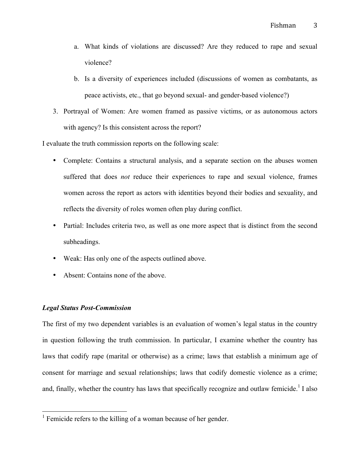- a. What kinds of violations are discussed? Are they reduced to rape and sexual violence?
- b. Is a diversity of experiences included (discussions of women as combatants, as peace activists, etc., that go beyond sexual- and gender-based violence?)
- 3. Portrayal of Women: Are women framed as passive victims, or as autonomous actors with agency? Is this consistent across the report?

I evaluate the truth commission reports on the following scale:

- Complete: Contains a structural analysis, and a separate section on the abuses women suffered that does *not* reduce their experiences to rape and sexual violence, frames women across the report as actors with identities beyond their bodies and sexuality, and reflects the diversity of roles women often play during conflict.
- Partial: Includes criteria two, as well as one more aspect that is distinct from the second subheadings.
- Weak: Has only one of the aspects outlined above.
- Absent: Contains none of the above.

#### *Legal Status Post-Commission*

The first of my two dependent variables is an evaluation of women's legal status in the country in question following the truth commission. In particular, I examine whether the country has laws that codify rape (marital or otherwise) as a crime; laws that establish a minimum age of consent for marriage and sexual relationships; laws that codify domestic violence as a crime; and, finally, whether the country has laws that specifically recognize and outlaw femicide.<sup>1</sup> I also

<sup>&</sup>lt;sup>1</sup> Femicide refers to the killing of a woman because of her gender.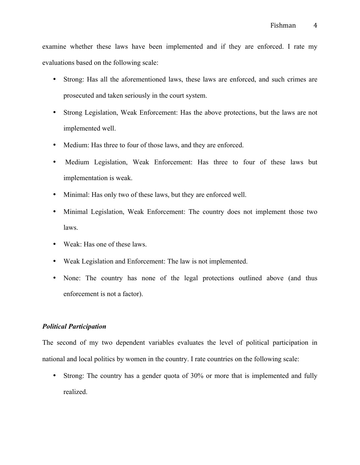examine whether these laws have been implemented and if they are enforced. I rate my evaluations based on the following scale:

- Strong: Has all the aforementioned laws, these laws are enforced, and such crimes are prosecuted and taken seriously in the court system.
- Strong Legislation, Weak Enforcement: Has the above protections, but the laws are not implemented well.
- Medium: Has three to four of those laws, and they are enforced.
- Medium Legislation, Weak Enforcement: Has three to four of these laws but implementation is weak.
- Minimal: Has only two of these laws, but they are enforced well.
- Minimal Legislation, Weak Enforcement: The country does not implement those two laws.
- Weak: Has one of these laws.
- Weak Legislation and Enforcement: The law is not implemented.
- None: The country has none of the legal protections outlined above (and thus enforcement is not a factor).

#### *Political Participation*

The second of my two dependent variables evaluates the level of political participation in national and local politics by women in the country. I rate countries on the following scale:

• Strong: The country has a gender quota of 30% or more that is implemented and fully realized.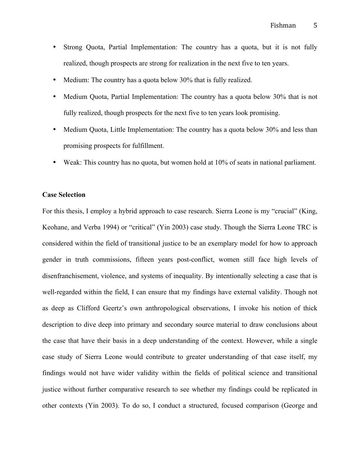- Strong Quota, Partial Implementation: The country has a quota, but it is not fully realized, though prospects are strong for realization in the next five to ten years.
- Medium: The country has a quota below 30% that is fully realized.
- Medium Quota, Partial Implementation: The country has a quota below 30% that is not fully realized, though prospects for the next five to ten years look promising.
- Medium Quota, Little Implementation: The country has a quota below 30% and less than promising prospects for fulfillment.
- Weak: This country has no quota, but women hold at 10% of seats in national parliament.

#### **Case Selection**

For this thesis, I employ a hybrid approach to case research. Sierra Leone is my "crucial" (King, Keohane, and Verba 1994) or "critical" (Yin 2003) case study. Though the Sierra Leone TRC is considered within the field of transitional justice to be an exemplary model for how to approach gender in truth commissions, fifteen years post-conflict, women still face high levels of disenfranchisement, violence, and systems of inequality. By intentionally selecting a case that is well-regarded within the field, I can ensure that my findings have external validity. Though not as deep as Clifford Geertz's own anthropological observations, I invoke his notion of thick description to dive deep into primary and secondary source material to draw conclusions about the case that have their basis in a deep understanding of the context. However, while a single case study of Sierra Leone would contribute to greater understanding of that case itself, my findings would not have wider validity within the fields of political science and transitional justice without further comparative research to see whether my findings could be replicated in other contexts (Yin 2003). To do so, I conduct a structured, focused comparison (George and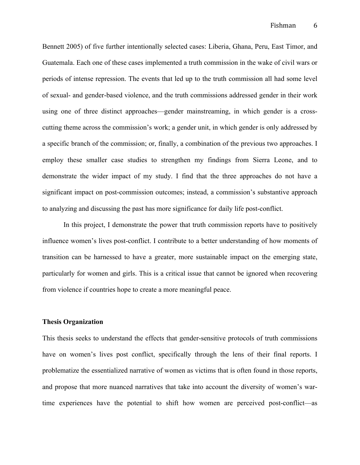Bennett 2005) of five further intentionally selected cases: Liberia, Ghana, Peru, East Timor, and Guatemala. Each one of these cases implemented a truth commission in the wake of civil wars or periods of intense repression. The events that led up to the truth commission all had some level of sexual- and gender-based violence, and the truth commissions addressed gender in their work using one of three distinct approaches—gender mainstreaming, in which gender is a crosscutting theme across the commission's work; a gender unit, in which gender is only addressed by a specific branch of the commission; or, finally, a combination of the previous two approaches. I employ these smaller case studies to strengthen my findings from Sierra Leone, and to demonstrate the wider impact of my study. I find that the three approaches do not have a significant impact on post-commission outcomes; instead, a commission's substantive approach to analyzing and discussing the past has more significance for daily life post-conflict.

In this project, I demonstrate the power that truth commission reports have to positively influence women's lives post-conflict. I contribute to a better understanding of how moments of transition can be harnessed to have a greater, more sustainable impact on the emerging state, particularly for women and girls. This is a critical issue that cannot be ignored when recovering from violence if countries hope to create a more meaningful peace.

#### **Thesis Organization**

This thesis seeks to understand the effects that gender-sensitive protocols of truth commissions have on women's lives post conflict, specifically through the lens of their final reports. I problematize the essentialized narrative of women as victims that is often found in those reports, and propose that more nuanced narratives that take into account the diversity of women's wartime experiences have the potential to shift how women are perceived post-conflict—as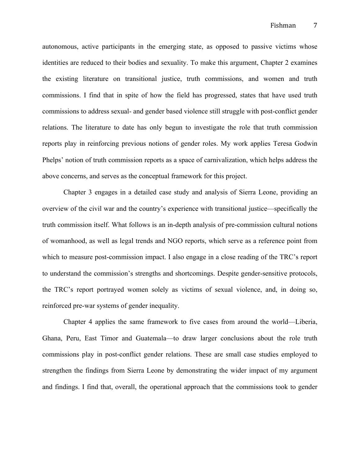autonomous, active participants in the emerging state, as opposed to passive victims whose identities are reduced to their bodies and sexuality. To make this argument, Chapter 2 examines the existing literature on transitional justice, truth commissions, and women and truth commissions. I find that in spite of how the field has progressed, states that have used truth commissions to address sexual- and gender based violence still struggle with post-conflict gender relations. The literature to date has only begun to investigate the role that truth commission reports play in reinforcing previous notions of gender roles. My work applies Teresa Godwin Phelps' notion of truth commission reports as a space of carnivalization, which helps address the above concerns, and serves as the conceptual framework for this project.

Chapter 3 engages in a detailed case study and analysis of Sierra Leone, providing an overview of the civil war and the country's experience with transitional justice—specifically the truth commission itself. What follows is an in-depth analysis of pre-commission cultural notions of womanhood, as well as legal trends and NGO reports, which serve as a reference point from which to measure post-commission impact. I also engage in a close reading of the TRC's report to understand the commission's strengths and shortcomings. Despite gender-sensitive protocols, the TRC's report portrayed women solely as victims of sexual violence, and, in doing so, reinforced pre-war systems of gender inequality.

Chapter 4 applies the same framework to five cases from around the world—Liberia, Ghana, Peru, East Timor and Guatemala—to draw larger conclusions about the role truth commissions play in post-conflict gender relations. These are small case studies employed to strengthen the findings from Sierra Leone by demonstrating the wider impact of my argument and findings. I find that, overall, the operational approach that the commissions took to gender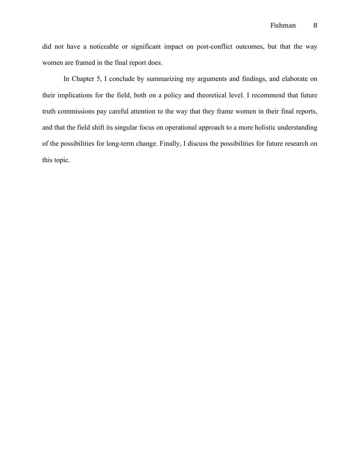did not have a noticeable or significant impact on post-conflict outcomes, but that the way women are framed in the final report does.

In Chapter 5, I conclude by summarizing my arguments and findings, and elaborate on their implications for the field, both on a policy and theoretical level. I recommend that future truth commissions pay careful attention to the way that they frame women in their final reports, and that the field shift its singular focus on operational approach to a more holistic understanding of the possibilities for long-term change. Finally, I discuss the possibilities for future research on this topic.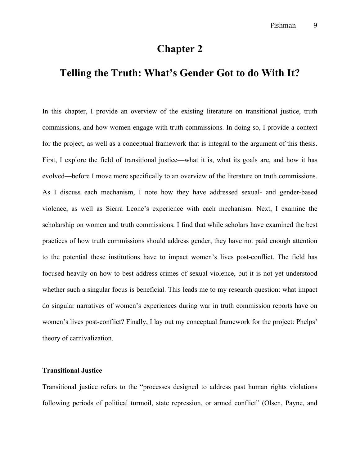## **Chapter 2**

## **Telling the Truth: What's Gender Got to do With It?**

In this chapter, I provide an overview of the existing literature on transitional justice, truth commissions, and how women engage with truth commissions. In doing so, I provide a context for the project, as well as a conceptual framework that is integral to the argument of this thesis. First, I explore the field of transitional justice—what it is, what its goals are, and how it has evolved—before I move more specifically to an overview of the literature on truth commissions. As I discuss each mechanism, I note how they have addressed sexual- and gender-based violence, as well as Sierra Leone's experience with each mechanism. Next, I examine the scholarship on women and truth commissions. I find that while scholars have examined the best practices of how truth commissions should address gender, they have not paid enough attention to the potential these institutions have to impact women's lives post-conflict. The field has focused heavily on how to best address crimes of sexual violence, but it is not yet understood whether such a singular focus is beneficial. This leads me to my research question: what impact do singular narratives of women's experiences during war in truth commission reports have on women's lives post-conflict? Finally, I lay out my conceptual framework for the project: Phelps' theory of carnivalization.

#### **Transitional Justice**

Transitional justice refers to the "processes designed to address past human rights violations following periods of political turmoil, state repression, or armed conflict" (Olsen, Payne, and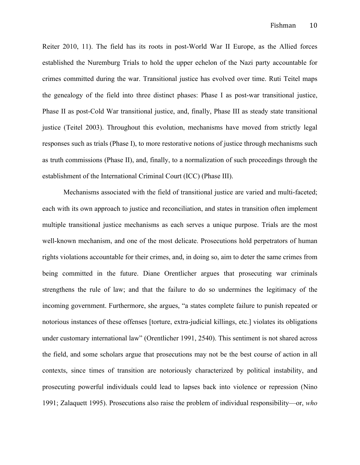Reiter 2010, 11). The field has its roots in post-World War II Europe, as the Allied forces established the Nuremburg Trials to hold the upper echelon of the Nazi party accountable for crimes committed during the war. Transitional justice has evolved over time. Ruti Teitel maps the genealogy of the field into three distinct phases: Phase I as post-war transitional justice, Phase II as post-Cold War transitional justice, and, finally, Phase III as steady state transitional justice (Teitel 2003). Throughout this evolution, mechanisms have moved from strictly legal responses such as trials (Phase I), to more restorative notions of justice through mechanisms such as truth commissions (Phase II), and, finally, to a normalization of such proceedings through the establishment of the International Criminal Court (ICC) (Phase III).

Mechanisms associated with the field of transitional justice are varied and multi-faceted; each with its own approach to justice and reconciliation, and states in transition often implement multiple transitional justice mechanisms as each serves a unique purpose. Trials are the most well-known mechanism, and one of the most delicate. Prosecutions hold perpetrators of human rights violations accountable for their crimes, and, in doing so, aim to deter the same crimes from being committed in the future. Diane Orentlicher argues that prosecuting war criminals strengthens the rule of law; and that the failure to do so undermines the legitimacy of the incoming government. Furthermore, she argues, "a states complete failure to punish repeated or notorious instances of these offenses [torture, extra-judicial killings, etc.] violates its obligations under customary international law" (Orentlicher 1991, 2540). This sentiment is not shared across the field, and some scholars argue that prosecutions may not be the best course of action in all contexts, since times of transition are notoriously characterized by political instability, and prosecuting powerful individuals could lead to lapses back into violence or repression (Nino 1991; Zalaquett 1995). Prosecutions also raise the problem of individual responsibility—or, *who*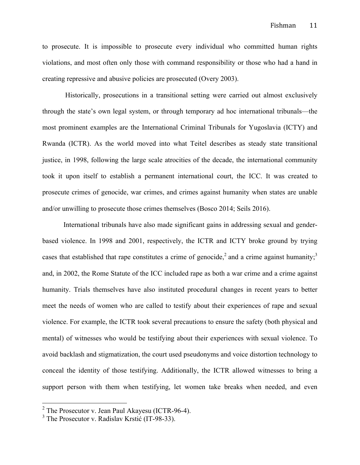to prosecute. It is impossible to prosecute every individual who committed human rights violations, and most often only those with command responsibility or those who had a hand in creating repressive and abusive policies are prosecuted (Overy 2003).

Historically, prosecutions in a transitional setting were carried out almost exclusively through the state's own legal system, or through temporary ad hoc international tribunals—the most prominent examples are the International Criminal Tribunals for Yugoslavia (ICTY) and Rwanda (ICTR). As the world moved into what Teitel describes as steady state transitional justice, in 1998, following the large scale atrocities of the decade, the international community took it upon itself to establish a permanent international court, the ICC. It was created to prosecute crimes of genocide, war crimes, and crimes against humanity when states are unable and/or unwilling to prosecute those crimes themselves (Bosco 2014; Seils 2016).

International tribunals have also made significant gains in addressing sexual and genderbased violence. In 1998 and 2001, respectively, the ICTR and ICTY broke ground by trying cases that established that rape constitutes a crime of genocide,<sup>2</sup> and a crime against humanity;<sup>3</sup> and, in 2002, the Rome Statute of the ICC included rape as both a war crime and a crime against humanity. Trials themselves have also instituted procedural changes in recent years to better meet the needs of women who are called to testify about their experiences of rape and sexual violence. For example, the ICTR took several precautions to ensure the safety (both physical and mental) of witnesses who would be testifying about their experiences with sexual violence. To avoid backlash and stigmatization, the court used pseudonyms and voice distortion technology to conceal the identity of those testifying. Additionally, the ICTR allowed witnesses to bring a support person with them when testifying, let women take breaks when needed, and even

 $2$  The Prosecutor v. Jean Paul Akayesu (ICTR-96-4).

<sup>&</sup>lt;sup>3</sup> The Prosecutor v. Radislav Krstić (IT-98-33).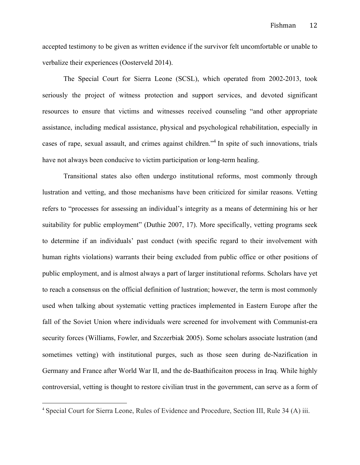accepted testimony to be given as written evidence if the survivor felt uncomfortable or unable to verbalize their experiences (Oosterveld 2014).

The Special Court for Sierra Leone (SCSL), which operated from 2002-2013, took seriously the project of witness protection and support services, and devoted significant resources to ensure that victims and witnesses received counseling "and other appropriate assistance, including medical assistance, physical and psychological rehabilitation, especially in cases of rape, sexual assault, and crimes against children."4 In spite of such innovations, trials have not always been conducive to victim participation or long-term healing.

Transitional states also often undergo institutional reforms, most commonly through lustration and vetting, and those mechanisms have been criticized for similar reasons. Vetting refers to "processes for assessing an individual's integrity as a means of determining his or her suitability for public employment" (Duthie 2007, 17). More specifically, vetting programs seek to determine if an individuals' past conduct (with specific regard to their involvement with human rights violations) warrants their being excluded from public office or other positions of public employment, and is almost always a part of larger institutional reforms. Scholars have yet to reach a consensus on the official definition of lustration; however, the term is most commonly used when talking about systematic vetting practices implemented in Eastern Europe after the fall of the Soviet Union where individuals were screened for involvement with Communist-era security forces (Williams, Fowler, and Szczerbiak 2005). Some scholars associate lustration (and sometimes vetting) with institutional purges, such as those seen during de-Nazification in Germany and France after World War II, and the de-Baathificaiton process in Iraq. While highly controversial, vetting is thought to restore civilian trust in the government, can serve as a form of

 

<sup>4</sup> Special Court for Sierra Leone, Rules of Evidence and Procedure, Section III, Rule 34 (A) iii.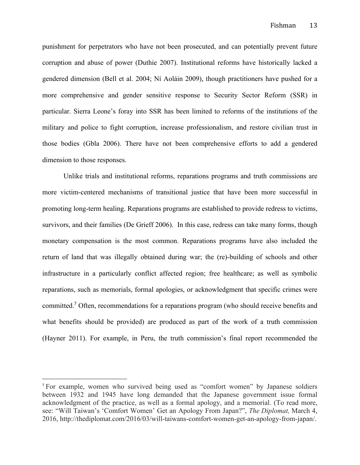punishment for perpetrators who have not been prosecuted, and can potentially prevent future corruption and abuse of power (Duthie 2007). Institutional reforms have historically lacked a gendered dimension (Bell et al. 2004; Ní Aoláin 2009), though practitioners have pushed for a more comprehensive and gender sensitive response to Security Sector Reform (SSR) in particular. Sierra Leone's foray into SSR has been limited to reforms of the institutions of the military and police to fight corruption, increase professionalism, and restore civilian trust in those bodies (Gbla 2006). There have not been comprehensive efforts to add a gendered dimension to those responses.

Unlike trials and institutional reforms, reparations programs and truth commissions are more victim-centered mechanisms of transitional justice that have been more successful in promoting long-term healing. Reparations programs are established to provide redress to victims, survivors, and their families (De Grieff 2006). In this case, redress can take many forms, though monetary compensation is the most common. Reparations programs have also included the return of land that was illegally obtained during war; the (re)-building of schools and other infrastructure in a particularly conflict affected region; free healthcare; as well as symbolic reparations, such as memorials, formal apologies, or acknowledgment that specific crimes were committed.<sup>5</sup> Often, recommendations for a reparations program (who should receive benefits and what benefits should be provided) are produced as part of the work of a truth commission (Hayner 2011). For example, in Peru, the truth commission's final report recommended the

 

<sup>&</sup>lt;sup>5</sup> For example, women who survived being used as "comfort women" by Japanese soldiers between 1932 and 1945 have long demanded that the Japanese government issue formal acknowledgment of the practice, as well as a formal apology, and a memorial. (To read more, see: "Will Taiwan's 'Comfort Women' Get an Apology From Japan?", *The Diplomat,* March 4, 2016, http://thediplomat.com/2016/03/will-taiwans-comfort-women-get-an-apology-from-japan/.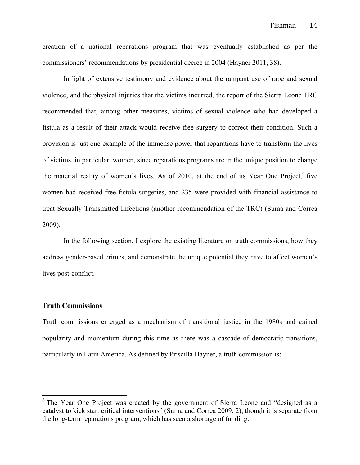creation of a national reparations program that was eventually established as per the commissioners' recommendations by presidential decree in 2004 (Hayner 2011, 38).

In light of extensive testimony and evidence about the rampant use of rape and sexual violence, and the physical injuries that the victims incurred, the report of the Sierra Leone TRC recommended that, among other measures, victims of sexual violence who had developed a fistula as a result of their attack would receive free surgery to correct their condition. Such a provision is just one example of the immense power that reparations have to transform the lives of victims, in particular, women, since reparations programs are in the unique position to change the material reality of women's lives. As of 2010, at the end of its Year One Project, $6$  five women had received free fistula surgeries, and 235 were provided with financial assistance to treat Sexually Transmitted Infections (another recommendation of the TRC) (Suma and Correa 2009).

In the following section, I explore the existing literature on truth commissions, how they address gender-based crimes, and demonstrate the unique potential they have to affect women's lives post-conflict.

#### **Truth Commissions**

Truth commissions emerged as a mechanism of transitional justice in the 1980s and gained popularity and momentum during this time as there was a cascade of democratic transitions, particularly in Latin America. As defined by Priscilla Hayner, a truth commission is:

<sup>&</sup>lt;sup>6</sup> The Year One Project was created by the government of Sierra Leone and "designed as a catalyst to kick start critical interventions" (Suma and Correa 2009, 2), though it is separate from the long-term reparations program, which has seen a shortage of funding.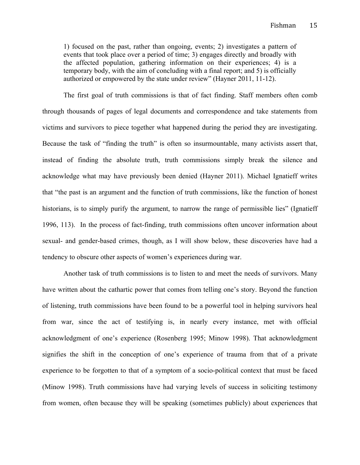1) focused on the past, rather than ongoing, events; 2) investigates a pattern of events that took place over a period of time; 3) engages directly and broadly with the affected population, gathering information on their experiences; 4) is a temporary body, with the aim of concluding with a final report; and 5) is officially authorized or empowered by the state under review" (Hayner 2011, 11-12).

The first goal of truth commissions is that of fact finding. Staff members often comb through thousands of pages of legal documents and correspondence and take statements from victims and survivors to piece together what happened during the period they are investigating. Because the task of "finding the truth" is often so insurmountable, many activists assert that, instead of finding the absolute truth, truth commissions simply break the silence and acknowledge what may have previously been denied (Hayner 2011). Michael Ignatieff writes that "the past is an argument and the function of truth commissions, like the function of honest historians, is to simply purify the argument, to narrow the range of permissible lies" (Ignatieff 1996, 113). In the process of fact-finding, truth commissions often uncover information about sexual- and gender-based crimes, though, as I will show below, these discoveries have had a tendency to obscure other aspects of women's experiences during war.

Another task of truth commissions is to listen to and meet the needs of survivors. Many have written about the cathartic power that comes from telling one's story. Beyond the function of listening, truth commissions have been found to be a powerful tool in helping survivors heal from war, since the act of testifying is, in nearly every instance, met with official acknowledgment of one's experience (Rosenberg 1995; Minow 1998). That acknowledgment signifies the shift in the conception of one's experience of trauma from that of a private experience to be forgotten to that of a symptom of a socio-political context that must be faced (Minow 1998). Truth commissions have had varying levels of success in soliciting testimony from women, often because they will be speaking (sometimes publicly) about experiences that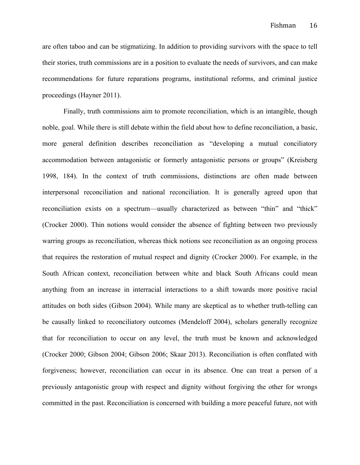are often taboo and can be stigmatizing. In addition to providing survivors with the space to tell their stories, truth commissions are in a position to evaluate the needs of survivors, and can make recommendations for future reparations programs, institutional reforms, and criminal justice proceedings (Hayner 2011).

Finally, truth commissions aim to promote reconciliation, which is an intangible, though noble, goal. While there is still debate within the field about how to define reconciliation, a basic, more general definition describes reconciliation as "developing a mutual conciliatory accommodation between antagonistic or formerly antagonistic persons or groups" (Kreisberg 1998, 184). In the context of truth commissions, distinctions are often made between interpersonal reconciliation and national reconciliation. It is generally agreed upon that reconciliation exists on a spectrum—usually characterized as between "thin" and "thick" (Crocker 2000). Thin notions would consider the absence of fighting between two previously warring groups as reconciliation, whereas thick notions see reconciliation as an ongoing process that requires the restoration of mutual respect and dignity (Crocker 2000). For example, in the South African context, reconciliation between white and black South Africans could mean anything from an increase in interracial interactions to a shift towards more positive racial attitudes on both sides (Gibson 2004). While many are skeptical as to whether truth-telling can be causally linked to reconciliatory outcomes (Mendeloff 2004), scholars generally recognize that for reconciliation to occur on any level, the truth must be known and acknowledged (Crocker 2000; Gibson 2004; Gibson 2006; Skaar 2013). Reconciliation is often conflated with forgiveness; however, reconciliation can occur in its absence. One can treat a person of a previously antagonistic group with respect and dignity without forgiving the other for wrongs committed in the past. Reconciliation is concerned with building a more peaceful future, not with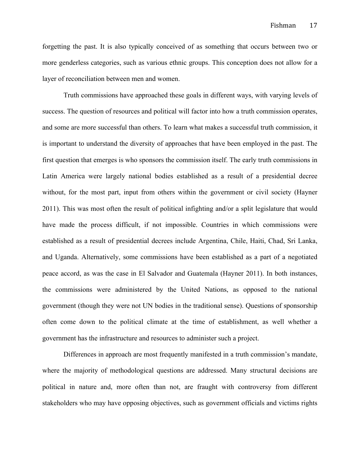forgetting the past. It is also typically conceived of as something that occurs between two or more genderless categories, such as various ethnic groups. This conception does not allow for a layer of reconciliation between men and women.

Truth commissions have approached these goals in different ways, with varying levels of success. The question of resources and political will factor into how a truth commission operates, and some are more successful than others. To learn what makes a successful truth commission, it is important to understand the diversity of approaches that have been employed in the past. The first question that emerges is who sponsors the commission itself. The early truth commissions in Latin America were largely national bodies established as a result of a presidential decree without, for the most part, input from others within the government or civil society (Hayner 2011). This was most often the result of political infighting and/or a split legislature that would have made the process difficult, if not impossible. Countries in which commissions were established as a result of presidential decrees include Argentina, Chile, Haiti, Chad, Sri Lanka, and Uganda. Alternatively, some commissions have been established as a part of a negotiated peace accord, as was the case in El Salvador and Guatemala (Hayner 2011). In both instances, the commissions were administered by the United Nations, as opposed to the national government (though they were not UN bodies in the traditional sense). Questions of sponsorship often come down to the political climate at the time of establishment, as well whether a government has the infrastructure and resources to administer such a project.

Differences in approach are most frequently manifested in a truth commission's mandate, where the majority of methodological questions are addressed. Many structural decisions are political in nature and, more often than not, are fraught with controversy from different stakeholders who may have opposing objectives, such as government officials and victims rights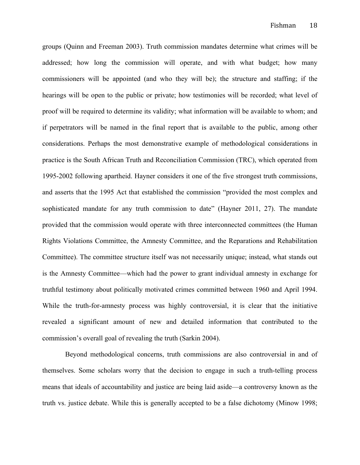groups (Quinn and Freeman 2003). Truth commission mandates determine what crimes will be addressed; how long the commission will operate, and with what budget; how many commissioners will be appointed (and who they will be); the structure and staffing; if the hearings will be open to the public or private; how testimonies will be recorded; what level of proof will be required to determine its validity; what information will be available to whom; and if perpetrators will be named in the final report that is available to the public, among other considerations. Perhaps the most demonstrative example of methodological considerations in practice is the South African Truth and Reconciliation Commission (TRC), which operated from 1995-2002 following apartheid. Hayner considers it one of the five strongest truth commissions, and asserts that the 1995 Act that established the commission "provided the most complex and sophisticated mandate for any truth commission to date" (Hayner 2011, 27). The mandate provided that the commission would operate with three interconnected committees (the Human Rights Violations Committee, the Amnesty Committee, and the Reparations and Rehabilitation Committee). The committee structure itself was not necessarily unique; instead, what stands out is the Amnesty Committee—which had the power to grant individual amnesty in exchange for truthful testimony about politically motivated crimes committed between 1960 and April 1994. While the truth-for-amnesty process was highly controversial, it is clear that the initiative revealed a significant amount of new and detailed information that contributed to the commission's overall goal of revealing the truth (Sarkin 2004).

Beyond methodological concerns, truth commissions are also controversial in and of themselves. Some scholars worry that the decision to engage in such a truth-telling process means that ideals of accountability and justice are being laid aside—a controversy known as the truth vs. justice debate. While this is generally accepted to be a false dichotomy (Minow 1998;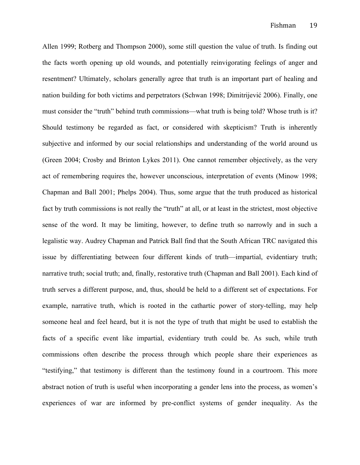Allen 1999; Rotberg and Thompson 2000), some still question the value of truth. Is finding out the facts worth opening up old wounds, and potentially reinvigorating feelings of anger and resentment? Ultimately, scholars generally agree that truth is an important part of healing and nation building for both victims and perpetrators (Schwan 1998; Dimitrijević 2006). Finally, one must consider the "truth" behind truth commissions—what truth is being told? Whose truth is it? Should testimony be regarded as fact, or considered with skepticism? Truth is inherently subjective and informed by our social relationships and understanding of the world around us (Green 2004; Crosby and Brinton Lykes 2011). One cannot remember objectively, as the very act of remembering requires the, however unconscious, interpretation of events (Minow 1998; Chapman and Ball 2001; Phelps 2004). Thus, some argue that the truth produced as historical fact by truth commissions is not really the "truth" at all, or at least in the strictest, most objective sense of the word. It may be limiting, however, to define truth so narrowly and in such a legalistic way. Audrey Chapman and Patrick Ball find that the South African TRC navigated this issue by differentiating between four different kinds of truth—impartial, evidentiary truth; narrative truth; social truth; and, finally, restorative truth (Chapman and Ball 2001). Each kind of truth serves a different purpose, and, thus, should be held to a different set of expectations. For example, narrative truth, which is rooted in the cathartic power of story-telling, may help someone heal and feel heard, but it is not the type of truth that might be used to establish the facts of a specific event like impartial, evidentiary truth could be. As such, while truth commissions often describe the process through which people share their experiences as "testifying," that testimony is different than the testimony found in a courtroom. This more abstract notion of truth is useful when incorporating a gender lens into the process, as women's experiences of war are informed by pre-conflict systems of gender inequality. As the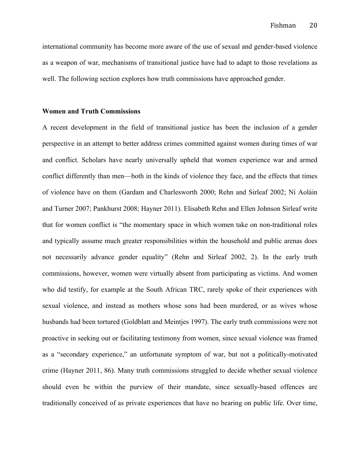international community has become more aware of the use of sexual and gender-based violence as a weapon of war, mechanisms of transitional justice have had to adapt to those revelations as well. The following section explores how truth commissions have approached gender.

#### **Women and Truth Commissions**

A recent development in the field of transitional justice has been the inclusion of a gender perspective in an attempt to better address crimes committed against women during times of war and conflict. Scholars have nearly universally upheld that women experience war and armed conflict differently than men—both in the kinds of violence they face, and the effects that times of violence have on them (Gardam and Charlesworth 2000; Rehn and Sirleaf 2002; Ní Aoláin and Turner 2007; Pankhurst 2008; Hayner 2011). Elisabeth Rehn and Ellen Johnson Sirleaf write that for women conflict is "the momentary space in which women take on non-traditional roles and typically assume much greater responsibilities within the household and public arenas does not necessarily advance gender equality" (Rehn and Sirleaf 2002, 2). In the early truth commissions, however, women were virtually absent from participating as victims. And women who did testify, for example at the South African TRC, rarely spoke of their experiences with sexual violence, and instead as mothers whose sons had been murdered, or as wives whose husbands had been tortured (Goldblatt and Meintjes 1997). The early truth commissions were not proactive in seeking out or facilitating testimony from women, since sexual violence was framed as a "secondary experience," an unfortunate symptom of war, but not a politically-motivated crime (Hayner 2011, 86). Many truth commissions struggled to decide whether sexual violence should even be within the purview of their mandate, since sexually-based offences are traditionally conceived of as private experiences that have no bearing on public life. Over time,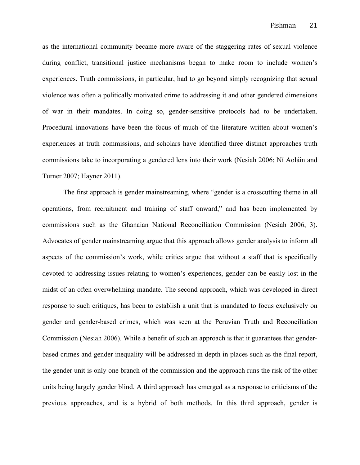as the international community became more aware of the staggering rates of sexual violence during conflict, transitional justice mechanisms began to make room to include women's experiences. Truth commissions, in particular, had to go beyond simply recognizing that sexual violence was often a politically motivated crime to addressing it and other gendered dimensions of war in their mandates. In doing so, gender-sensitive protocols had to be undertaken. Procedural innovations have been the focus of much of the literature written about women's experiences at truth commissions, and scholars have identified three distinct approaches truth commissions take to incorporating a gendered lens into their work (Nesiah 2006; Ní Aoláin and Turner 2007; Hayner 2011).

The first approach is gender mainstreaming, where "gender is a crosscutting theme in all operations, from recruitment and training of staff onward," and has been implemented by commissions such as the Ghanaian National Reconciliation Commission (Nesiah 2006, 3). Advocates of gender mainstreaming argue that this approach allows gender analysis to inform all aspects of the commission's work, while critics argue that without a staff that is specifically devoted to addressing issues relating to women's experiences, gender can be easily lost in the midst of an often overwhelming mandate. The second approach, which was developed in direct response to such critiques, has been to establish a unit that is mandated to focus exclusively on gender and gender-based crimes, which was seen at the Peruvian Truth and Reconciliation Commission (Nesiah 2006). While a benefit of such an approach is that it guarantees that genderbased crimes and gender inequality will be addressed in depth in places such as the final report, the gender unit is only one branch of the commission and the approach runs the risk of the other units being largely gender blind. A third approach has emerged as a response to criticisms of the previous approaches, and is a hybrid of both methods. In this third approach, gender is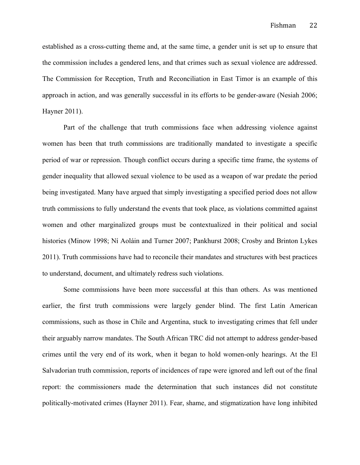established as a cross-cutting theme and, at the same time, a gender unit is set up to ensure that the commission includes a gendered lens, and that crimes such as sexual violence are addressed. The Commission for Reception, Truth and Reconciliation in East Timor is an example of this approach in action, and was generally successful in its efforts to be gender-aware (Nesiah 2006; Hayner 2011).

Part of the challenge that truth commissions face when addressing violence against women has been that truth commissions are traditionally mandated to investigate a specific period of war or repression. Though conflict occurs during a specific time frame, the systems of gender inequality that allowed sexual violence to be used as a weapon of war predate the period being investigated. Many have argued that simply investigating a specified period does not allow truth commissions to fully understand the events that took place, as violations committed against women and other marginalized groups must be contextualized in their political and social histories (Minow 1998; Ní Aoláin and Turner 2007; Pankhurst 2008; Crosby and Brinton Lykes 2011). Truth commissions have had to reconcile their mandates and structures with best practices to understand, document, and ultimately redress such violations.

Some commissions have been more successful at this than others. As was mentioned earlier, the first truth commissions were largely gender blind. The first Latin American commissions, such as those in Chile and Argentina, stuck to investigating crimes that fell under their arguably narrow mandates. The South African TRC did not attempt to address gender-based crimes until the very end of its work, when it began to hold women-only hearings. At the El Salvadorian truth commission, reports of incidences of rape were ignored and left out of the final report: the commissioners made the determination that such instances did not constitute politically-motivated crimes (Hayner 2011). Fear, shame, and stigmatization have long inhibited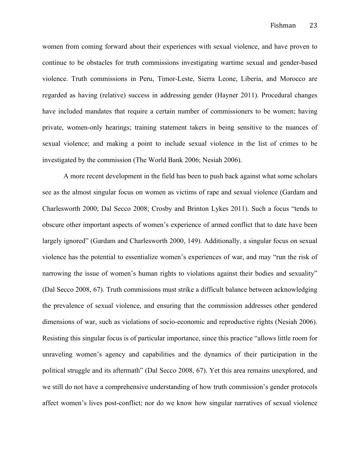women from coming forward about their experiences with sexual violence, and have proven to continue to be obstacles for truth commissions investigating wartime sexual and gender-based violence. Truth commissions in Peru, Timor-Leste, Sierra Leone, Liberia, and Morocco are regarded as having (relative) success in addressing gender (Hayner 2011). Procedural changes have included mandates that require a certain number of commissioners to be women; having private, women-only hearings; training statement takers in being sensitive to the nuances of sexual violence; and making a point to include sexual violence in the list of crimes to be investigated by the commission (The World Bank 2006; Nesiah 2006).

A more recent development in the field has been to push back against what some scholars see as the almost singular focus on women as victims of rape and sexual violence (Gardam and Charlesworth 2000; Dal Secco 2008; Crosby and Brinton Lykes 2011). Such a focus "tends to obscure other important aspects of women's experience of armed conflict that to date have been largely ignored" (Gardam and Charlesworth 2000, 149). Additionally, a singular focus on sexual violence has the potential to essentialize women's experiences of war, and may "run the risk of narrowing the issue of women's human rights to violations against their bodies and sexuality" (Dal Secco 2008, 67). Truth commissions must strike a difficult balance between acknowledging the prevalence of sexual violence, and ensuring that the commission addresses other gendered dimensions of war, such as violations of socio-economic and reproductive rights (Nesiah 2006). Resisting this singular focus is of particular importance, since this practice "allows little room for unraveling women's agency and capabilities and the dynamics of their participation in the political struggle and its aftermath" (Dal Secco 2008, 67). Yet this area remains unexplored, and we still do not have a comprehensive understanding of how truth commission's gender protocols affect women's lives post-conflict; nor do we know how singular narratives of sexual violence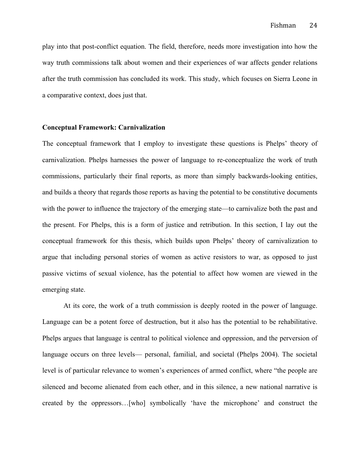play into that post-conflict equation. The field, therefore, needs more investigation into how the way truth commissions talk about women and their experiences of war affects gender relations after the truth commission has concluded its work. This study, which focuses on Sierra Leone in a comparative context, does just that.

#### **Conceptual Framework: Carnivalization**

The conceptual framework that I employ to investigate these questions is Phelps' theory of carnivalization. Phelps harnesses the power of language to re-conceptualize the work of truth commissions, particularly their final reports, as more than simply backwards-looking entities, and builds a theory that regards those reports as having the potential to be constitutive documents with the power to influence the trajectory of the emerging state—to carnivalize both the past and the present. For Phelps, this is a form of justice and retribution. In this section, I lay out the conceptual framework for this thesis, which builds upon Phelps' theory of carnivalization to argue that including personal stories of women as active resistors to war, as opposed to just passive victims of sexual violence, has the potential to affect how women are viewed in the emerging state.

At its core, the work of a truth commission is deeply rooted in the power of language. Language can be a potent force of destruction, but it also has the potential to be rehabilitative. Phelps argues that language is central to political violence and oppression, and the perversion of language occurs on three levels— personal, familial, and societal (Phelps 2004). The societal level is of particular relevance to women's experiences of armed conflict, where "the people are silenced and become alienated from each other, and in this silence, a new national narrative is created by the oppressors…[who] symbolically 'have the microphone' and construct the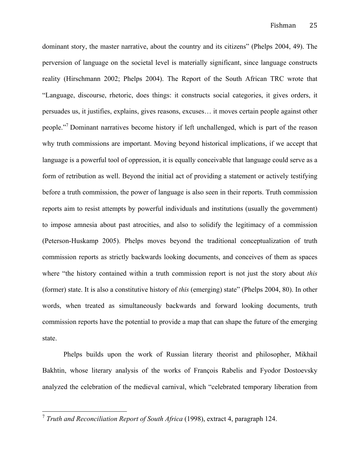dominant story, the master narrative, about the country and its citizens" (Phelps 2004, 49). The perversion of language on the societal level is materially significant, since language constructs reality (Hirschmann 2002; Phelps 2004). The Report of the South African TRC wrote that "Language, discourse, rhetoric, does things: it constructs social categories, it gives orders, it persuades us, it justifies, explains, gives reasons, excuses… it moves certain people against other people."<sup>7</sup> Dominant narratives become history if left unchallenged, which is part of the reason why truth commissions are important. Moving beyond historical implications, if we accept that language is a powerful tool of oppression, it is equally conceivable that language could serve as a form of retribution as well. Beyond the initial act of providing a statement or actively testifying before a truth commission, the power of language is also seen in their reports. Truth commission reports aim to resist attempts by powerful individuals and institutions (usually the government) to impose amnesia about past atrocities, and also to solidify the legitimacy of a commission (Peterson-Huskamp 2005). Phelps moves beyond the traditional conceptualization of truth commission reports as strictly backwards looking documents, and conceives of them as spaces where "the history contained within a truth commission report is not just the story about *this*  (former) state. It is also a constitutive history of *this* (emerging) state" (Phelps 2004, 80). In other words, when treated as simultaneously backwards and forward looking documents, truth commission reports have the potential to provide a map that can shape the future of the emerging state.

Phelps builds upon the work of Russian literary theorist and philosopher, Mikhail Bakhtin, whose literary analysis of the works of François Rabelis and Fyodor Dostoevsky analyzed the celebration of the medieval carnival, which "celebrated temporary liberation from

 <sup>7</sup> *Truth and Reconciliation Report of South Africa* (1998), extract 4, paragraph 124.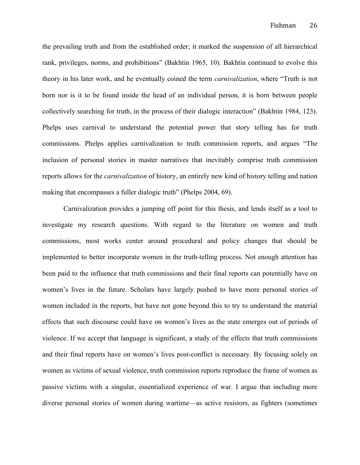the prevailing truth and from the established order; it marked the suspension of all hierarchical rank, privileges, norms, and prohibitions" (Bakhtin 1965, 10). Bakhtin continued to evolve this theory in his later work, and he eventually coined the term *carnivalization*, where "Truth is not born nor is it to be found inside the head of an individual person, it is born between people collectively searching for truth, in the process of their dialogic interaction" (Bakhtin 1984, 123). Phelps uses carnival to understand the potential power that story telling has for truth commissions. Phelps applies carnivalization to truth commission reports, and argues "The inclusion of personal stories in master narratives that inevitably comprise truth commission reports allows for the *carnivalization* of history, an entirely new kind of history telling and nation making that encompasses a fuller dialogic truth" (Phelps 2004, 69).

Carnivalization provides a jumping off point for this thesis, and lends itself as a tool to investigate my research questions. With regard to the literature on women and truth commissions, most works center around procedural and policy changes that should be implemented to better incorporate women in the truth-telling process. Not enough attention has been paid to the influence that truth commissions and their final reports can potentially have on women's lives in the future. Scholars have largely pushed to have more personal stories of women included in the reports, but have not gone beyond this to try to understand the material effects that such discourse could have on women's lives as the state emerges out of periods of violence. If we accept that language is significant, a study of the effects that truth commissions and their final reports have on women's lives post-conflict is necessary. By focusing solely on women as victims of sexual violence, truth commission reports reproduce the frame of women as passive victims with a singular, essentialized experience of war. I argue that including more diverse personal stories of women during wartime—as active resistors, as fighters (sometimes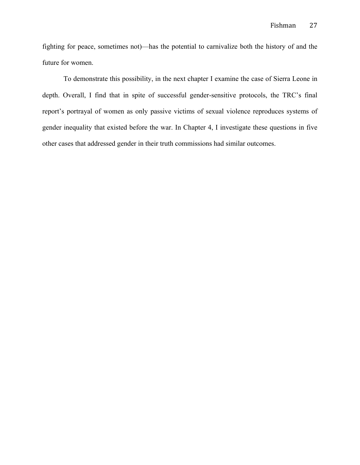fighting for peace, sometimes not)—has the potential to carnivalize both the history of and the future for women.

To demonstrate this possibility, in the next chapter I examine the case of Sierra Leone in depth. Overall, I find that in spite of successful gender-sensitive protocols, the TRC's final report's portrayal of women as only passive victims of sexual violence reproduces systems of gender inequality that existed before the war. In Chapter 4, I investigate these questions in five other cases that addressed gender in their truth commissions had similar outcomes.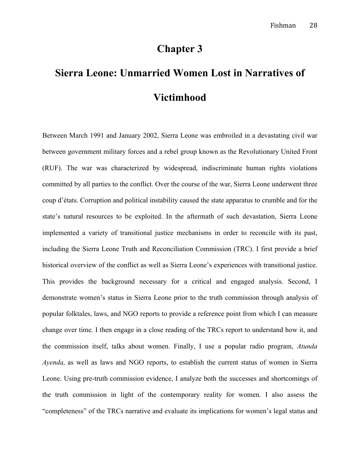## **Chapter 3**

# **Sierra Leone: Unmarried Women Lost in Narratives of Victimhood**

Between March 1991 and January 2002, Sierra Leone was embroiled in a devastating civil war between government military forces and a rebel group known as the Revolutionary United Front (RUF). The war was characterized by widespread, indiscriminate human rights violations committed by all parties to the conflict. Over the course of the war, Sierra Leone underwent three coup d'états. Corruption and political instability caused the state apparatus to crumble and for the state's natural resources to be exploited. In the aftermath of such devastation, Sierra Leone implemented a variety of transitional justice mechanisms in order to reconcile with its past, including the Sierra Leone Truth and Reconciliation Commission (TRC). I first provide a brief historical overview of the conflict as well as Sierra Leone's experiences with transitional justice. This provides the background necessary for a critical and engaged analysis. Second, I demonstrate women's status in Sierra Leone prior to the truth commission through analysis of popular folktales, laws, and NGO reports to provide a reference point from which I can measure change over time. I then engage in a close reading of the TRCs report to understand how it, and the commission itself, talks about women. Finally, I use a popular radio program, *Atunda Ayenda,* as well as laws and NGO reports, to establish the current status of women in Sierra Leone. Using pre-truth commission evidence, I analyze both the successes and shortcomings of the truth commission in light of the contemporary reality for women. I also assess the "completeness" of the TRCs narrative and evaluate its implications for women's legal status and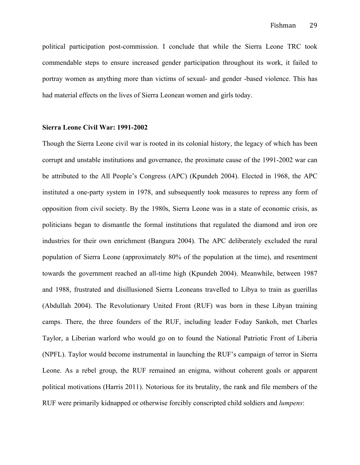political participation post-commission. I conclude that while the Sierra Leone TRC took commendable steps to ensure increased gender participation throughout its work, it failed to portray women as anything more than victims of sexual- and gender -based violence. This has had material effects on the lives of Sierra Leonean women and girls today.

#### **Sierra Leone Civil War: 1991-2002**

Though the Sierra Leone civil war is rooted in its colonial history, the legacy of which has been corrupt and unstable institutions and governance, the proximate cause of the 1991-2002 war can be attributed to the All People's Congress (APC) (Kpundeh 2004). Elected in 1968, the APC instituted a one-party system in 1978, and subsequently took measures to repress any form of opposition from civil society. By the 1980s, Sierra Leone was in a state of economic crisis, as politicians began to dismantle the formal institutions that regulated the diamond and iron ore industries for their own enrichment (Bangura 2004). The APC deliberately excluded the rural population of Sierra Leone (approximately 80% of the population at the time), and resentment towards the government reached an all-time high (Kpundeh 2004). Meanwhile, between 1987 and 1988, frustrated and disillusioned Sierra Leoneans travelled to Libya to train as guerillas (Abdullah 2004). The Revolutionary United Front (RUF) was born in these Libyan training camps. There, the three founders of the RUF, including leader Foday Sankoh, met Charles Taylor, a Liberian warlord who would go on to found the National Patriotic Front of Liberia (NPFL). Taylor would become instrumental in launching the RUF's campaign of terror in Sierra Leone. As a rebel group, the RUF remained an enigma, without coherent goals or apparent political motivations (Harris 2011). Notorious for its brutality, the rank and file members of the RUF were primarily kidnapped or otherwise forcibly conscripted child soldiers and *lumpens*: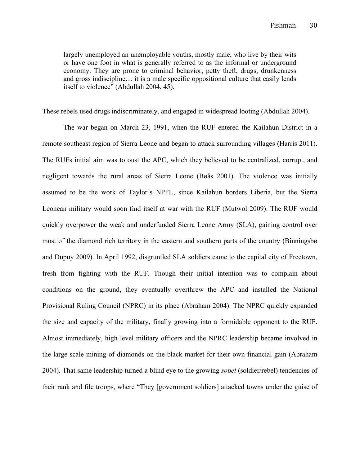largely unemployed an unemployable youths, mostly male, who live by their wits or have one foot in what is generally referred to as the informal or underground economy. They are prone to criminal behavior, petty theft, drugs, drunkenness and gross indiscipline… it is a male specific oppositional culture that easily lends itself to violence" (Abdullah 2004, 45).

These rebels used drugs indiscriminately, and engaged in widespread looting (Abdullah 2004).

The war began on March 23, 1991, when the RUF entered the Kailahun District in a remote southeast region of Sierra Leone and began to attack surrounding villages (Harris 2011). The RUFs initial aim was to oust the APC, which they believed to be centralized, corrupt, and negligent towards the rural areas of Sierra Leone (Bøås 2001). The violence was initially assumed to be the work of Taylor's NPFL, since Kailahun borders Liberia, but the Sierra Leonean military would soon find itself at war with the RUF (Mutwol 2009). The RUF would quickly overpower the weak and underfunded Sierra Leone Army (SLA), gaining control over most of the diamond rich territory in the eastern and southern parts of the country (Binningsbø and Dupuy 2009). In April 1992, disgruntled SLA soldiers came to the capital city of Freetown, fresh from fighting with the RUF. Though their initial intention was to complain about conditions on the ground, they eventually overthrew the APC and installed the National Provisional Ruling Council (NPRC) in its place (Abraham 2004). The NPRC quickly expanded the size and capacity of the military, finally growing into a formidable opponent to the RUF. Almost immediately, high level military officers and the NPRC leadership became involved in the large-scale mining of diamonds on the black market for their own financial gain (Abraham 2004). That same leadership turned a blind eye to the growing *sobel* (soldier/rebel) tendencies of their rank and file troops, where "They [government soldiers] attacked towns under the guise of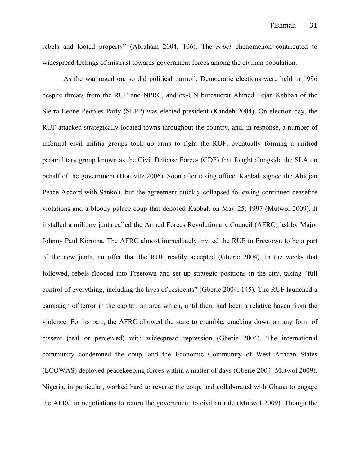rebels and looted property" (Abraham 2004, 106). The *sobel* phenomenon contributed to widespread feelings of mistrust towards government forces among the civilian population.

As the war raged on, so did political turmoil. Democratic elections were held in 1996 despite threats from the RUF and NPRC, and ex-UN bureaucrat Ahmed Tejan Kabbah of the Sierra Leone Peoples Party (SLPP) was elected president (Kandeh 2004). On election day, the RUF attacked strategically-located towns throughout the country, and, in response, a number of informal civil militia groups took up arms to fight the RUF, eventually forming a unified paramilitary group known as the Civil Defense Forces (CDF) that fought alongside the SLA on behalf of the government (Horovitz 2006). Soon after taking office, Kabbah signed the Abidjan Peace Accord with Sankoh, but the agreement quickly collapsed following continued ceasefire violations and a bloody palace coup that deposed Kabbah on May 25, 1997 (Mutwol 2009). It installed a military junta called the Armed Forces Revolutionary Council (AFRC) led by Major Johnny Paul Koroma. The AFRC almost immediately invited the RUF to Freetown to be a part of the new junta, an offer that the RUF readily accepted (Gberie 2004). In the weeks that followed, rebels flooded into Freetown and set up strategic positions in the city, taking "full control of everything, including the lives of residents" (Gberie 2004, 145). The RUF launched a campaign of terror in the capital, an area which, until then, had been a relative haven from the violence. For its part, the AFRC allowed the state to crumble, cracking down on any form of dissent (real or perceived) with widespread repression (Gberie 2004). The international community condemned the coup, and the Economic Community of West African States (ECOWAS) deployed peacekeeping forces within a matter of days (Gberie 2004; Mutwol 2009). Nigeria, in particular, worked hard to reverse the coup, and collaborated with Ghana to engage the AFRC in negotiations to return the government to civilian rule (Mutwol 2009). Though the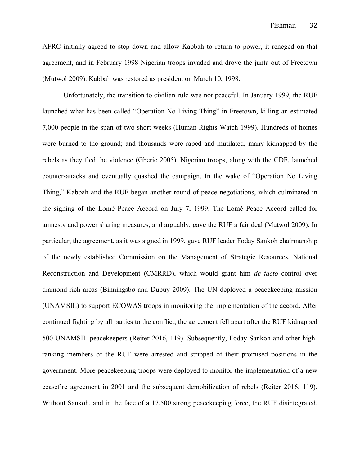AFRC initially agreed to step down and allow Kabbah to return to power, it reneged on that agreement, and in February 1998 Nigerian troops invaded and drove the junta out of Freetown (Mutwol 2009). Kabbah was restored as president on March 10, 1998.

Unfortunately, the transition to civilian rule was not peaceful. In January 1999, the RUF launched what has been called "Operation No Living Thing" in Freetown, killing an estimated 7,000 people in the span of two short weeks (Human Rights Watch 1999). Hundreds of homes were burned to the ground; and thousands were raped and mutilated, many kidnapped by the rebels as they fled the violence (Gberie 2005). Nigerian troops, along with the CDF, launched counter-attacks and eventually quashed the campaign. In the wake of "Operation No Living Thing," Kabbah and the RUF began another round of peace negotiations, which culminated in the signing of the Lomé Peace Accord on July 7, 1999. The Lomé Peace Accord called for amnesty and power sharing measures, and arguably, gave the RUF a fair deal (Mutwol 2009). In particular, the agreement, as it was signed in 1999, gave RUF leader Foday Sankoh chairmanship of the newly established Commission on the Management of Strategic Resources, National Reconstruction and Development (CMRRD), which would grant him *de facto* control over diamond-rich areas (Binningsbø and Dupuy 2009). The UN deployed a peacekeeping mission (UNAMSIL) to support ECOWAS troops in monitoring the implementation of the accord. After continued fighting by all parties to the conflict, the agreement fell apart after the RUF kidnapped 500 UNAMSIL peacekeepers (Reiter 2016, 119). Subsequently, Foday Sankoh and other highranking members of the RUF were arrested and stripped of their promised positions in the government. More peacekeeping troops were deployed to monitor the implementation of a new ceasefire agreement in 2001 and the subsequent demobilization of rebels (Reiter 2016, 119). Without Sankoh, and in the face of a 17,500 strong peacekeeping force, the RUF disintegrated.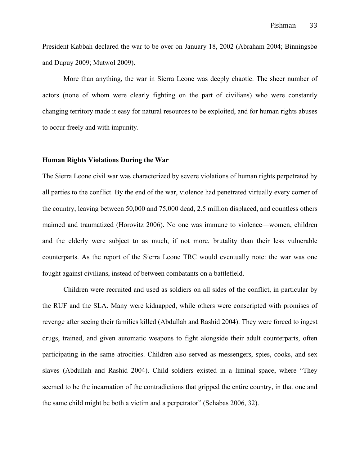President Kabbah declared the war to be over on January 18, 2002 (Abraham 2004; Binningsbø and Dupuy 2009; Mutwol 2009).

More than anything, the war in Sierra Leone was deeply chaotic. The sheer number of actors (none of whom were clearly fighting on the part of civilians) who were constantly changing territory made it easy for natural resources to be exploited, and for human rights abuses to occur freely and with impunity.

# **Human Rights Violations During the War**

The Sierra Leone civil war was characterized by severe violations of human rights perpetrated by all parties to the conflict. By the end of the war, violence had penetrated virtually every corner of the country, leaving between 50,000 and 75,000 dead, 2.5 million displaced, and countless others maimed and traumatized (Horovitz 2006). No one was immune to violence—women, children and the elderly were subject to as much, if not more, brutality than their less vulnerable counterparts. As the report of the Sierra Leone TRC would eventually note: the war was one fought against civilians, instead of between combatants on a battlefield.

Children were recruited and used as soldiers on all sides of the conflict, in particular by the RUF and the SLA. Many were kidnapped, while others were conscripted with promises of revenge after seeing their families killed (Abdullah and Rashid 2004). They were forced to ingest drugs, trained, and given automatic weapons to fight alongside their adult counterparts, often participating in the same atrocities. Children also served as messengers, spies, cooks, and sex slaves (Abdullah and Rashid 2004). Child soldiers existed in a liminal space, where "They seemed to be the incarnation of the contradictions that gripped the entire country, in that one and the same child might be both a victim and a perpetrator" (Schabas 2006, 32).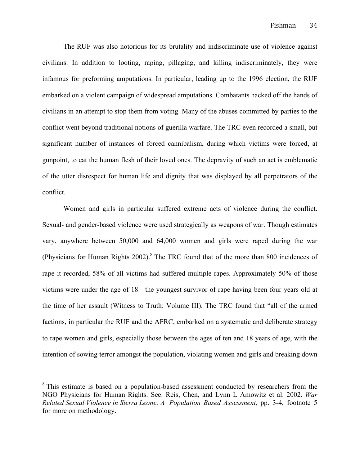The RUF was also notorious for its brutality and indiscriminate use of violence against civilians. In addition to looting, raping, pillaging, and killing indiscriminately, they were infamous for preforming amputations. In particular, leading up to the 1996 election, the RUF embarked on a violent campaign of widespread amputations. Combatants hacked off the hands of civilians in an attempt to stop them from voting. Many of the abuses committed by parties to the conflict went beyond traditional notions of guerilla warfare. The TRC even recorded a small, but significant number of instances of forced cannibalism, during which victims were forced, at gunpoint, to eat the human flesh of their loved ones. The depravity of such an act is emblematic of the utter disrespect for human life and dignity that was displayed by all perpetrators of the conflict.

Women and girls in particular suffered extreme acts of violence during the conflict. Sexual- and gender-based violence were used strategically as weapons of war. Though estimates vary, anywhere between 50,000 and 64,000 women and girls were raped during the war (Physicians for Human Rights  $2002$ ).<sup>8</sup> The TRC found that of the more than 800 incidences of rape it recorded, 58% of all victims had suffered multiple rapes. Approximately 50% of those victims were under the age of 18—the youngest survivor of rape having been four years old at the time of her assault (Witness to Truth: Volume III). The TRC found that "all of the armed factions, in particular the RUF and the AFRC, embarked on a systematic and deliberate strategy to rape women and girls, especially those between the ages of ten and 18 years of age, with the intention of sowing terror amongst the population, violating women and girls and breaking down

<sup>&</sup>lt;sup>8</sup> This estimate is based on a population-based assessment conducted by researchers from the NGO Physicians for Human Rights. See: Reis, Chen, and Lynn L Amowitz et al. 2002. *War Related Sexual Violence in Sierra Leone: A Population Based Assessment,* pp. 3-4, footnote 5 for more on methodology.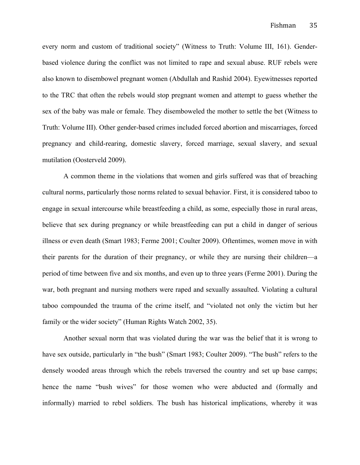every norm and custom of traditional society" (Witness to Truth: Volume III, 161). Genderbased violence during the conflict was not limited to rape and sexual abuse. RUF rebels were also known to disembowel pregnant women (Abdullah and Rashid 2004). Eyewitnesses reported to the TRC that often the rebels would stop pregnant women and attempt to guess whether the sex of the baby was male or female. They disemboweled the mother to settle the bet (Witness to Truth: Volume III). Other gender-based crimes included forced abortion and miscarriages, forced pregnancy and child-rearing, domestic slavery, forced marriage, sexual slavery, and sexual mutilation (Oosterveld 2009).

A common theme in the violations that women and girls suffered was that of breaching cultural norms, particularly those norms related to sexual behavior. First, it is considered taboo to engage in sexual intercourse while breastfeeding a child, as some, especially those in rural areas, believe that sex during pregnancy or while breastfeeding can put a child in danger of serious illness or even death (Smart 1983; Ferme 2001; Coulter 2009). Oftentimes, women move in with their parents for the duration of their pregnancy, or while they are nursing their children—a period of time between five and six months, and even up to three years (Ferme 2001). During the war, both pregnant and nursing mothers were raped and sexually assaulted. Violating a cultural taboo compounded the trauma of the crime itself, and "violated not only the victim but her family or the wider society" (Human Rights Watch 2002, 35).

Another sexual norm that was violated during the war was the belief that it is wrong to have sex outside, particularly in "the bush" (Smart 1983; Coulter 2009). "The bush" refers to the densely wooded areas through which the rebels traversed the country and set up base camps; hence the name "bush wives" for those women who were abducted and (formally and informally) married to rebel soldiers. The bush has historical implications, whereby it was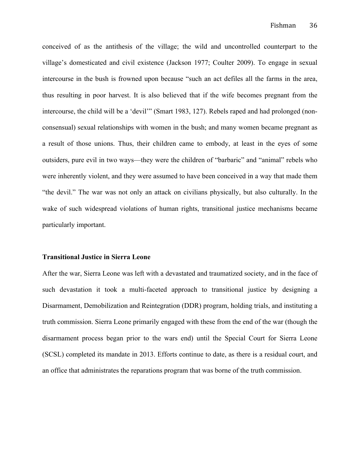conceived of as the antithesis of the village; the wild and uncontrolled counterpart to the village's domesticated and civil existence (Jackson 1977; Coulter 2009). To engage in sexual intercourse in the bush is frowned upon because "such an act defiles all the farms in the area, thus resulting in poor harvest. It is also believed that if the wife becomes pregnant from the intercourse, the child will be a 'devil'" (Smart 1983, 127). Rebels raped and had prolonged (nonconsensual) sexual relationships with women in the bush; and many women became pregnant as a result of those unions. Thus, their children came to embody, at least in the eyes of some outsiders, pure evil in two ways—they were the children of "barbaric" and "animal" rebels who were inherently violent, and they were assumed to have been conceived in a way that made them "the devil." The war was not only an attack on civilians physically, but also culturally. In the wake of such widespread violations of human rights, transitional justice mechanisms became particularly important.

#### **Transitional Justice in Sierra Leone**

After the war, Sierra Leone was left with a devastated and traumatized society, and in the face of such devastation it took a multi-faceted approach to transitional justice by designing a Disarmament, Demobilization and Reintegration (DDR) program, holding trials, and instituting a truth commission. Sierra Leone primarily engaged with these from the end of the war (though the disarmament process began prior to the wars end) until the Special Court for Sierra Leone (SCSL) completed its mandate in 2013. Efforts continue to date, as there is a residual court, and an office that administrates the reparations program that was borne of the truth commission.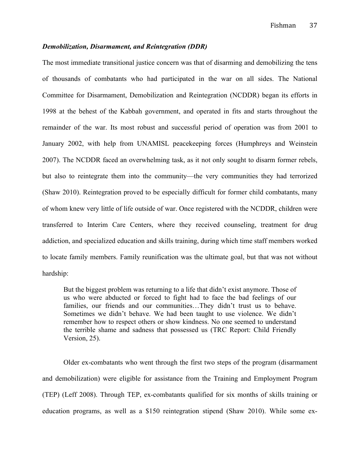## *Demobilization, Disarmament, and Reintegration (DDR)*

The most immediate transitional justice concern was that of disarming and demobilizing the tens of thousands of combatants who had participated in the war on all sides. The National Committee for Disarmament, Demobilization and Reintegration (NCDDR) began its efforts in 1998 at the behest of the Kabbah government, and operated in fits and starts throughout the remainder of the war. Its most robust and successful period of operation was from 2001 to January 2002, with help from UNAMISL peacekeeping forces (Humphreys and Weinstein 2007). The NCDDR faced an overwhelming task, as it not only sought to disarm former rebels, but also to reintegrate them into the community—the very communities they had terrorized (Shaw 2010). Reintegration proved to be especially difficult for former child combatants, many of whom knew very little of life outside of war. Once registered with the NCDDR, children were transferred to Interim Care Centers, where they received counseling, treatment for drug addiction, and specialized education and skills training, during which time staff members worked to locate family members. Family reunification was the ultimate goal, but that was not without hardship:

But the biggest problem was returning to a life that didn't exist anymore. Those of us who were abducted or forced to fight had to face the bad feelings of our families, our friends and our communities…They didn't trust us to behave. Sometimes we didn't behave. We had been taught to use violence. We didn't remember how to respect others or show kindness. No one seemed to understand the terrible shame and sadness that possessed us (TRC Report: Child Friendly Version, 25).

Older ex-combatants who went through the first two steps of the program (disarmament and demobilization) were eligible for assistance from the Training and Employment Program (TEP) (Leff 2008). Through TEP, ex-combatants qualified for six months of skills training or education programs, as well as a \$150 reintegration stipend (Shaw 2010). While some ex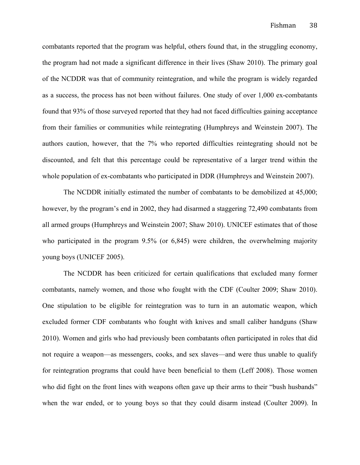combatants reported that the program was helpful, others found that, in the struggling economy, the program had not made a significant difference in their lives (Shaw 2010). The primary goal of the NCDDR was that of community reintegration, and while the program is widely regarded as a success, the process has not been without failures. One study of over 1,000 ex-combatants found that 93% of those surveyed reported that they had not faced difficulties gaining acceptance from their families or communities while reintegrating (Humphreys and Weinstein 2007). The authors caution, however, that the 7% who reported difficulties reintegrating should not be discounted, and felt that this percentage could be representative of a larger trend within the whole population of ex-combatants who participated in DDR (Humphreys and Weinstein 2007).

The NCDDR initially estimated the number of combatants to be demobilized at 45,000; however, by the program's end in 2002, they had disarmed a staggering 72,490 combatants from all armed groups (Humphreys and Weinstein 2007; Shaw 2010). UNICEF estimates that of those who participated in the program 9.5% (or 6,845) were children, the overwhelming majority young boys (UNICEF 2005).

The NCDDR has been criticized for certain qualifications that excluded many former combatants, namely women, and those who fought with the CDF (Coulter 2009; Shaw 2010). One stipulation to be eligible for reintegration was to turn in an automatic weapon, which excluded former CDF combatants who fought with knives and small caliber handguns (Shaw 2010). Women and girls who had previously been combatants often participated in roles that did not require a weapon—as messengers, cooks, and sex slaves—and were thus unable to qualify for reintegration programs that could have been beneficial to them (Leff 2008). Those women who did fight on the front lines with weapons often gave up their arms to their "bush husbands" when the war ended, or to young boys so that they could disarm instead (Coulter 2009). In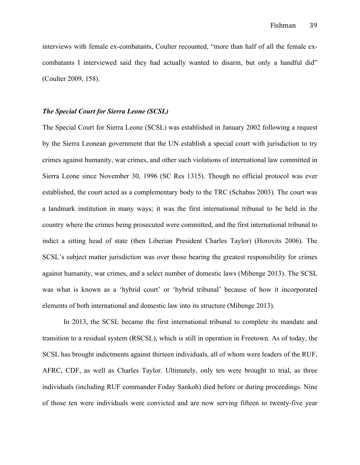interviews with female ex-combatants, Coulter recounted, "more than half of all the female excombatants I interviewed said they had actually wanted to disarm, but only a handful did" (Coulter 2009, 158).

## *The Special Court for Sierra Leone (SCSL)*

The Special Court for Sierra Leone (SCSL) was established in January 2002 following a request by the Sierra Leonean government that the UN establish a special court with jurisdiction to try crimes against humanity, war crimes, and other such violations of international law committed in Sierra Leone since November 30, 1996 (SC Res 1315). Though no official protocol was ever established, the court acted as a complementary body to the TRC (Schabas 2003). The court was a landmark institution in many ways; it was the first international tribunal to be held in the country where the crimes being prosecuted were committed, and the first international tribunal to indict a sitting head of state (then Liberian President Charles Taylor) (Horovits 2006). The SCSL's subject matter jurisdiction was over those bearing the greatest responsibility for crimes against humanity, war crimes, and a select number of domestic laws (Mibenge 2013). The SCSL was what is known as a 'hybrid court' or 'hybrid tribunal' because of how it incorporated elements of both international and domestic law into its structure (Mibenge 2013).

In 2013, the SCSL became the first international tribunal to complete its mandate and transition to a residual system (RSCSL), which is still in operation in Freetown. As of today, the SCSL has brought indictments against thirteen individuals, all of whom were leaders of the RUF, AFRC, CDF, as well as Charles Taylor. Ultimately, only ten were brought to trial, as three individuals (including RUF commander Foday Sankoh) died before or during proceedings. Nine of those ten were individuals were convicted and are now serving fifteen to twenty-five year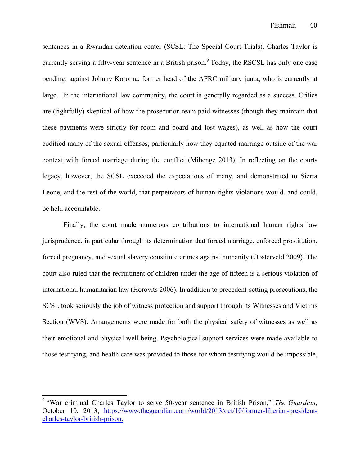sentences in a Rwandan detention center (SCSL: The Special Court Trials). Charles Taylor is currently serving a fifty-year sentence in a British prison.<sup>9</sup> Today, the RSCSL has only one case pending: against Johnny Koroma, former head of the AFRC military junta, who is currently at large. In the international law community, the court is generally regarded as a success. Critics are (rightfully) skeptical of how the prosecution team paid witnesses (though they maintain that these payments were strictly for room and board and lost wages), as well as how the court codified many of the sexual offenses, particularly how they equated marriage outside of the war context with forced marriage during the conflict (Mibenge 2013). In reflecting on the courts legacy, however, the SCSL exceeded the expectations of many, and demonstrated to Sierra Leone, and the rest of the world, that perpetrators of human rights violations would, and could, be held accountable.

Finally, the court made numerous contributions to international human rights law jurisprudence, in particular through its determination that forced marriage, enforced prostitution, forced pregnancy, and sexual slavery constitute crimes against humanity (Oosterveld 2009). The court also ruled that the recruitment of children under the age of fifteen is a serious violation of international humanitarian law (Horovits 2006). In addition to precedent-setting prosecutions, the SCSL took seriously the job of witness protection and support through its Witnesses and Victims Section (WVS). Arrangements were made for both the physical safety of witnesses as well as their emotional and physical well-being. Psychological support services were made available to those testifying, and health care was provided to those for whom testifying would be impossible,

 <sup>9</sup> "War criminal Charles Taylor to serve 50-year sentence in British Prison," *The Guardian*, October 10, 2013, https://www.theguardian.com/world/2013/oct/10/former-liberian-presidentcharles-taylor-british-prison.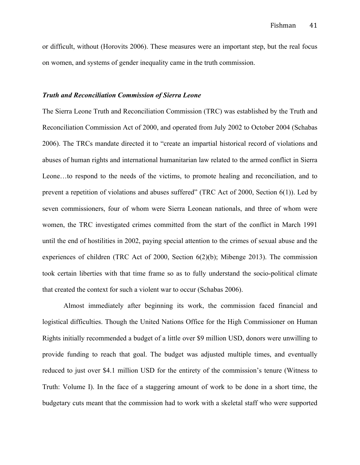or difficult, without (Horovits 2006). These measures were an important step, but the real focus on women, and systems of gender inequality came in the truth commission.

## *Truth and Reconciliation Commission of Sierra Leone*

The Sierra Leone Truth and Reconciliation Commission (TRC) was established by the Truth and Reconciliation Commission Act of 2000, and operated from July 2002 to October 2004 (Schabas 2006). The TRCs mandate directed it to "create an impartial historical record of violations and abuses of human rights and international humanitarian law related to the armed conflict in Sierra Leone…to respond to the needs of the victims, to promote healing and reconciliation, and to prevent a repetition of violations and abuses suffered" (TRC Act of 2000, Section 6(1)). Led by seven commissioners, four of whom were Sierra Leonean nationals, and three of whom were women, the TRC investigated crimes committed from the start of the conflict in March 1991 until the end of hostilities in 2002, paying special attention to the crimes of sexual abuse and the experiences of children (TRC Act of 2000, Section 6(2)(b); Mibenge 2013). The commission took certain liberties with that time frame so as to fully understand the socio-political climate that created the context for such a violent war to occur (Schabas 2006).

Almost immediately after beginning its work, the commission faced financial and logistical difficulties. Though the United Nations Office for the High Commissioner on Human Rights initially recommended a budget of a little over \$9 million USD, donors were unwilling to provide funding to reach that goal. The budget was adjusted multiple times, and eventually reduced to just over \$4.1 million USD for the entirety of the commission's tenure (Witness to Truth: Volume I). In the face of a staggering amount of work to be done in a short time, the budgetary cuts meant that the commission had to work with a skeletal staff who were supported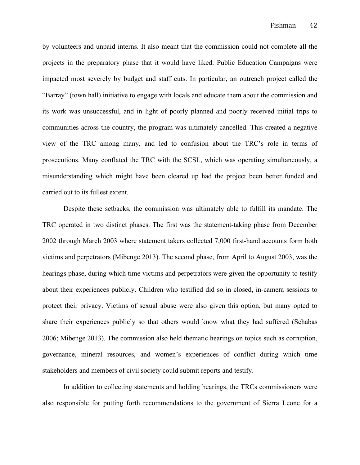by volunteers and unpaid interns. It also meant that the commission could not complete all the projects in the preparatory phase that it would have liked. Public Education Campaigns were impacted most severely by budget and staff cuts. In particular, an outreach project called the "Barray" (town hall) initiative to engage with locals and educate them about the commission and its work was unsuccessful, and in light of poorly planned and poorly received initial trips to communities across the country, the program was ultimately cancelled. This created a negative view of the TRC among many, and led to confusion about the TRC's role in terms of prosecutions. Many conflated the TRC with the SCSL, which was operating simultaneously, a misunderstanding which might have been cleared up had the project been better funded and carried out to its fullest extent.

Despite these setbacks, the commission was ultimately able to fulfill its mandate. The TRC operated in two distinct phases. The first was the statement-taking phase from December 2002 through March 2003 where statement takers collected 7,000 first-hand accounts form both victims and perpetrators (Mibenge 2013). The second phase, from April to August 2003, was the hearings phase, during which time victims and perpetrators were given the opportunity to testify about their experiences publicly. Children who testified did so in closed, in-camera sessions to protect their privacy. Victims of sexual abuse were also given this option, but many opted to share their experiences publicly so that others would know what they had suffered (Schabas 2006; Mibenge 2013). The commission also held thematic hearings on topics such as corruption, governance, mineral resources, and women's experiences of conflict during which time stakeholders and members of civil society could submit reports and testify.

In addition to collecting statements and holding hearings, the TRCs commissioners were also responsible for putting forth recommendations to the government of Sierra Leone for a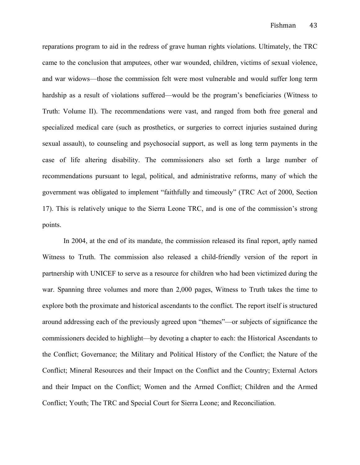reparations program to aid in the redress of grave human rights violations. Ultimately, the TRC came to the conclusion that amputees, other war wounded, children, victims of sexual violence, and war widows—those the commission felt were most vulnerable and would suffer long term hardship as a result of violations suffered—would be the program's beneficiaries (Witness to Truth: Volume II). The recommendations were vast, and ranged from both free general and specialized medical care (such as prosthetics, or surgeries to correct injuries sustained during sexual assault), to counseling and psychosocial support, as well as long term payments in the case of life altering disability. The commissioners also set forth a large number of recommendations pursuant to legal, political, and administrative reforms, many of which the government was obligated to implement "faithfully and timeously" (TRC Act of 2000, Section 17). This is relatively unique to the Sierra Leone TRC, and is one of the commission's strong points.

In 2004, at the end of its mandate, the commission released its final report, aptly named Witness to Truth. The commission also released a child-friendly version of the report in partnership with UNICEF to serve as a resource for children who had been victimized during the war. Spanning three volumes and more than 2,000 pages, Witness to Truth takes the time to explore both the proximate and historical ascendants to the conflict. The report itself is structured around addressing each of the previously agreed upon "themes"—or subjects of significance the commissioners decided to highlight—by devoting a chapter to each: the Historical Ascendants to the Conflict; Governance; the Military and Political History of the Conflict; the Nature of the Conflict; Mineral Resources and their Impact on the Conflict and the Country; External Actors and their Impact on the Conflict; Women and the Armed Conflict; Children and the Armed Conflict; Youth; The TRC and Special Court for Sierra Leone; and Reconciliation.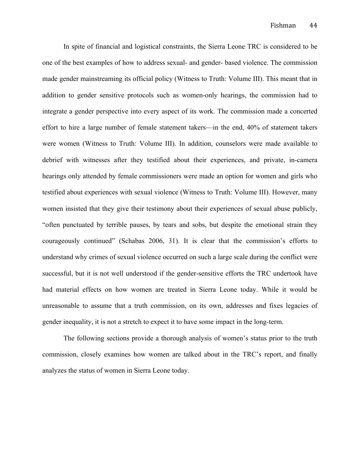In spite of financial and logistical constraints, the Sierra Leone TRC is considered to be one of the best examples of how to address sexual- and gender- based violence. The commission made gender mainstreaming its official policy (Witness to Truth: Volume III). This meant that in addition to gender sensitive protocols such as women-only hearings, the commission had to integrate a gender perspective into every aspect of its work. The commission made a concerted effort to hire a large number of female statement takers—in the end, 40% of statement takers were women (Witness to Truth: Volume III). In addition, counselors were made available to debrief with witnesses after they testified about their experiences, and private, in-camera hearings only attended by female commissioners were made an option for women and girls who testified about experiences with sexual violence (Witness to Truth: Volume III). However, many women insisted that they give their testimony about their experiences of sexual abuse publicly, "often punctuated by terrible pauses, by tears and sobs, but despite the emotional strain they courageously continued" (Schabas 2006, 31). It is clear that the commission's efforts to understand why crimes of sexual violence occurred on such a large scale during the conflict were successful, but it is not well understood if the gender-sensitive efforts the TRC undertook have had material effects on how women are treated in Sierra Leone today. While it would be unreasonable to assume that a truth commission, on its own, addresses and fixes legacies of gender inequality, it is not a stretch to expect it to have some impact in the long-term.

The following sections provide a thorough analysis of women's status prior to the truth commission, closely examines how women are talked about in the TRC's report, and finally analyzes the status of women in Sierra Leone today.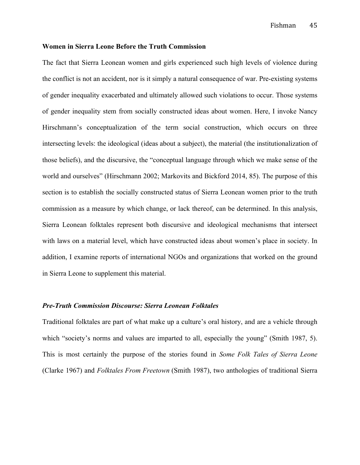### **Women in Sierra Leone Before the Truth Commission**

The fact that Sierra Leonean women and girls experienced such high levels of violence during the conflict is not an accident, nor is it simply a natural consequence of war. Pre-existing systems of gender inequality exacerbated and ultimately allowed such violations to occur. Those systems of gender inequality stem from socially constructed ideas about women. Here, I invoke Nancy Hirschmann's conceptualization of the term social construction, which occurs on three intersecting levels: the ideological (ideas about a subject), the material (the institutionalization of those beliefs), and the discursive, the "conceptual language through which we make sense of the world and ourselves" (Hirschmann 2002; Markovits and Bickford 2014, 85). The purpose of this section is to establish the socially constructed status of Sierra Leonean women prior to the truth commission as a measure by which change, or lack thereof, can be determined. In this analysis, Sierra Leonean folktales represent both discursive and ideological mechanisms that intersect with laws on a material level, which have constructed ideas about women's place in society. In addition, I examine reports of international NGOs and organizations that worked on the ground in Sierra Leone to supplement this material.

### *Pre-Truth Commission Discourse: Sierra Leonean Folktales*

Traditional folktales are part of what make up a culture's oral history, and are a vehicle through which "society's norms and values are imparted to all, especially the young" (Smith 1987, 5). This is most certainly the purpose of the stories found in *Some Folk Tales of Sierra Leone*  (Clarke 1967) and *Folktales From Freetown* (Smith 1987), two anthologies of traditional Sierra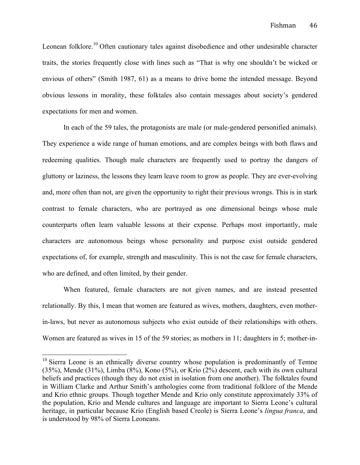Leonean folklore.<sup>10</sup> Often cautionary tales against disobedience and other undesirable character traits, the stories frequently close with lines such as "That is why one shouldn't be wicked or envious of others" (Smith 1987, 61) as a means to drive home the intended message. Beyond obvious lessons in morality, these folktales also contain messages about society's gendered expectations for men and women.

In each of the 59 tales, the protagonists are male (or male-gendered personified animals). They experience a wide range of human emotions, and are complex beings with both flaws and redeeming qualities. Though male characters are frequently used to portray the dangers of gluttony or laziness, the lessons they learn leave room to grow as people. They are ever-evolving and, more often than not, are given the opportunity to right their previous wrongs. This is in stark contrast to female characters, who are portrayed as one dimensional beings whose male counterparts often learn valuable lessons at their expense. Perhaps most importantly, male characters are autonomous beings whose personality and purpose exist outside gendered expectations of, for example, strength and masculinity. This is not the case for female characters, who are defined, and often limited, by their gender.

When featured, female characters are not given names, and are instead presented relationally. By this, I mean that women are featured as wives, mothers, daughters, even motherin-laws, but never as autonomous subjects who exist outside of their relationships with others. Women are featured as wives in 15 of the 59 stories; as mothers in 11; daughters in 5; mother-in-

<sup>&</sup>lt;sup>10</sup> Sierra Leone is an ethnically diverse country whose population is predominantly of Temne (35%), Mende (31%), Limba (8%), Kono (5%), or Krio (2%) descent, each with its own cultural beliefs and practices (though they do not exist in isolation from one another). The folktales found in William Clarke and Arthur Smith's anthologies come from traditional folklore of the Mende and Krio ethnic groups. Though together Mende and Krio only constitute approximately 33% of the population, Krio and Mende cultures and language are important to Sierra Leone's cultural heritage, in particular because Krio (English based Creole) is Sierra Leone's *lingua franca*, and is understood by 98% of Sierra Leoneans.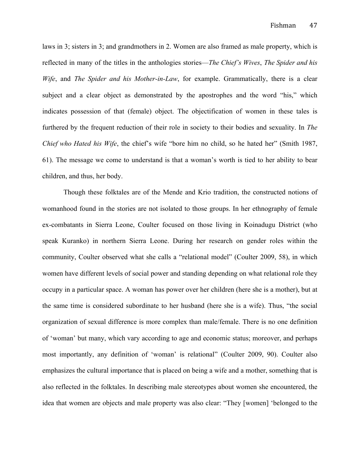laws in 3; sisters in 3; and grandmothers in 2. Women are also framed as male property, which is reflected in many of the titles in the anthologies stories—*The Chief's Wives*, *The Spider and his Wife*, and *The Spider and his Mother-in-Law*, for example. Grammatically, there is a clear subject and a clear object as demonstrated by the apostrophes and the word "his," which indicates possession of that (female) object. The objectification of women in these tales is furthered by the frequent reduction of their role in society to their bodies and sexuality. In *The Chief who Hated his Wife*, the chief's wife "bore him no child, so he hated her" (Smith 1987, 61). The message we come to understand is that a woman's worth is tied to her ability to bear children, and thus, her body.

Though these folktales are of the Mende and Krio tradition, the constructed notions of womanhood found in the stories are not isolated to those groups. In her ethnography of female ex-combatants in Sierra Leone, Coulter focused on those living in Koinadugu District (who speak Kuranko) in northern Sierra Leone. During her research on gender roles within the community, Coulter observed what she calls a "relational model" (Coulter 2009, 58), in which women have different levels of social power and standing depending on what relational role they occupy in a particular space. A woman has power over her children (here she is a mother), but at the same time is considered subordinate to her husband (here she is a wife). Thus, "the social organization of sexual difference is more complex than male/female. There is no one definition of 'woman' but many, which vary according to age and economic status; moreover, and perhaps most importantly, any definition of 'woman' is relational" (Coulter 2009, 90). Coulter also emphasizes the cultural importance that is placed on being a wife and a mother, something that is also reflected in the folktales. In describing male stereotypes about women she encountered, the idea that women are objects and male property was also clear: "They [women] 'belonged to the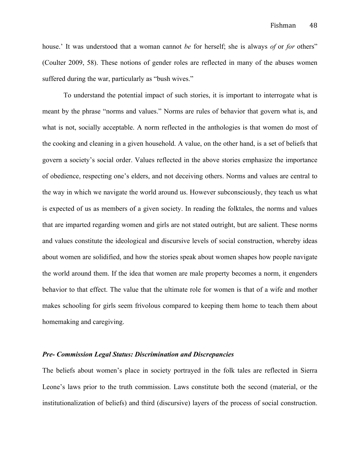house.' It was understood that a woman cannot *be* for herself; she is always *of* or *for* others" (Coulter 2009, 58). These notions of gender roles are reflected in many of the abuses women suffered during the war, particularly as "bush wives."

To understand the potential impact of such stories, it is important to interrogate what is meant by the phrase "norms and values." Norms are rules of behavior that govern what is, and what is not, socially acceptable. A norm reflected in the anthologies is that women do most of the cooking and cleaning in a given household. A value, on the other hand, is a set of beliefs that govern a society's social order. Values reflected in the above stories emphasize the importance of obedience, respecting one's elders, and not deceiving others. Norms and values are central to the way in which we navigate the world around us. However subconsciously, they teach us what is expected of us as members of a given society. In reading the folktales, the norms and values that are imparted regarding women and girls are not stated outright, but are salient. These norms and values constitute the ideological and discursive levels of social construction, whereby ideas about women are solidified, and how the stories speak about women shapes how people navigate the world around them. If the idea that women are male property becomes a norm, it engenders behavior to that effect. The value that the ultimate role for women is that of a wife and mother makes schooling for girls seem frivolous compared to keeping them home to teach them about homemaking and caregiving.

#### *Pre- Commission Legal Status: Discrimination and Discrepancies*

The beliefs about women's place in society portrayed in the folk tales are reflected in Sierra Leone's laws prior to the truth commission. Laws constitute both the second (material, or the institutionalization of beliefs) and third (discursive) layers of the process of social construction.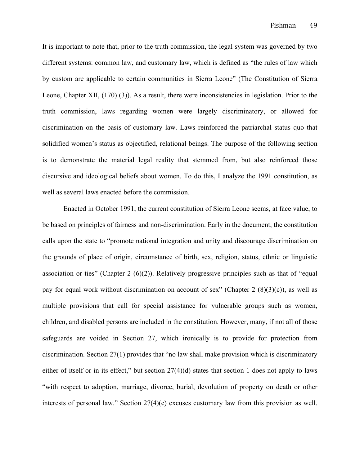It is important to note that, prior to the truth commission, the legal system was governed by two different systems: common law, and customary law, which is defined as "the rules of law which by custom are applicable to certain communities in Sierra Leone" (The Constitution of Sierra Leone, Chapter XII, (170) (3)). As a result, there were inconsistencies in legislation. Prior to the truth commission, laws regarding women were largely discriminatory, or allowed for discrimination on the basis of customary law. Laws reinforced the patriarchal status quo that solidified women's status as objectified, relational beings. The purpose of the following section is to demonstrate the material legal reality that stemmed from, but also reinforced those discursive and ideological beliefs about women. To do this, I analyze the 1991 constitution, as well as several laws enacted before the commission.

Enacted in October 1991, the current constitution of Sierra Leone seems, at face value, to be based on principles of fairness and non-discrimination. Early in the document, the constitution calls upon the state to "promote national integration and unity and discourage discrimination on the grounds of place of origin, circumstance of birth, sex, religion, status, ethnic or linguistic association or ties" (Chapter 2  $(6)(2)$ ). Relatively progressive principles such as that of "equal pay for equal work without discrimination on account of sex" (Chapter 2  $(8)(3)(c)$ ), as well as multiple provisions that call for special assistance for vulnerable groups such as women, children, and disabled persons are included in the constitution. However, many, if not all of those safeguards are voided in Section 27, which ironically is to provide for protection from discrimination. Section 27(1) provides that "no law shall make provision which is discriminatory either of itself or in its effect," but section  $27(4)(d)$  states that section 1 does not apply to laws "with respect to adoption, marriage, divorce, burial, devolution of property on death or other interests of personal law." Section 27(4)(e) excuses customary law from this provision as well.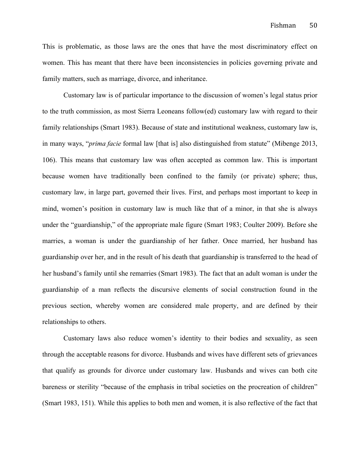This is problematic, as those laws are the ones that have the most discriminatory effect on women. This has meant that there have been inconsistencies in policies governing private and family matters, such as marriage, divorce, and inheritance.

Customary law is of particular importance to the discussion of women's legal status prior to the truth commission, as most Sierra Leoneans follow(ed) customary law with regard to their family relationships (Smart 1983). Because of state and institutional weakness, customary law is, in many ways, "*prima facie* formal law [that is] also distinguished from statute" (Mibenge 2013, 106). This means that customary law was often accepted as common law. This is important because women have traditionally been confined to the family (or private) sphere; thus, customary law, in large part, governed their lives. First, and perhaps most important to keep in mind, women's position in customary law is much like that of a minor, in that she is always under the "guardianship," of the appropriate male figure (Smart 1983; Coulter 2009). Before she marries, a woman is under the guardianship of her father. Once married, her husband has guardianship over her, and in the result of his death that guardianship is transferred to the head of her husband's family until she remarries (Smart 1983). The fact that an adult woman is under the guardianship of a man reflects the discursive elements of social construction found in the previous section, whereby women are considered male property, and are defined by their relationships to others.

Customary laws also reduce women's identity to their bodies and sexuality, as seen through the acceptable reasons for divorce. Husbands and wives have different sets of grievances that qualify as grounds for divorce under customary law. Husbands and wives can both cite bareness or sterility "because of the emphasis in tribal societies on the procreation of children" (Smart 1983, 151). While this applies to both men and women, it is also reflective of the fact that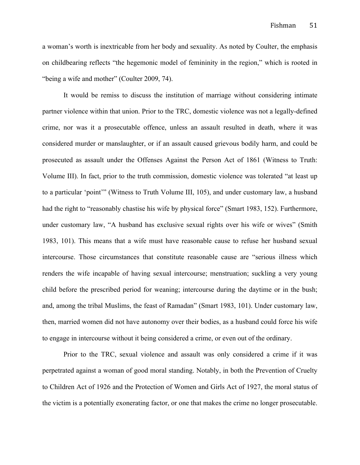a woman's worth is inextricable from her body and sexuality. As noted by Coulter, the emphasis on childbearing reflects "the hegemonic model of femininity in the region," which is rooted in "being a wife and mother" (Coulter 2009, 74).

It would be remiss to discuss the institution of marriage without considering intimate partner violence within that union. Prior to the TRC, domestic violence was not a legally-defined crime, nor was it a prosecutable offence, unless an assault resulted in death, where it was considered murder or manslaughter, or if an assault caused grievous bodily harm, and could be prosecuted as assault under the Offenses Against the Person Act of 1861 (Witness to Truth: Volume III). In fact, prior to the truth commission, domestic violence was tolerated "at least up to a particular 'point'" (Witness to Truth Volume III, 105), and under customary law, a husband had the right to "reasonably chastise his wife by physical force" (Smart 1983, 152). Furthermore, under customary law, "A husband has exclusive sexual rights over his wife or wives" (Smith 1983, 101). This means that a wife must have reasonable cause to refuse her husband sexual intercourse. Those circumstances that constitute reasonable cause are "serious illness which renders the wife incapable of having sexual intercourse; menstruation; suckling a very young child before the prescribed period for weaning; intercourse during the daytime or in the bush; and, among the tribal Muslims, the feast of Ramadan" (Smart 1983, 101). Under customary law, then, married women did not have autonomy over their bodies, as a husband could force his wife to engage in intercourse without it being considered a crime, or even out of the ordinary.

Prior to the TRC, sexual violence and assault was only considered a crime if it was perpetrated against a woman of good moral standing. Notably, in both the Prevention of Cruelty to Children Act of 1926 and the Protection of Women and Girls Act of 1927, the moral status of the victim is a potentially exonerating factor, or one that makes the crime no longer prosecutable.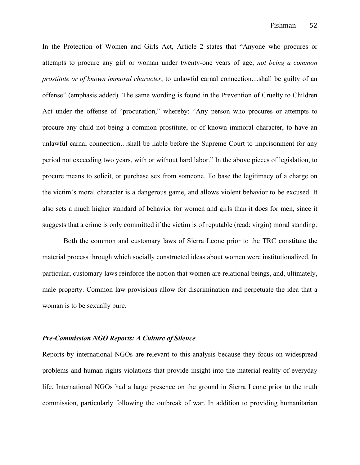In the Protection of Women and Girls Act, Article 2 states that "Anyone who procures or attempts to procure any girl or woman under twenty-one years of age, *not being a common prostitute or of known immoral character*, to unlawful carnal connection…shall be guilty of an offense" (emphasis added). The same wording is found in the Prevention of Cruelty to Children Act under the offense of "procuration," whereby: "Any person who procures or attempts to procure any child not being a common prostitute, or of known immoral character, to have an unlawful carnal connection…shall be liable before the Supreme Court to imprisonment for any period not exceeding two years, with or without hard labor." In the above pieces of legislation, to procure means to solicit, or purchase sex from someone. To base the legitimacy of a charge on the victim's moral character is a dangerous game, and allows violent behavior to be excused. It also sets a much higher standard of behavior for women and girls than it does for men, since it suggests that a crime is only committed if the victim is of reputable (read: virgin) moral standing.

Both the common and customary laws of Sierra Leone prior to the TRC constitute the material process through which socially constructed ideas about women were institutionalized. In particular, customary laws reinforce the notion that women are relational beings, and, ultimately, male property. Common law provisions allow for discrimination and perpetuate the idea that a woman is to be sexually pure.

#### *Pre-Commission NGO Reports: A Culture of Silence*

Reports by international NGOs are relevant to this analysis because they focus on widespread problems and human rights violations that provide insight into the material reality of everyday life. International NGOs had a large presence on the ground in Sierra Leone prior to the truth commission, particularly following the outbreak of war. In addition to providing humanitarian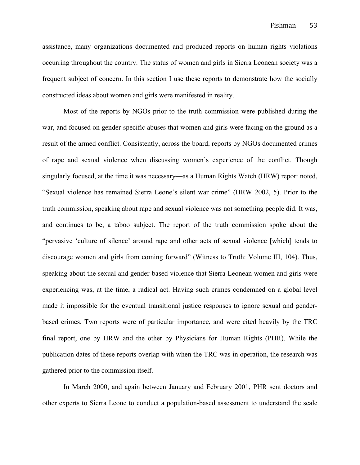assistance, many organizations documented and produced reports on human rights violations occurring throughout the country. The status of women and girls in Sierra Leonean society was a frequent subject of concern. In this section I use these reports to demonstrate how the socially constructed ideas about women and girls were manifested in reality.

Most of the reports by NGOs prior to the truth commission were published during the war, and focused on gender-specific abuses that women and girls were facing on the ground as a result of the armed conflict. Consistently, across the board, reports by NGOs documented crimes of rape and sexual violence when discussing women's experience of the conflict. Though singularly focused, at the time it was necessary—as a Human Rights Watch (HRW) report noted, "Sexual violence has remained Sierra Leone's silent war crime" (HRW 2002, 5). Prior to the truth commission, speaking about rape and sexual violence was not something people did. It was, and continues to be, a taboo subject. The report of the truth commission spoke about the "pervasive 'culture of silence' around rape and other acts of sexual violence [which] tends to discourage women and girls from coming forward" (Witness to Truth: Volume III, 104). Thus, speaking about the sexual and gender-based violence that Sierra Leonean women and girls were experiencing was, at the time, a radical act. Having such crimes condemned on a global level made it impossible for the eventual transitional justice responses to ignore sexual and genderbased crimes. Two reports were of particular importance, and were cited heavily by the TRC final report, one by HRW and the other by Physicians for Human Rights (PHR). While the publication dates of these reports overlap with when the TRC was in operation, the research was gathered prior to the commission itself.

In March 2000, and again between January and February 2001, PHR sent doctors and other experts to Sierra Leone to conduct a population-based assessment to understand the scale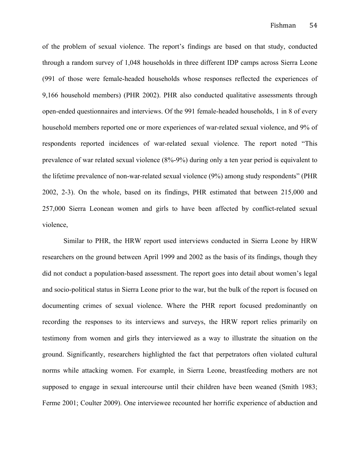of the problem of sexual violence. The report's findings are based on that study, conducted through a random survey of 1,048 households in three different IDP camps across Sierra Leone (991 of those were female-headed households whose responses reflected the experiences of 9,166 household members) (PHR 2002). PHR also conducted qualitative assessments through open-ended questionnaires and interviews. Of the 991 female-headed households, 1 in 8 of every household members reported one or more experiences of war-related sexual violence, and 9% of respondents reported incidences of war-related sexual violence. The report noted "This prevalence of war related sexual violence (8%-9%) during only a ten year period is equivalent to the lifetime prevalence of non-war-related sexual violence (9%) among study respondents" (PHR 2002, 2-3). On the whole, based on its findings, PHR estimated that between 215,000 and 257,000 Sierra Leonean women and girls to have been affected by conflict-related sexual violence,

Similar to PHR, the HRW report used interviews conducted in Sierra Leone by HRW researchers on the ground between April 1999 and 2002 as the basis of its findings, though they did not conduct a population-based assessment. The report goes into detail about women's legal and socio-political status in Sierra Leone prior to the war, but the bulk of the report is focused on documenting crimes of sexual violence. Where the PHR report focused predominantly on recording the responses to its interviews and surveys, the HRW report relies primarily on testimony from women and girls they interviewed as a way to illustrate the situation on the ground. Significantly, researchers highlighted the fact that perpetrators often violated cultural norms while attacking women. For example, in Sierra Leone, breastfeeding mothers are not supposed to engage in sexual intercourse until their children have been weaned (Smith 1983; Ferme 2001; Coulter 2009). One interviewee recounted her horrific experience of abduction and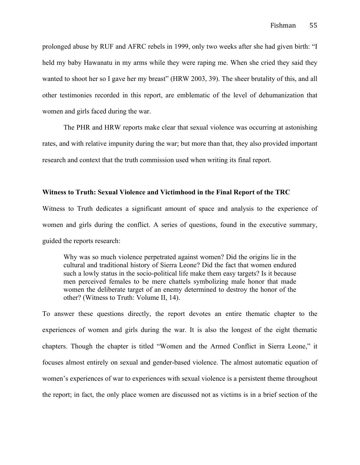prolonged abuse by RUF and AFRC rebels in 1999, only two weeks after she had given birth: "I held my baby Hawanatu in my arms while they were raping me. When she cried they said they wanted to shoot her so I gave her my breast" (HRW 2003, 39). The sheer brutality of this, and all other testimonies recorded in this report, are emblematic of the level of dehumanization that women and girls faced during the war.

The PHR and HRW reports make clear that sexual violence was occurring at astonishing rates, and with relative impunity during the war; but more than that, they also provided important research and context that the truth commission used when writing its final report.

## **Witness to Truth: Sexual Violence and Victimhood in the Final Report of the TRC**

Witness to Truth dedicates a significant amount of space and analysis to the experience of women and girls during the conflict. A series of questions, found in the executive summary, guided the reports research:

Why was so much violence perpetrated against women? Did the origins lie in the cultural and traditional history of Sierra Leone? Did the fact that women endured such a lowly status in the socio-political life make them easy targets? Is it because men perceived females to be mere chattels symbolizing male honor that made women the deliberate target of an enemy determined to destroy the honor of the other? (Witness to Truth: Volume II, 14).

To answer these questions directly, the report devotes an entire thematic chapter to the experiences of women and girls during the war. It is also the longest of the eight thematic chapters. Though the chapter is titled "Women and the Armed Conflict in Sierra Leone," it focuses almost entirely on sexual and gender-based violence. The almost automatic equation of women's experiences of war to experiences with sexual violence is a persistent theme throughout the report; in fact, the only place women are discussed not as victims is in a brief section of the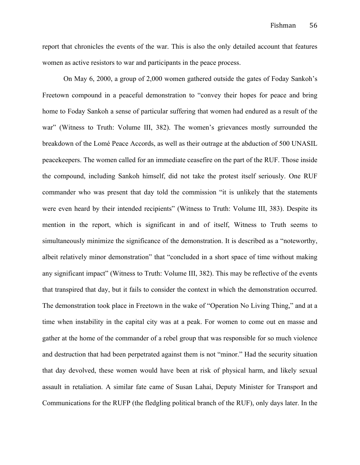report that chronicles the events of the war. This is also the only detailed account that features women as active resistors to war and participants in the peace process.

On May 6, 2000, a group of 2,000 women gathered outside the gates of Foday Sankoh's Freetown compound in a peaceful demonstration to "convey their hopes for peace and bring home to Foday Sankoh a sense of particular suffering that women had endured as a result of the war" (Witness to Truth: Volume III, 382). The women's grievances mostly surrounded the breakdown of the Lomé Peace Accords, as well as their outrage at the abduction of 500 UNASIL peacekeepers. The women called for an immediate ceasefire on the part of the RUF. Those inside the compound, including Sankoh himself, did not take the protest itself seriously. One RUF commander who was present that day told the commission "it is unlikely that the statements were even heard by their intended recipients" (Witness to Truth: Volume III, 383). Despite its mention in the report, which is significant in and of itself, Witness to Truth seems to simultaneously minimize the significance of the demonstration. It is described as a "noteworthy, albeit relatively minor demonstration" that "concluded in a short space of time without making any significant impact" (Witness to Truth: Volume III, 382). This may be reflective of the events that transpired that day, but it fails to consider the context in which the demonstration occurred. The demonstration took place in Freetown in the wake of "Operation No Living Thing," and at a time when instability in the capital city was at a peak. For women to come out en masse and gather at the home of the commander of a rebel group that was responsible for so much violence and destruction that had been perpetrated against them is not "minor." Had the security situation that day devolved, these women would have been at risk of physical harm, and likely sexual assault in retaliation. A similar fate came of Susan Lahai, Deputy Minister for Transport and Communications for the RUFP (the fledgling political branch of the RUF), only days later. In the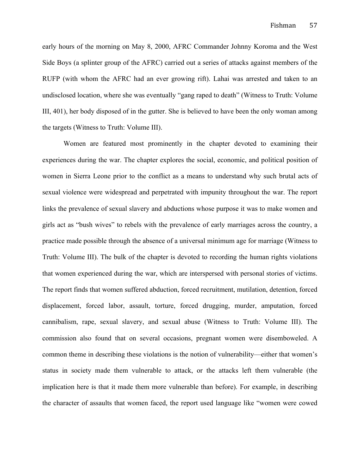early hours of the morning on May 8, 2000, AFRC Commander Johnny Koroma and the West Side Boys (a splinter group of the AFRC) carried out a series of attacks against members of the RUFP (with whom the AFRC had an ever growing rift). Lahai was arrested and taken to an undisclosed location, where she was eventually "gang raped to death" (Witness to Truth: Volume III, 401), her body disposed of in the gutter. She is believed to have been the only woman among the targets (Witness to Truth: Volume III).

Women are featured most prominently in the chapter devoted to examining their experiences during the war. The chapter explores the social, economic, and political position of women in Sierra Leone prior to the conflict as a means to understand why such brutal acts of sexual violence were widespread and perpetrated with impunity throughout the war. The report links the prevalence of sexual slavery and abductions whose purpose it was to make women and girls act as "bush wives" to rebels with the prevalence of early marriages across the country, a practice made possible through the absence of a universal minimum age for marriage (Witness to Truth: Volume III). The bulk of the chapter is devoted to recording the human rights violations that women experienced during the war, which are interspersed with personal stories of victims. The report finds that women suffered abduction, forced recruitment, mutilation, detention, forced displacement, forced labor, assault, torture, forced drugging, murder, amputation, forced cannibalism, rape, sexual slavery, and sexual abuse (Witness to Truth: Volume III). The commission also found that on several occasions, pregnant women were disemboweled. A common theme in describing these violations is the notion of vulnerability—either that women's status in society made them vulnerable to attack, or the attacks left them vulnerable (the implication here is that it made them more vulnerable than before). For example, in describing the character of assaults that women faced, the report used language like "women were cowed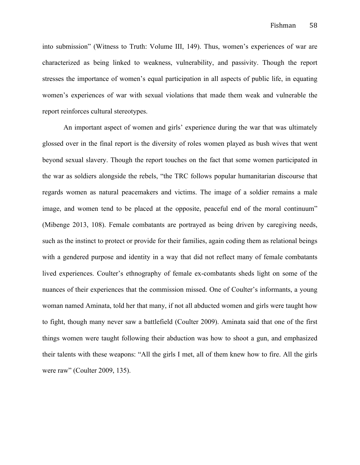into submission" (Witness to Truth: Volume III, 149). Thus, women's experiences of war are characterized as being linked to weakness, vulnerability, and passivity. Though the report stresses the importance of women's equal participation in all aspects of public life, in equating women's experiences of war with sexual violations that made them weak and vulnerable the report reinforces cultural stereotypes.

An important aspect of women and girls' experience during the war that was ultimately glossed over in the final report is the diversity of roles women played as bush wives that went beyond sexual slavery. Though the report touches on the fact that some women participated in the war as soldiers alongside the rebels, "the TRC follows popular humanitarian discourse that regards women as natural peacemakers and victims. The image of a soldier remains a male image, and women tend to be placed at the opposite, peaceful end of the moral continuum" (Mibenge 2013, 108). Female combatants are portrayed as being driven by caregiving needs, such as the instinct to protect or provide for their families, again coding them as relational beings with a gendered purpose and identity in a way that did not reflect many of female combatants lived experiences. Coulter's ethnography of female ex-combatants sheds light on some of the nuances of their experiences that the commission missed. One of Coulter's informants, a young woman named Aminata, told her that many, if not all abducted women and girls were taught how to fight, though many never saw a battlefield (Coulter 2009). Aminata said that one of the first things women were taught following their abduction was how to shoot a gun, and emphasized their talents with these weapons: "All the girls I met, all of them knew how to fire. All the girls were raw" (Coulter 2009, 135).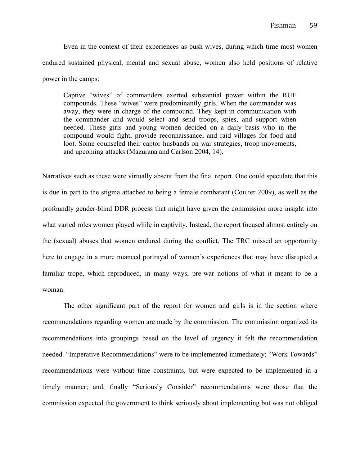Even in the context of their experiences as bush wives, during which time most women endured sustained physical, mental and sexual abuse, women also held positions of relative power in the camps:

Captive "wives" of commanders exerted substantial power within the RUF compounds. These "wives" were predominantly girls. When the commander was away, they were in charge of the compound. They kept in communication with the commander and would select and send troops, spies, and support when needed. These girls and young women decided on a daily basis who in the compound would fight, provide reconnaissance, and raid villages for food and loot. Some counseled their captor husbands on war strategies, troop movements, and upcoming attacks (Mazurana and Carlson 2004, 14).

Narratives such as these were virtually absent from the final report. One could speculate that this is due in part to the stigma attached to being a female combatant (Coulter 2009), as well as the profoundly gender-blind DDR process that might have given the commission more insight into what varied roles women played while in captivity. Instead, the report focused almost entirely on the (sexual) abuses that women endured during the conflict. The TRC missed an opportunity here to engage in a more nuanced portrayal of women's experiences that may have disrupted a familiar trope, which reproduced, in many ways, pre-war notions of what it meant to be a woman.

The other significant part of the report for women and girls is in the section where recommendations regarding women are made by the commission. The commission organized its recommendations into groupings based on the level of urgency it felt the recommendation needed. "Imperative Recommendations" were to be implemented immediately; "Work Towards" recommendations were without time constraints, but were expected to be implemented in a timely manner; and, finally "Seriously Consider" recommendations were those that the commission expected the government to think seriously about implementing but was not obliged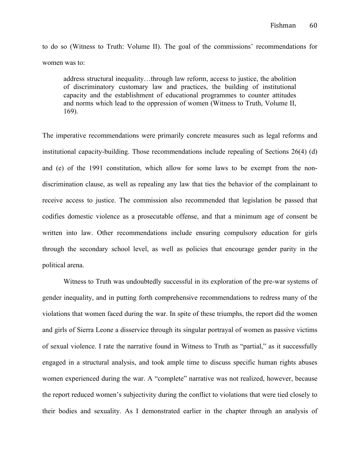to do so (Witness to Truth: Volume II). The goal of the commissions' recommendations for women was to:

address structural inequality…through law reform, access to justice, the abolition of discriminatory customary law and practices, the building of institutional capacity and the establishment of educational programmes to counter attitudes and norms which lead to the oppression of women (Witness to Truth, Volume II, 169).

The imperative recommendations were primarily concrete measures such as legal reforms and institutional capacity-building. Those recommendations include repealing of Sections 26(4) (d) and (e) of the 1991 constitution, which allow for some laws to be exempt from the nondiscrimination clause, as well as repealing any law that ties the behavior of the complainant to receive access to justice. The commission also recommended that legislation be passed that codifies domestic violence as a prosecutable offense, and that a minimum age of consent be written into law. Other recommendations include ensuring compulsory education for girls through the secondary school level, as well as policies that encourage gender parity in the political arena.

Witness to Truth was undoubtedly successful in its exploration of the pre-war systems of gender inequality, and in putting forth comprehensive recommendations to redress many of the violations that women faced during the war. In spite of these triumphs, the report did the women and girls of Sierra Leone a disservice through its singular portrayal of women as passive victims of sexual violence. I rate the narrative found in Witness to Truth as "partial," as it successfully engaged in a structural analysis, and took ample time to discuss specific human rights abuses women experienced during the war. A "complete" narrative was not realized, however, because the report reduced women's subjectivity during the conflict to violations that were tied closely to their bodies and sexuality. As I demonstrated earlier in the chapter through an analysis of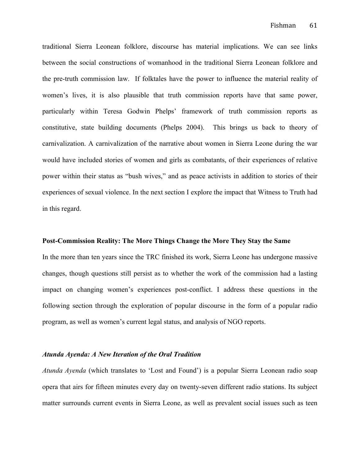traditional Sierra Leonean folklore, discourse has material implications. We can see links between the social constructions of womanhood in the traditional Sierra Leonean folklore and the pre-truth commission law. If folktales have the power to influence the material reality of women's lives, it is also plausible that truth commission reports have that same power, particularly within Teresa Godwin Phelps' framework of truth commission reports as constitutive, state building documents (Phelps 2004). This brings us back to theory of carnivalization. A carnivalization of the narrative about women in Sierra Leone during the war would have included stories of women and girls as combatants, of their experiences of relative power within their status as "bush wives," and as peace activists in addition to stories of their experiences of sexual violence. In the next section I explore the impact that Witness to Truth had in this regard.

### **Post-Commission Reality: The More Things Change the More They Stay the Same**

In the more than ten years since the TRC finished its work, Sierra Leone has undergone massive changes, though questions still persist as to whether the work of the commission had a lasting impact on changing women's experiences post-conflict. I address these questions in the following section through the exploration of popular discourse in the form of a popular radio program, as well as women's current legal status, and analysis of NGO reports.

#### *Atunda Ayenda: A New Iteration of the Oral Tradition*

*Atunda Ayenda* (which translates to 'Lost and Found') is a popular Sierra Leonean radio soap opera that airs for fifteen minutes every day on twenty-seven different radio stations. Its subject matter surrounds current events in Sierra Leone, as well as prevalent social issues such as teen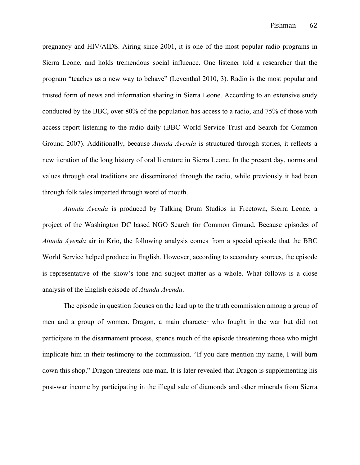pregnancy and HIV/AIDS. Airing since 2001, it is one of the most popular radio programs in Sierra Leone, and holds tremendous social influence. One listener told a researcher that the program "teaches us a new way to behave" (Leventhal 2010, 3). Radio is the most popular and trusted form of news and information sharing in Sierra Leone. According to an extensive study conducted by the BBC, over 80% of the population has access to a radio, and 75% of those with access report listening to the radio daily (BBC World Service Trust and Search for Common Ground 2007). Additionally, because *Atunda Ayenda* is structured through stories, it reflects a new iteration of the long history of oral literature in Sierra Leone. In the present day, norms and values through oral traditions are disseminated through the radio, while previously it had been through folk tales imparted through word of mouth.

*Atunda Ayenda* is produced by Talking Drum Studios in Freetown, Sierra Leone, a project of the Washington DC based NGO Search for Common Ground. Because episodes of *Atunda Ayenda* air in Krio, the following analysis comes from a special episode that the BBC World Service helped produce in English. However, according to secondary sources, the episode is representative of the show's tone and subject matter as a whole. What follows is a close analysis of the English episode of *Atunda Ayenda*.

The episode in question focuses on the lead up to the truth commission among a group of men and a group of women. Dragon, a main character who fought in the war but did not participate in the disarmament process, spends much of the episode threatening those who might implicate him in their testimony to the commission. "If you dare mention my name, I will burn down this shop," Dragon threatens one man. It is later revealed that Dragon is supplementing his post-war income by participating in the illegal sale of diamonds and other minerals from Sierra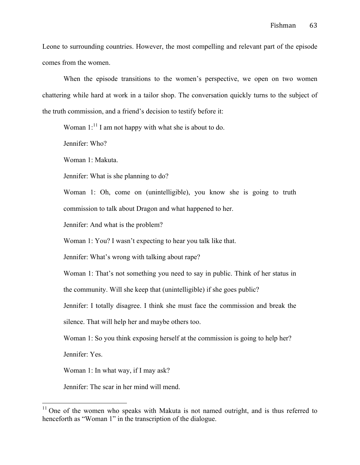Leone to surrounding countries. However, the most compelling and relevant part of the episode comes from the women.

When the episode transitions to the women's perspective, we open on two women chattering while hard at work in a tailor shop. The conversation quickly turns to the subject of the truth commission, and a friend's decision to testify before it:

Woman  $1$ :<sup>11</sup> I am not happy with what she is about to do.

Jennifer: Who?

Woman 1: Makuta.

Jennifer: What is she planning to do?

Woman 1: Oh, come on (unintelligible), you know she is going to truth commission to talk about Dragon and what happened to her.

Jennifer: And what is the problem?

Woman 1: You? I wasn't expecting to hear you talk like that.

Jennifer: What's wrong with talking about rape?

Woman 1: That's not something you need to say in public. Think of her status in

the community. Will she keep that (unintelligible) if she goes public?

Jennifer: I totally disagree. I think she must face the commission and break the

silence. That will help her and maybe others too.

Woman 1: So you think exposing herself at the commission is going to help her?

Jennifer: Yes.

Woman 1: In what way, if I may ask?

Jennifer: The scar in her mind will mend.

 $11$  One of the women who speaks with Makuta is not named outright, and is thus referred to henceforth as "Woman 1" in the transcription of the dialogue.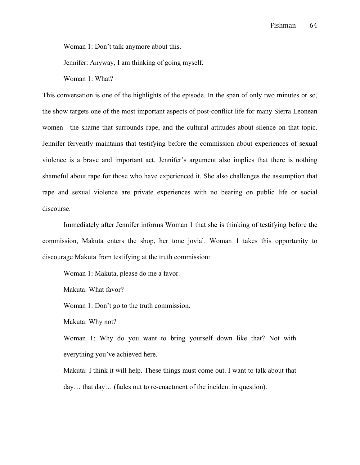Woman 1: Don't talk anymore about this.

Jennifer: Anyway, I am thinking of going myself.

Woman 1: What?

This conversation is one of the highlights of the episode. In the span of only two minutes or so, the show targets one of the most important aspects of post-conflict life for many Sierra Leonean women—the shame that surrounds rape, and the cultural attitudes about silence on that topic. Jennifer fervently maintains that testifying before the commission about experiences of sexual violence is a brave and important act. Jennifer's argument also implies that there is nothing shameful about rape for those who have experienced it. She also challenges the assumption that rape and sexual violence are private experiences with no bearing on public life or social discourse.

Immediately after Jennifer informs Woman 1 that she is thinking of testifying before the commission, Makuta enters the shop, her tone jovial. Woman 1 takes this opportunity to discourage Makuta from testifying at the truth commission:

Woman 1: Makuta, please do me a favor.

Makuta: What favor?

Woman 1: Don't go to the truth commission.

Makuta: Why not?

Woman 1: Why do you want to bring yourself down like that? Not with everything you've achieved here.

Makuta: I think it will help. These things must come out. I want to talk about that day… that day… (fades out to re-enactment of the incident in question).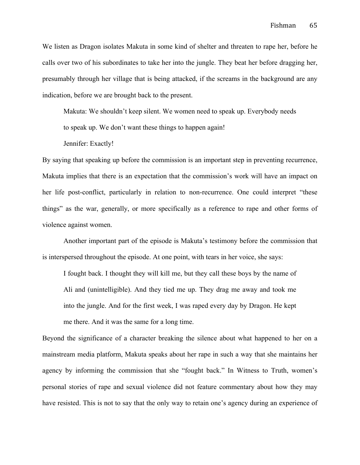We listen as Dragon isolates Makuta in some kind of shelter and threaten to rape her, before he calls over two of his subordinates to take her into the jungle. They beat her before dragging her, presumably through her village that is being attacked, if the screams in the background are any indication, before we are brought back to the present.

Makuta: We shouldn't keep silent. We women need to speak up. Everybody needs

to speak up. We don't want these things to happen again!

Jennifer: Exactly!

By saying that speaking up before the commission is an important step in preventing recurrence, Makuta implies that there is an expectation that the commission's work will have an impact on her life post-conflict, particularly in relation to non-recurrence. One could interpret "these things" as the war, generally, or more specifically as a reference to rape and other forms of violence against women.

Another important part of the episode is Makuta's testimony before the commission that is interspersed throughout the episode. At one point, with tears in her voice, she says:

I fought back. I thought they will kill me, but they call these boys by the name of Ali and (unintelligible). And they tied me up. They drag me away and took me into the jungle. And for the first week, I was raped every day by Dragon. He kept me there. And it was the same for a long time.

Beyond the significance of a character breaking the silence about what happened to her on a mainstream media platform, Makuta speaks about her rape in such a way that she maintains her agency by informing the commission that she "fought back." In Witness to Truth, women's personal stories of rape and sexual violence did not feature commentary about how they may have resisted. This is not to say that the only way to retain one's agency during an experience of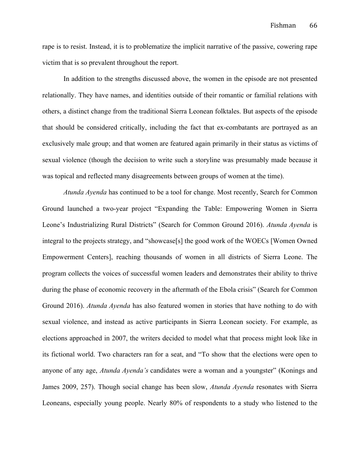rape is to resist. Instead, it is to problematize the implicit narrative of the passive, cowering rape victim that is so prevalent throughout the report.

In addition to the strengths discussed above, the women in the episode are not presented relationally. They have names, and identities outside of their romantic or familial relations with others, a distinct change from the traditional Sierra Leonean folktales. But aspects of the episode that should be considered critically, including the fact that ex-combatants are portrayed as an exclusively male group; and that women are featured again primarily in their status as victims of sexual violence (though the decision to write such a storyline was presumably made because it was topical and reflected many disagreements between groups of women at the time).

*Atunda Ayenda* has continued to be a tool for change. Most recently, Search for Common Ground launched a two-year project "Expanding the Table: Empowering Women in Sierra Leone's Industrializing Rural Districts" (Search for Common Ground 2016). *Atunda Ayenda* is integral to the projects strategy, and "showcase[s] the good work of the WOECs [Women Owned Empowerment Centers], reaching thousands of women in all districts of Sierra Leone. The program collects the voices of successful women leaders and demonstrates their ability to thrive during the phase of economic recovery in the aftermath of the Ebola crisis" (Search for Common Ground 2016). *Atunda Ayenda* has also featured women in stories that have nothing to do with sexual violence, and instead as active participants in Sierra Leonean society. For example, as elections approached in 2007, the writers decided to model what that process might look like in its fictional world. Two characters ran for a seat, and "To show that the elections were open to anyone of any age, *Atunda Ayenda's* candidates were a woman and a youngster" (Konings and James 2009, 257). Though social change has been slow, *Atunda Ayenda* resonates with Sierra Leoneans, especially young people. Nearly 80% of respondents to a study who listened to the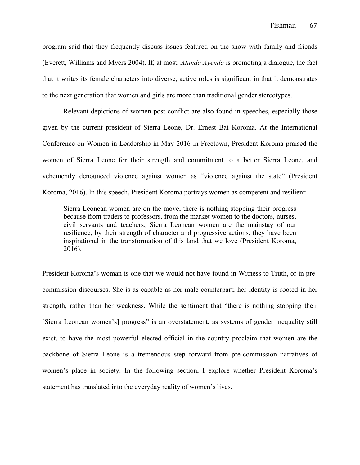program said that they frequently discuss issues featured on the show with family and friends (Everett, Williams and Myers 2004). If, at most, *Atunda Ayenda* is promoting a dialogue, the fact that it writes its female characters into diverse, active roles is significant in that it demonstrates to the next generation that women and girls are more than traditional gender stereotypes.

Relevant depictions of women post-conflict are also found in speeches, especially those given by the current president of Sierra Leone, Dr. Ernest Bai Koroma. At the International Conference on Women in Leadership in May 2016 in Freetown, President Koroma praised the women of Sierra Leone for their strength and commitment to a better Sierra Leone, and vehemently denounced violence against women as "violence against the state" (President Koroma, 2016). In this speech, President Koroma portrays women as competent and resilient:

Sierra Leonean women are on the move, there is nothing stopping their progress because from traders to professors, from the market women to the doctors, nurses, civil servants and teachers; Sierra Leonean women are the mainstay of our resilience, by their strength of character and progressive actions, they have been inspirational in the transformation of this land that we love (President Koroma, 2016).

President Koroma's woman is one that we would not have found in Witness to Truth, or in precommission discourses. She is as capable as her male counterpart; her identity is rooted in her strength, rather than her weakness. While the sentiment that "there is nothing stopping their [Sierra Leonean women's] progress" is an overstatement, as systems of gender inequality still exist, to have the most powerful elected official in the country proclaim that women are the backbone of Sierra Leone is a tremendous step forward from pre-commission narratives of women's place in society. In the following section, I explore whether President Koroma's statement has translated into the everyday reality of women's lives.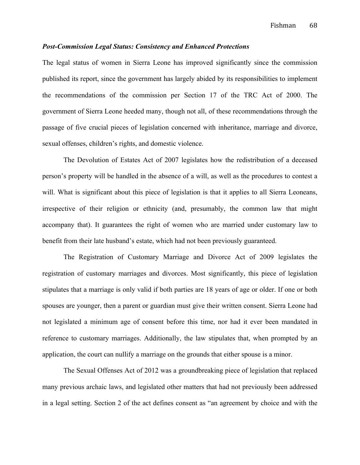# *Post-Commission Legal Status: Consistency and Enhanced Protections*

The legal status of women in Sierra Leone has improved significantly since the commission published its report, since the government has largely abided by its responsibilities to implement the recommendations of the commission per Section 17 of the TRC Act of 2000. The government of Sierra Leone heeded many, though not all, of these recommendations through the passage of five crucial pieces of legislation concerned with inheritance, marriage and divorce, sexual offenses, children's rights, and domestic violence.

The Devolution of Estates Act of 2007 legislates how the redistribution of a deceased person's property will be handled in the absence of a will, as well as the procedures to contest a will. What is significant about this piece of legislation is that it applies to all Sierra Leoneans, irrespective of their religion or ethnicity (and, presumably, the common law that might accompany that). It guarantees the right of women who are married under customary law to benefit from their late husband's estate, which had not been previously guaranteed.

The Registration of Customary Marriage and Divorce Act of 2009 legislates the registration of customary marriages and divorces. Most significantly, this piece of legislation stipulates that a marriage is only valid if both parties are 18 years of age or older. If one or both spouses are younger, then a parent or guardian must give their written consent. Sierra Leone had not legislated a minimum age of consent before this time, nor had it ever been mandated in reference to customary marriages. Additionally, the law stipulates that, when prompted by an application, the court can nullify a marriage on the grounds that either spouse is a minor.

The Sexual Offenses Act of 2012 was a groundbreaking piece of legislation that replaced many previous archaic laws, and legislated other matters that had not previously been addressed in a legal setting. Section 2 of the act defines consent as "an agreement by choice and with the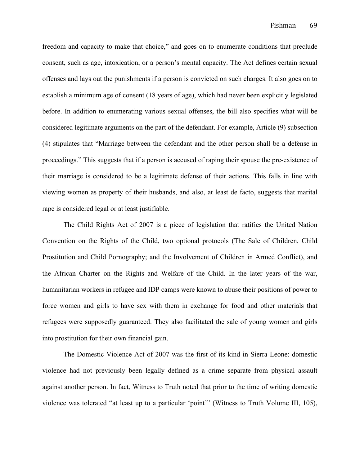freedom and capacity to make that choice," and goes on to enumerate conditions that preclude consent, such as age, intoxication, or a person's mental capacity. The Act defines certain sexual offenses and lays out the punishments if a person is convicted on such charges. It also goes on to establish a minimum age of consent (18 years of age), which had never been explicitly legislated before. In addition to enumerating various sexual offenses, the bill also specifies what will be considered legitimate arguments on the part of the defendant. For example, Article (9) subsection (4) stipulates that "Marriage between the defendant and the other person shall be a defense in proceedings." This suggests that if a person is accused of raping their spouse the pre-existence of their marriage is considered to be a legitimate defense of their actions. This falls in line with viewing women as property of their husbands, and also, at least de facto, suggests that marital rape is considered legal or at least justifiable.

The Child Rights Act of 2007 is a piece of legislation that ratifies the United Nation Convention on the Rights of the Child, two optional protocols (The Sale of Children, Child Prostitution and Child Pornography; and the Involvement of Children in Armed Conflict), and the African Charter on the Rights and Welfare of the Child. In the later years of the war, humanitarian workers in refugee and IDP camps were known to abuse their positions of power to force women and girls to have sex with them in exchange for food and other materials that refugees were supposedly guaranteed. They also facilitated the sale of young women and girls into prostitution for their own financial gain.

The Domestic Violence Act of 2007 was the first of its kind in Sierra Leone: domestic violence had not previously been legally defined as a crime separate from physical assault against another person. In fact, Witness to Truth noted that prior to the time of writing domestic violence was tolerated "at least up to a particular 'point'" (Witness to Truth Volume III, 105),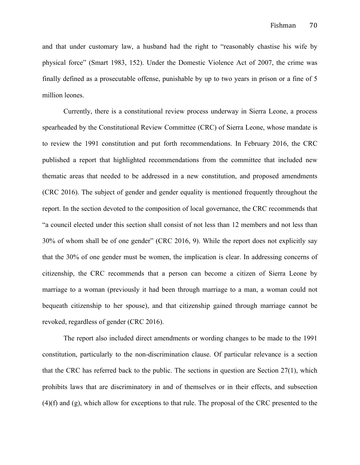and that under customary law, a husband had the right to "reasonably chastise his wife by physical force" (Smart 1983, 152). Under the Domestic Violence Act of 2007, the crime was finally defined as a prosecutable offense, punishable by up to two years in prison or a fine of 5 million leones.

Currently, there is a constitutional review process underway in Sierra Leone, a process spearheaded by the Constitutional Review Committee (CRC) of Sierra Leone, whose mandate is to review the 1991 constitution and put forth recommendations. In February 2016, the CRC published a report that highlighted recommendations from the committee that included new thematic areas that needed to be addressed in a new constitution, and proposed amendments (CRC 2016). The subject of gender and gender equality is mentioned frequently throughout the report. In the section devoted to the composition of local governance, the CRC recommends that "a council elected under this section shall consist of not less than 12 members and not less than 30% of whom shall be of one gender" (CRC 2016, 9). While the report does not explicitly say that the 30% of one gender must be women, the implication is clear. In addressing concerns of citizenship, the CRC recommends that a person can become a citizen of Sierra Leone by marriage to a woman (previously it had been through marriage to a man, a woman could not bequeath citizenship to her spouse), and that citizenship gained through marriage cannot be revoked, regardless of gender (CRC 2016).

The report also included direct amendments or wording changes to be made to the 1991 constitution, particularly to the non-discrimination clause. Of particular relevance is a section that the CRC has referred back to the public. The sections in question are Section 27(1), which prohibits laws that are discriminatory in and of themselves or in their effects, and subsection (4)(f) and (g), which allow for exceptions to that rule. The proposal of the CRC presented to the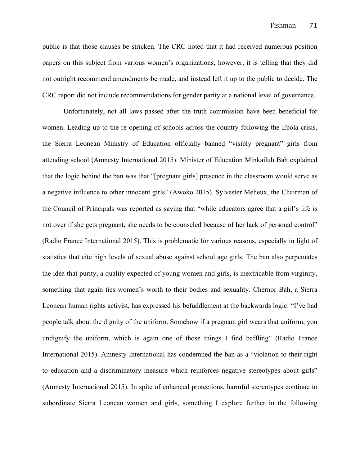public is that those clauses be stricken. The CRC noted that it had received numerous position papers on this subject from various women's organizations; however, it is telling that they did not outright recommend amendments be made, and instead left it up to the public to decide. The CRC report did not include recommendations for gender parity at a national level of governance.

Unfortunately, not all laws passed after the truth commission have been beneficial for women. Leading up to the re-opening of schools across the country following the Ebola crisis, the Sierra Leonean Ministry of Education officially banned "visibly pregnant" girls from attending school (Amnesty International 2015). Minister of Education Minkailuh Bah explained that the logic behind the ban was that "[pregnant girls] presence in the classroom would serve as a negative influence to other innocent girls" (Awoko 2015). Sylvester Meheux, the Chairman of the Council of Principals was reported as saying that "while educators agree that a girl's life is not over if she gets pregnant, she needs to be counseled because of her lack of personal control" (Radio France International 2015). This is problematic for various reasons, especially in light of statistics that cite high levels of sexual abuse against school age girls. The ban also perpetuates the idea that purity, a quality expected of young women and girls, is inextricable from virginity, something that again ties women's worth to their bodies and sexuality. Chernor Bah, a Sierra Leonean human rights activist, has expressed his befuddlement at the backwards logic: "I've had people talk about the dignity of the uniform. Somehow if a pregnant girl wears that uniform, you undignify the uniform, which is again one of those things I find baffling" (Radio France International 2015). Amnesty International has condemned the ban as a "violation to their right to education and a discriminatory measure which reinforces negative stereotypes about girls" (Amnesty International 2015). In spite of enhanced protections, harmful stereotypes continue to subordinate Sierra Leonean women and girls, something I explore further in the following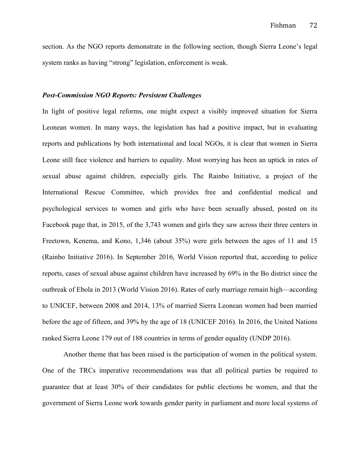section. As the NGO reports demonstrate in the following section, though Sierra Leone's legal system ranks as having "strong" legislation, enforcement is weak.

# *Post-Commission NGO Reports: Persistent Challenges*

In light of positive legal reforms, one might expect a visibly improved situation for Sierra Leonean women. In many ways, the legislation has had a positive impact, but in evaluating reports and publications by both international and local NGOs, it is clear that women in Sierra Leone still face violence and barriers to equality. Most worrying has been an uptick in rates of sexual abuse against children, especially girls. The Rainbo Initiative, a project of the International Rescue Committee, which provides free and confidential medical and psychological services to women and girls who have been sexually abused, posted on its Facebook page that, in 2015, of the 3,743 women and girls they saw across their three centers in Freetown, Kenema, and Kono, 1,346 (about 35%) were girls between the ages of 11 and 15 (Rainbo Initiative 2016). In September 2016, World Vision reported that, according to police reports, cases of sexual abuse against children have increased by 69% in the Bo district since the outbreak of Ebola in 2013 (World Vision 2016). Rates of early marriage remain high—according to UNICEF, between 2008 and 2014, 13% of married Sierra Leonean women had been married before the age of fifteen, and 39% by the age of 18 (UNICEF 2016). In 2016, the United Nations ranked Sierra Leone 179 out of 188 countries in terms of gender equality (UNDP 2016).

Another theme that has been raised is the participation of women in the political system. One of the TRCs imperative recommendations was that all political parties be required to guarantee that at least 30% of their candidates for public elections be women, and that the government of Sierra Leone work towards gender parity in parliament and more local systems of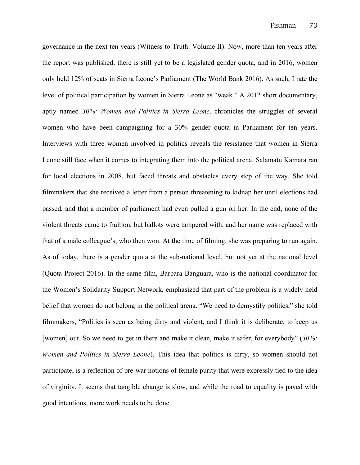governance in the next ten years (Witness to Truth: Volume II). Now, more than ten years after the report was published, there is still yet to be a legislated gender quota, and in 2016, women only held 12% of seats in Sierra Leone's Parliament (The World Bank 2016). As such, I rate the level of political participation by women in Sierra Leone as "weak." A 2012 short documentary, aptly named *30%: Women and Politics in Sierra Leone,* chronicles the struggles of several women who have been campaigning for a 30% gender quota in Parliament for ten years. Interviews with three women involved in politics reveals the resistance that women in Sierra Leone still face when it comes to integrating them into the political arena. Salamatu Kamara ran for local elections in 2008, but faced threats and obstacles every step of the way. She told filmmakers that she received a letter from a person threatening to kidnap her until elections had passed, and that a member of parliament had even pulled a gun on her. In the end, none of the violent threats came to fruition, but ballots were tampered with, and her name was replaced with that of a male colleague's, who then won. At the time of filming, she was preparing to run again. As of today, there is a gender quota at the sub-national level, but not yet at the national level (Quota Project 2016). In the same film, Barbara Banguara, who is the national coordinator for the Women's Solidarity Support Network, emphasized that part of the problem is a widely held belief that women do not belong in the political arena. "We need to demystify politics," she told filmmakers, "Politics is seen as being dirty and violent, and I think it is deliberate, to keep us [women] out. So we need to get in there and make it clean, make it safer, for everybody" (*30%: Women and Politics in Sierra Leone*). This idea that politics is dirty, so women should not participate, is a reflection of pre-war notions of female purity that were expressly tied to the idea of virginity. It seems that tangible change is slow, and while the road to equality is paved with good intentions, more work needs to be done.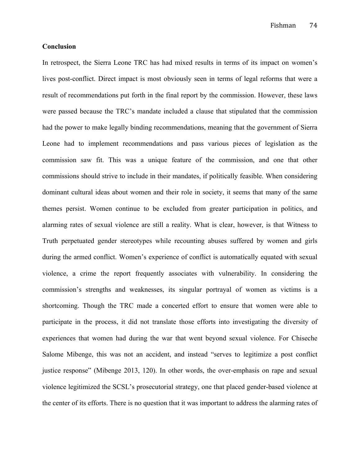Fishman 74

# **Conclusion**

In retrospect, the Sierra Leone TRC has had mixed results in terms of its impact on women's lives post-conflict. Direct impact is most obviously seen in terms of legal reforms that were a result of recommendations put forth in the final report by the commission. However, these laws were passed because the TRC's mandate included a clause that stipulated that the commission had the power to make legally binding recommendations, meaning that the government of Sierra Leone had to implement recommendations and pass various pieces of legislation as the commission saw fit. This was a unique feature of the commission, and one that other commissions should strive to include in their mandates, if politically feasible. When considering dominant cultural ideas about women and their role in society, it seems that many of the same themes persist. Women continue to be excluded from greater participation in politics, and alarming rates of sexual violence are still a reality. What is clear, however, is that Witness to Truth perpetuated gender stereotypes while recounting abuses suffered by women and girls during the armed conflict. Women's experience of conflict is automatically equated with sexual violence, a crime the report frequently associates with vulnerability. In considering the commission's strengths and weaknesses, its singular portrayal of women as victims is a shortcoming. Though the TRC made a concerted effort to ensure that women were able to participate in the process, it did not translate those efforts into investigating the diversity of experiences that women had during the war that went beyond sexual violence. For Chiseche Salome Mibenge, this was not an accident, and instead "serves to legitimize a post conflict justice response" (Mibenge 2013, 120). In other words, the over-emphasis on rape and sexual violence legitimized the SCSL's prosecutorial strategy, one that placed gender-based violence at the center of its efforts. There is no question that it was important to address the alarming rates of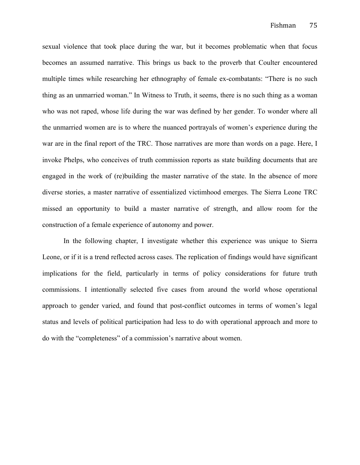sexual violence that took place during the war, but it becomes problematic when that focus becomes an assumed narrative. This brings us back to the proverb that Coulter encountered multiple times while researching her ethnography of female ex-combatants: "There is no such thing as an unmarried woman." In Witness to Truth, it seems, there is no such thing as a woman who was not raped, whose life during the war was defined by her gender. To wonder where all the unmarried women are is to where the nuanced portrayals of women's experience during the war are in the final report of the TRC. Those narratives are more than words on a page. Here, I invoke Phelps, who conceives of truth commission reports as state building documents that are engaged in the work of (re)building the master narrative of the state. In the absence of more diverse stories, a master narrative of essentialized victimhood emerges. The Sierra Leone TRC missed an opportunity to build a master narrative of strength, and allow room for the construction of a female experience of autonomy and power.

In the following chapter, I investigate whether this experience was unique to Sierra Leone, or if it is a trend reflected across cases. The replication of findings would have significant implications for the field, particularly in terms of policy considerations for future truth commissions. I intentionally selected five cases from around the world whose operational approach to gender varied, and found that post-conflict outcomes in terms of women's legal status and levels of political participation had less to do with operational approach and more to do with the "completeness" of a commission's narrative about women.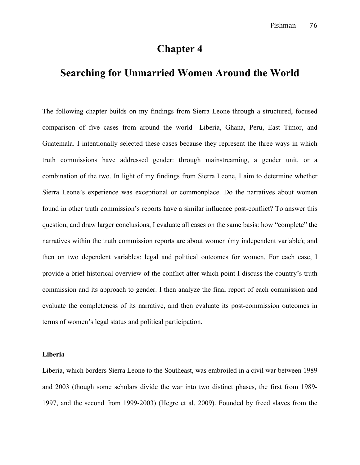# **Chapter 4**

# **Searching for Unmarried Women Around the World**

The following chapter builds on my findings from Sierra Leone through a structured, focused comparison of five cases from around the world—Liberia, Ghana, Peru, East Timor, and Guatemala. I intentionally selected these cases because they represent the three ways in which truth commissions have addressed gender: through mainstreaming, a gender unit, or a combination of the two. In light of my findings from Sierra Leone, I aim to determine whether Sierra Leone's experience was exceptional or commonplace. Do the narratives about women found in other truth commission's reports have a similar influence post-conflict? To answer this question, and draw larger conclusions, I evaluate all cases on the same basis: how "complete" the narratives within the truth commission reports are about women (my independent variable); and then on two dependent variables: legal and political outcomes for women. For each case, I provide a brief historical overview of the conflict after which point I discuss the country's truth commission and its approach to gender. I then analyze the final report of each commission and evaluate the completeness of its narrative, and then evaluate its post-commission outcomes in terms of women's legal status and political participation.

#### **Liberia**

Liberia, which borders Sierra Leone to the Southeast, was embroiled in a civil war between 1989 and 2003 (though some scholars divide the war into two distinct phases, the first from 1989- 1997, and the second from 1999-2003) (Hegre et al. 2009). Founded by freed slaves from the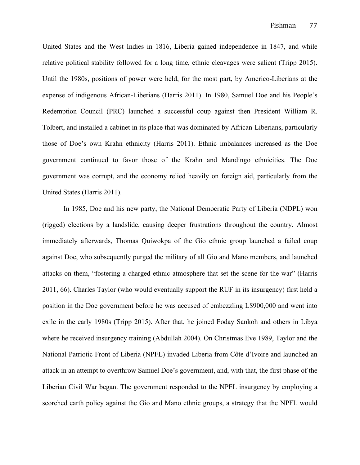United States and the West Indies in 1816, Liberia gained independence in 1847, and while relative political stability followed for a long time, ethnic cleavages were salient (Tripp 2015). Until the 1980s, positions of power were held, for the most part, by Americo-Liberians at the expense of indigenous African-Liberians (Harris 2011). In 1980, Samuel Doe and his People's Redemption Council (PRC) launched a successful coup against then President William R. Tolbert, and installed a cabinet in its place that was dominated by African-Liberians, particularly those of Doe's own Krahn ethnicity (Harris 2011). Ethnic imbalances increased as the Doe government continued to favor those of the Krahn and Mandingo ethnicities. The Doe government was corrupt, and the economy relied heavily on foreign aid, particularly from the United States (Harris 2011).

In 1985, Doe and his new party, the National Democratic Party of Liberia (NDPL) won (rigged) elections by a landslide, causing deeper frustrations throughout the country. Almost immediately afterwards, Thomas Quiwokpa of the Gio ethnic group launched a failed coup against Doe, who subsequently purged the military of all Gio and Mano members, and launched attacks on them, "fostering a charged ethnic atmosphere that set the scene for the war" (Harris 2011, 66). Charles Taylor (who would eventually support the RUF in its insurgency) first held a position in the Doe government before he was accused of embezzling L\$900,000 and went into exile in the early 1980s (Tripp 2015). After that, he joined Foday Sankoh and others in Libya where he received insurgency training (Abdullah 2004). On Christmas Eve 1989, Taylor and the National Patriotic Front of Liberia (NPFL) invaded Liberia from Côte d'Ivoire and launched an attack in an attempt to overthrow Samuel Doe's government, and, with that, the first phase of the Liberian Civil War began. The government responded to the NPFL insurgency by employing a scorched earth policy against the Gio and Mano ethnic groups, a strategy that the NPFL would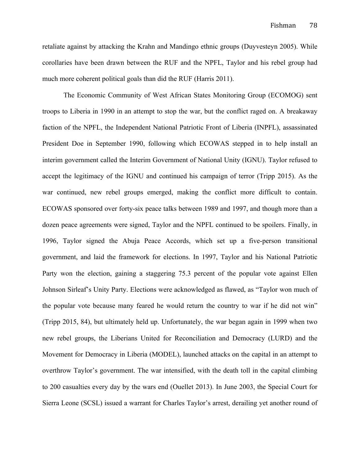retaliate against by attacking the Krahn and Mandingo ethnic groups (Duyvesteyn 2005). While corollaries have been drawn between the RUF and the NPFL, Taylor and his rebel group had much more coherent political goals than did the RUF (Harris 2011).

The Economic Community of West African States Monitoring Group (ECOMOG) sent troops to Liberia in 1990 in an attempt to stop the war, but the conflict raged on. A breakaway faction of the NPFL, the Independent National Patriotic Front of Liberia (INPFL), assassinated President Doe in September 1990, following which ECOWAS stepped in to help install an interim government called the Interim Government of National Unity (IGNU). Taylor refused to accept the legitimacy of the IGNU and continued his campaign of terror (Tripp 2015). As the war continued, new rebel groups emerged, making the conflict more difficult to contain. ECOWAS sponsored over forty-six peace talks between 1989 and 1997, and though more than a dozen peace agreements were signed, Taylor and the NPFL continued to be spoilers. Finally, in 1996, Taylor signed the Abuja Peace Accords, which set up a five-person transitional government, and laid the framework for elections. In 1997, Taylor and his National Patriotic Party won the election, gaining a staggering 75.3 percent of the popular vote against Ellen Johnson Sirleaf's Unity Party. Elections were acknowledged as flawed, as "Taylor won much of the popular vote because many feared he would return the country to war if he did not win" (Tripp 2015, 84), but ultimately held up. Unfortunately, the war began again in 1999 when two new rebel groups, the Liberians United for Reconciliation and Democracy (LURD) and the Movement for Democracy in Liberia (MODEL), launched attacks on the capital in an attempt to overthrow Taylor's government. The war intensified, with the death toll in the capital climbing to 200 casualties every day by the wars end (Ouellet 2013). In June 2003, the Special Court for Sierra Leone (SCSL) issued a warrant for Charles Taylor's arrest, derailing yet another round of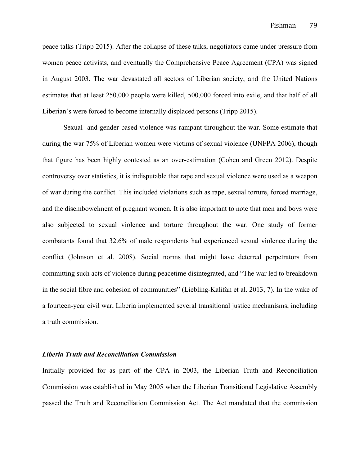peace talks (Tripp 2015). After the collapse of these talks, negotiators came under pressure from women peace activists, and eventually the Comprehensive Peace Agreement (CPA) was signed in August 2003. The war devastated all sectors of Liberian society, and the United Nations estimates that at least 250,000 people were killed, 500,000 forced into exile, and that half of all Liberian's were forced to become internally displaced persons (Tripp 2015).

Sexual- and gender-based violence was rampant throughout the war. Some estimate that during the war 75% of Liberian women were victims of sexual violence (UNFPA 2006), though that figure has been highly contested as an over-estimation (Cohen and Green 2012). Despite controversy over statistics, it is indisputable that rape and sexual violence were used as a weapon of war during the conflict. This included violations such as rape, sexual torture, forced marriage, and the disembowelment of pregnant women. It is also important to note that men and boys were also subjected to sexual violence and torture throughout the war. One study of former combatants found that 32.6% of male respondents had experienced sexual violence during the conflict (Johnson et al. 2008). Social norms that might have deterred perpetrators from committing such acts of violence during peacetime disintegrated, and "The war led to breakdown in the social fibre and cohesion of communities" (Liebling-Kalifan et al. 2013, 7). In the wake of a fourteen-year civil war, Liberia implemented several transitional justice mechanisms, including a truth commission.

# *Liberia Truth and Reconciliation Commission*

Initially provided for as part of the CPA in 2003, the Liberian Truth and Reconciliation Commission was established in May 2005 when the Liberian Transitional Legislative Assembly passed the Truth and Reconciliation Commission Act. The Act mandated that the commission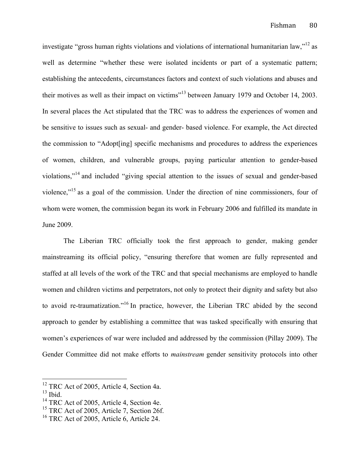investigate "gross human rights violations and violations of international humanitarian law,"<sup>12</sup> as well as determine "whether these were isolated incidents or part of a systematic pattern; establishing the antecedents, circumstances factors and context of such violations and abuses and their motives as well as their impact on victims"<sup>13</sup> between January 1979 and October 14, 2003. In several places the Act stipulated that the TRC was to address the experiences of women and be sensitive to issues such as sexual- and gender- based violence. For example, the Act directed the commission to "Adopt[ing] specific mechanisms and procedures to address the experiences of women, children, and vulnerable groups, paying particular attention to gender-based violations,"<sup>14</sup> and included "giving special attention to the issues of sexual and gender-based violence,"15 as a goal of the commission. Under the direction of nine commissioners, four of whom were women, the commission began its work in February 2006 and fulfilled its mandate in June 2009.

The Liberian TRC officially took the first approach to gender, making gender mainstreaming its official policy, "ensuring therefore that women are fully represented and staffed at all levels of the work of the TRC and that special mechanisms are employed to handle women and children victims and perpetrators, not only to protect their dignity and safety but also to avoid re-traumatization."<sup>16</sup> In practice, however, the Liberian TRC abided by the second approach to gender by establishing a committee that was tasked specifically with ensuring that women's experiences of war were included and addressed by the commission (Pillay 2009). The Gender Committee did not make efforts to *mainstream* gender sensitivity protocols into other

<sup>&</sup>lt;sup>12</sup> TRC Act of 2005, Article 4, Section 4a.

 $13$  Ibid.

<sup>&</sup>lt;sup>14</sup> TRC Act of 2005, Article 4, Section 4e.

<sup>&</sup>lt;sup>15</sup> TRC Act of 2005, Article 7, Section 26f.

 $16$  TRC Act of 2005, Article 6, Article 24.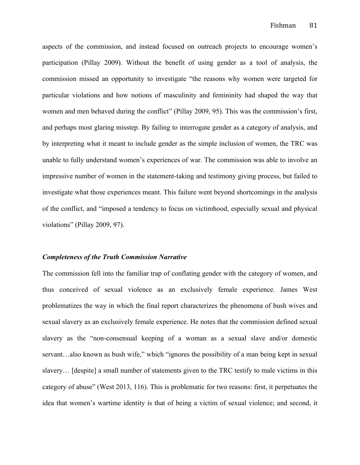aspects of the commission, and instead focused on outreach projects to encourage women's participation (Pillay 2009). Without the benefit of using gender as a tool of analysis, the commission missed an opportunity to investigate "the reasons why women were targeted for particular violations and how notions of masculinity and femininity had shaped the way that women and men behaved during the conflict" (Pillay 2009, 95). This was the commission's first, and perhaps most glaring misstep. By failing to interrogate gender as a category of analysis, and by interpreting what it meant to include gender as the simple inclusion of women, the TRC was unable to fully understand women's experiences of war. The commission was able to involve an impressive number of women in the statement-taking and testimony giving process, but failed to investigate what those experiences meant. This failure went beyond shortcomings in the analysis of the conflict, and "imposed a tendency to focus on victimhood, especially sexual and physical violations" (Pillay 2009, 97).

#### *Completeness of the Truth Commission Narrative*

The commission fell into the familiar trap of conflating gender with the category of women, and thus conceived of sexual violence as an exclusively female experience. James West problematizes the way in which the final report characterizes the phenomena of bush wives and sexual slavery as an exclusively female experience. He notes that the commission defined sexual slavery as the "non-consensual keeping of a woman as a sexual slave and/or domestic servant…also known as bush wife," which "ignores the possibility of a man being kept in sexual slavery… [despite] a small number of statements given to the TRC testify to male victims in this category of abuse" (West 2013, 116). This is problematic for two reasons: first, it perpetuates the idea that women's wartime identity is that of being a victim of sexual violence; and second, it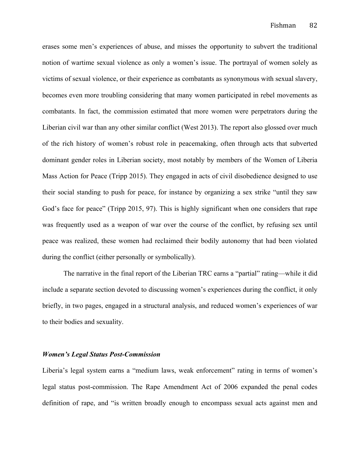erases some men's experiences of abuse, and misses the opportunity to subvert the traditional notion of wartime sexual violence as only a women's issue. The portrayal of women solely as victims of sexual violence, or their experience as combatants as synonymous with sexual slavery, becomes even more troubling considering that many women participated in rebel movements as combatants. In fact, the commission estimated that more women were perpetrators during the Liberian civil war than any other similar conflict (West 2013). The report also glossed over much of the rich history of women's robust role in peacemaking, often through acts that subverted dominant gender roles in Liberian society, most notably by members of the Women of Liberia Mass Action for Peace (Tripp 2015). They engaged in acts of civil disobedience designed to use their social standing to push for peace, for instance by organizing a sex strike "until they saw God's face for peace" (Tripp 2015, 97). This is highly significant when one considers that rape was frequently used as a weapon of war over the course of the conflict, by refusing sex until peace was realized, these women had reclaimed their bodily autonomy that had been violated during the conflict (either personally or symbolically).

The narrative in the final report of the Liberian TRC earns a "partial" rating—while it did include a separate section devoted to discussing women's experiences during the conflict, it only briefly, in two pages, engaged in a structural analysis, and reduced women's experiences of war to their bodies and sexuality.

#### *Women's Legal Status Post-Commission*

Liberia's legal system earns a "medium laws, weak enforcement" rating in terms of women's legal status post-commission. The Rape Amendment Act of 2006 expanded the penal codes definition of rape, and "is written broadly enough to encompass sexual acts against men and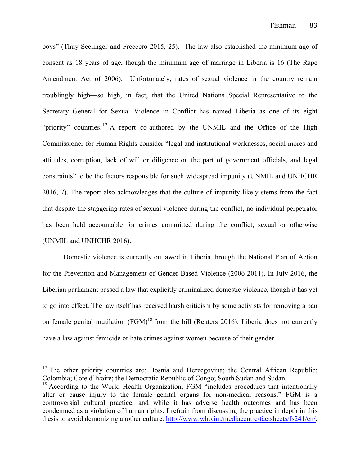boys" (Thuy Seelinger and Freccero 2015, 25). The law also established the minimum age of consent as 18 years of age, though the minimum age of marriage in Liberia is 16 (The Rape Amendment Act of 2006). Unfortunately, rates of sexual violence in the country remain troublingly high—so high, in fact, that the United Nations Special Representative to the Secretary General for Sexual Violence in Conflict has named Liberia as one of its eight "priority" countries.<sup>17</sup> A report co-authored by the UNMIL and the Office of the High Commissioner for Human Rights consider "legal and institutional weaknesses, social mores and attitudes, corruption, lack of will or diligence on the part of government officials, and legal constraints" to be the factors responsible for such widespread impunity (UNMIL and UNHCHR 2016, 7). The report also acknowledges that the culture of impunity likely stems from the fact that despite the staggering rates of sexual violence during the conflict, no individual perpetrator has been held accountable for crimes committed during the conflict, sexual or otherwise (UNMIL and UNHCHR 2016).

Domestic violence is currently outlawed in Liberia through the National Plan of Action for the Prevention and Management of Gender-Based Violence (2006-2011). In July 2016, the Liberian parliament passed a law that explicitly criminalized domestic violence, though it has yet to go into effect. The law itself has received harsh criticism by some activists for removing a ban on female genital mutilation  $(FGM)^{18}$  from the bill (Reuters 2016). Liberia does not currently have a law against femicide or hate crimes against women because of their gender.

<sup>&</sup>lt;sup>17</sup> The other priority countries are: Bosnia and Herzegovina; the Central African Republic; Colombia; Cote d'Ivoire; the Democratic Republic of Congo; South Sudan and Sudan.

 $18$  According to the World Health Organization, FGM "includes procedures that intentionally alter or cause injury to the female genital organs for non-medical reasons." FGM is a controversial cultural practice, and while it has adverse health outcomes and has been condemned as a violation of human rights, I refrain from discussing the practice in depth in this thesis to avoid demonizing another culture. http://www.who.int/mediacentre/factsheets/fs241/en/.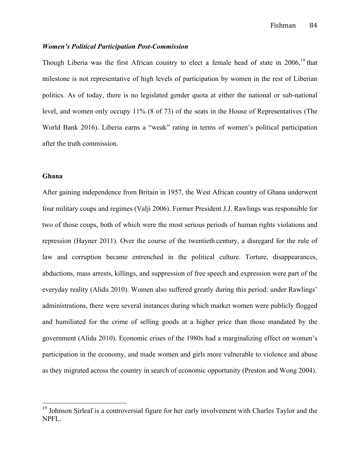# *Women's Political Participation Post-Commission*

Though Liberia was the first African country to elect a female head of state in 2006,<sup>19</sup> that milestone is not representative of high levels of participation by women in the rest of Liberian politics. As of today, there is no legislated gender quota at either the national or sub-national level, and women only occupy 11% (8 of 73) of the seats in the House of Representatives (The World Bank 2016). Liberia earns a "weak" rating in terms of women's political participation after the truth commission.

# **Ghana**

After gaining independence from Britain in 1957, the West African country of Ghana underwent four military coups and regimes (Valji 2006). Former President J.J. Rawlings was responsible for two of those coups, both of which were the most serious periods of human rights violations and repression (Hayner 2011). Over the course of the twentieth century, a disregard for the rule of law and corruption became entrenched in the political culture. Torture, disappearances, abductions, mass arrests, killings, and suppression of free speech and expression were part of the everyday reality (Alidu 2010). Women also suffered greatly during this period: under Rawlings' administrations, there were several instances during which market women were publicly flogged and humiliated for the crime of selling goods at a higher price than those mandated by the government (Alidu 2010). Economic crises of the 1980s had a marginalizing effect on women's participation in the economy, and made women and girls more vulnerable to violence and abuse as they migrated across the country in search of economic opportunity (Preston and Wong 2004).

 $19$  Johnson Sirleaf is a controversial figure for her early involvement with Charles Taylor and the NPFL.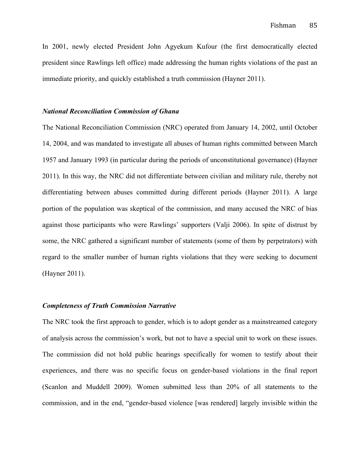In 2001, newly elected President John Agyekum Kufour (the first democratically elected president since Rawlings left office) made addressing the human rights violations of the past an immediate priority, and quickly established a truth commission (Hayner 2011).

# *National Reconciliation Commission of Ghana*

The National Reconciliation Commission (NRC) operated from January 14, 2002, until October 14, 2004, and was mandated to investigate all abuses of human rights committed between March 1957 and January 1993 (in particular during the periods of unconstitutional governance) (Hayner 2011). In this way, the NRC did not differentiate between civilian and military rule, thereby not differentiating between abuses committed during different periods (Hayner 2011). A large portion of the population was skeptical of the commission, and many accused the NRC of bias against those participants who were Rawlings' supporters (Valji 2006). In spite of distrust by some, the NRC gathered a significant number of statements (some of them by perpetrators) with regard to the smaller number of human rights violations that they were seeking to document (Hayner 2011).

## *Completeness of Truth Commission Narrative*

The NRC took the first approach to gender, which is to adopt gender as a mainstreamed category of analysis across the commission's work, but not to have a special unit to work on these issues. The commission did not hold public hearings specifically for women to testify about their experiences, and there was no specific focus on gender-based violations in the final report (Scanlon and Muddell 2009). Women submitted less than 20% of all statements to the commission, and in the end, "gender-based violence [was rendered] largely invisible within the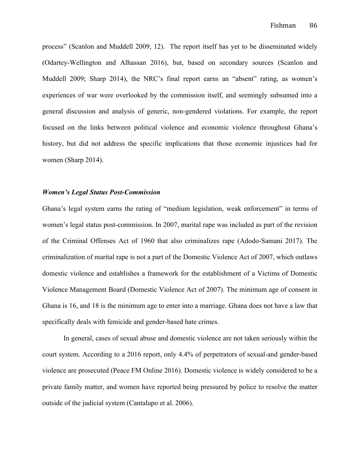process" (Scanlon and Muddell 2009, 12). The report itself has yet to be disseminated widely (Odartey-Wellington and Alhassan 2016), but, based on secondary sources (Scanlon and Muddell 2009; Sharp 2014), the NRC's final report earns an "absent" rating, as women's experiences of war were overlooked by the commission itself, and seemingly subsumed into a general discussion and analysis of generic, non-gendered violations. For example, the report focused on the links between political violence and economic violence throughout Ghana's history, but did not address the specific implications that those economic injustices had for women (Sharp 2014).

# *Women's Legal Status Post-Commission*

Ghana's legal system earns the rating of "medium legislation, weak enforcement" in terms of women's legal status post-commission. In 2007, marital rape was included as part of the revision of the Criminal Offenses Act of 1960 that also criminalizes rape (Adodo-Samani 2017). The criminalization of marital rape is not a part of the Domestic Violence Act of 2007, which outlaws domestic violence and establishes a framework for the establishment of a Victims of Domestic Violence Management Board (Domestic Violence Act of 2007). The minimum age of consent in Ghana is 16, and 18 is the minimum age to enter into a marriage. Ghana does not have a law that specifically deals with femicide and gender-based hate crimes.

In general, cases of sexual abuse and domestic violence are not taken seriously within the court system. According to a 2016 report, only 4.4% of perpetrators of sexual-and gender-based violence are prosecuted (Peace FM Online 2016). Domestic violence is widely considered to be a private family matter, and women have reported being pressured by police to resolve the matter outside of the judicial system (Cantalupo et al. 2006).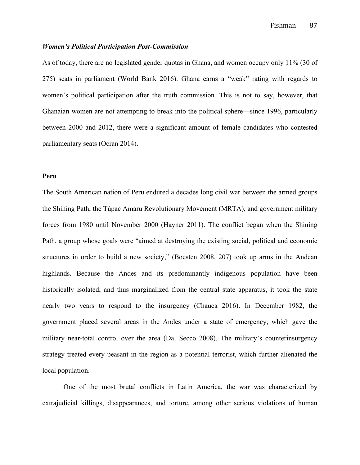# *Women's Political Participation Post-Commission*

As of today, there are no legislated gender quotas in Ghana, and women occupy only 11% (30 of 275) seats in parliament (World Bank 2016). Ghana earns a "weak" rating with regards to women's political participation after the truth commission. This is not to say, however, that Ghanaian women are not attempting to break into the political sphere—since 1996, particularly between 2000 and 2012, there were a significant amount of female candidates who contested parliamentary seats (Ocran 2014).

# **Peru**

The South American nation of Peru endured a decades long civil war between the armed groups the Shining Path, the Túpac Amaru Revolutionary Movement (MRTA), and government military forces from 1980 until November 2000 (Hayner 2011). The conflict began when the Shining Path, a group whose goals were "aimed at destroying the existing social, political and economic structures in order to build a new society," (Boesten 2008, 207) took up arms in the Andean highlands. Because the Andes and its predominantly indigenous population have been historically isolated, and thus marginalized from the central state apparatus, it took the state nearly two years to respond to the insurgency (Chauca 2016). In December 1982, the government placed several areas in the Andes under a state of emergency, which gave the military near-total control over the area (Dal Secco 2008). The military's counterinsurgency strategy treated every peasant in the region as a potential terrorist, which further alienated the local population.

One of the most brutal conflicts in Latin America, the war was characterized by extrajudicial killings, disappearances, and torture, among other serious violations of human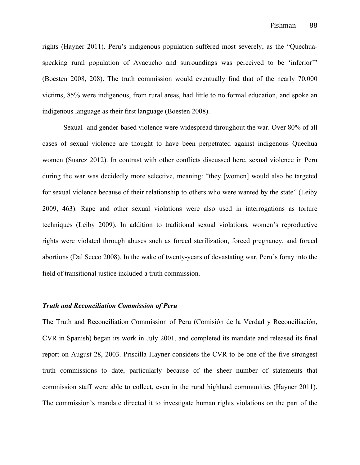rights (Hayner 2011). Peru's indigenous population suffered most severely, as the "Quechuaspeaking rural population of Ayacucho and surroundings was perceived to be 'inferior'" (Boesten 2008, 208). The truth commission would eventually find that of the nearly 70,000 victims, 85% were indigenous, from rural areas, had little to no formal education, and spoke an indigenous language as their first language (Boesten 2008).

Sexual- and gender-based violence were widespread throughout the war. Over 80% of all cases of sexual violence are thought to have been perpetrated against indigenous Quechua women (Suarez 2012). In contrast with other conflicts discussed here, sexual violence in Peru during the war was decidedly more selective, meaning: "they [women] would also be targeted for sexual violence because of their relationship to others who were wanted by the state" (Leiby 2009, 463). Rape and other sexual violations were also used in interrogations as torture techniques (Leiby 2009). In addition to traditional sexual violations, women's reproductive rights were violated through abuses such as forced sterilization, forced pregnancy, and forced abortions (Dal Secco 2008). In the wake of twenty-years of devastating war, Peru's foray into the field of transitional justice included a truth commission.

## *Truth and Reconciliation Commission of Peru*

The Truth and Reconciliation Commission of Peru (Comisión de la Verdad y Reconciliación, CVR in Spanish) began its work in July 2001, and completed its mandate and released its final report on August 28, 2003. Priscilla Hayner considers the CVR to be one of the five strongest truth commissions to date, particularly because of the sheer number of statements that commission staff were able to collect, even in the rural highland communities (Hayner 2011). The commission's mandate directed it to investigate human rights violations on the part of the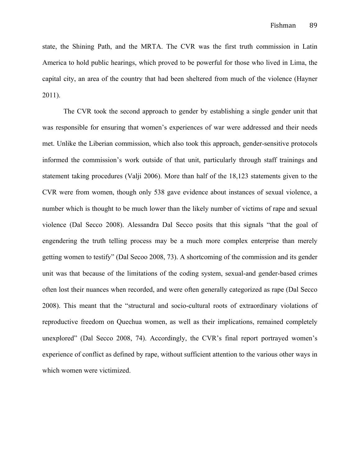state, the Shining Path, and the MRTA. The CVR was the first truth commission in Latin America to hold public hearings, which proved to be powerful for those who lived in Lima, the capital city, an area of the country that had been sheltered from much of the violence (Hayner 2011).

The CVR took the second approach to gender by establishing a single gender unit that was responsible for ensuring that women's experiences of war were addressed and their needs met. Unlike the Liberian commission, which also took this approach, gender-sensitive protocols informed the commission's work outside of that unit, particularly through staff trainings and statement taking procedures (Valji 2006). More than half of the 18,123 statements given to the CVR were from women, though only 538 gave evidence about instances of sexual violence, a number which is thought to be much lower than the likely number of victims of rape and sexual violence (Dal Secco 2008). Alessandra Dal Secco posits that this signals "that the goal of engendering the truth telling process may be a much more complex enterprise than merely getting women to testify" (Dal Secoo 2008, 73). A shortcoming of the commission and its gender unit was that because of the limitations of the coding system, sexual-and gender-based crimes often lost their nuances when recorded, and were often generally categorized as rape (Dal Secco 2008). This meant that the "structural and socio-cultural roots of extraordinary violations of reproductive freedom on Quechua women, as well as their implications, remained completely unexplored" (Dal Secco 2008, 74). Accordingly, the CVR's final report portrayed women's experience of conflict as defined by rape, without sufficient attention to the various other ways in which women were victimized.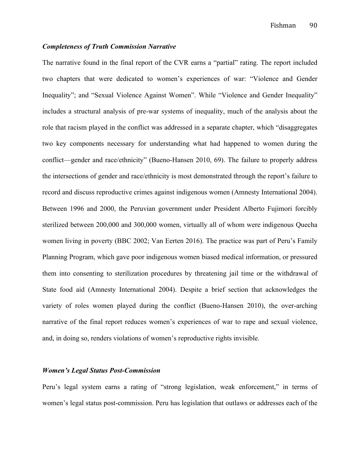# *Completeness of Truth Commission Narrative*

The narrative found in the final report of the CVR earns a "partial" rating. The report included two chapters that were dedicated to women's experiences of war: "Violence and Gender Inequality"; and "Sexual Violence Against Women". While "Violence and Gender Inequality" includes a structural analysis of pre-war systems of inequality, much of the analysis about the role that racism played in the conflict was addressed in a separate chapter, which "disaggregates two key components necessary for understanding what had happened to women during the conflict—gender and race/ethnicity" (Bueno-Hansen 2010, 69). The failure to properly address the intersections of gender and race/ethnicity is most demonstrated through the report's failure to record and discuss reproductive crimes against indigenous women (Amnesty International 2004). Between 1996 and 2000, the Peruvian government under President Alberto Fujimori forcibly sterilized between 200,000 and 300,000 women, virtually all of whom were indigenous Quecha women living in poverty (BBC 2002; Van Eerten 2016). The practice was part of Peru's Family Planning Program, which gave poor indigenous women biased medical information, or pressured them into consenting to sterilization procedures by threatening jail time or the withdrawal of State food aid (Amnesty International 2004). Despite a brief section that acknowledges the variety of roles women played during the conflict (Bueno-Hansen 2010), the over-arching narrative of the final report reduces women's experiences of war to rape and sexual violence, and, in doing so, renders violations of women's reproductive rights invisible.

### *Women's Legal Status Post-Commission*

Peru's legal system earns a rating of "strong legislation, weak enforcement," in terms of women's legal status post-commission. Peru has legislation that outlaws or addresses each of the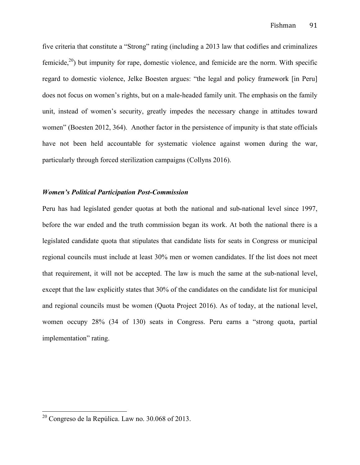five criteria that constitute a "Strong" rating (including a 2013 law that codifies and criminalizes femicide,<sup>20</sup>) but impunity for rape, domestic violence, and femicide are the norm. With specific regard to domestic violence, Jelke Boesten argues: "the legal and policy framework [in Peru] does not focus on women's rights, but on a male-headed family unit. The emphasis on the family unit, instead of women's security, greatly impedes the necessary change in attitudes toward women" (Boesten 2012, 364). Another factor in the persistence of impunity is that state officials have not been held accountable for systematic violence against women during the war, particularly through forced sterilization campaigns (Collyns 2016).

# *Women's Political Participation Post-Commission*

Peru has had legislated gender quotas at both the national and sub-national level since 1997, before the war ended and the truth commission began its work. At both the national there is a legislated candidate quota that stipulates that candidate lists for seats in Congress or municipal regional councils must include at least 30% men or women candidates. If the list does not meet that requirement, it will not be accepted. The law is much the same at the sub-national level, except that the law explicitly states that 30% of the candidates on the candidate list for municipal and regional councils must be women (Quota Project 2016). As of today, at the national level, women occupy 28% (34 of 130) seats in Congress. Peru earns a "strong quota, partial implementation" rating.

 $20$  Congreso de la Repúlica. Law no. 30.068 of 2013.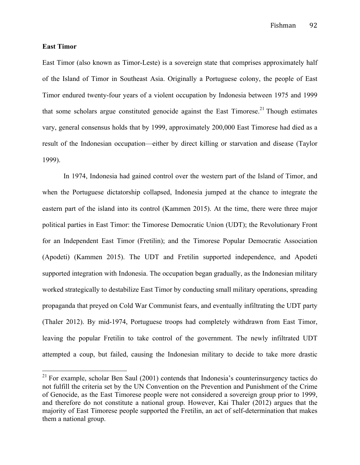Fishman 92

# **East Timor**

East Timor (also known as Timor-Leste) is a sovereign state that comprises approximately half of the Island of Timor in Southeast Asia. Originally a Portuguese colony, the people of East Timor endured twenty-four years of a violent occupation by Indonesia between 1975 and 1999 that some scholars argue constituted genocide against the East Timorese.<sup>21</sup> Though estimates vary, general consensus holds that by 1999, approximately 200,000 East Timorese had died as a result of the Indonesian occupation—either by direct killing or starvation and disease (Taylor 1999).

In 1974, Indonesia had gained control over the western part of the Island of Timor, and when the Portuguese dictatorship collapsed, Indonesia jumped at the chance to integrate the eastern part of the island into its control (Kammen 2015). At the time, there were three major political parties in East Timor: the Timorese Democratic Union (UDT); the Revolutionary Front for an Independent East Timor (Fretilin); and the Timorese Popular Democratic Association (Apodeti) (Kammen 2015). The UDT and Fretilin supported independence, and Apodeti supported integration with Indonesia. The occupation began gradually, as the Indonesian military worked strategically to destabilize East Timor by conducting small military operations, spreading propaganda that preyed on Cold War Communist fears, and eventually infiltrating the UDT party (Thaler 2012). By mid-1974, Portuguese troops had completely withdrawn from East Timor, leaving the popular Fretilin to take control of the government. The newly infiltrated UDT attempted a coup, but failed, causing the Indonesian military to decide to take more drastic

 $21$  For example, scholar Ben Saul (2001) contends that Indonesia's counterinsurgency tactics do not fulfill the criteria set by the UN Convention on the Prevention and Punishment of the Crime of Genocide, as the East Timorese people were not considered a sovereign group prior to 1999, and therefore do not constitute a national group. However, Kai Thaler (2012) argues that the majority of East Timorese people supported the Fretilin, an act of self-determination that makes them a national group.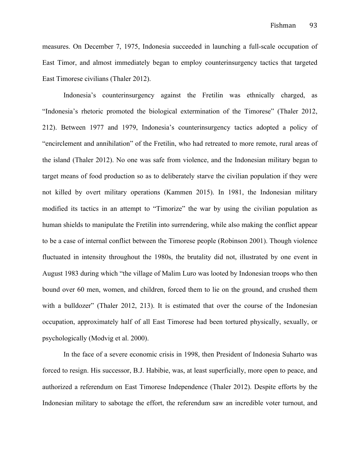measures. On December 7, 1975, Indonesia succeeded in launching a full-scale occupation of East Timor, and almost immediately began to employ counterinsurgency tactics that targeted East Timorese civilians (Thaler 2012).

Indonesia's counterinsurgency against the Fretilin was ethnically charged, as "Indonesia's rhetoric promoted the biological extermination of the Timorese" (Thaler 2012, 212). Between 1977 and 1979, Indonesia's counterinsurgency tactics adopted a policy of "encirclement and annihilation" of the Fretilin, who had retreated to more remote, rural areas of the island (Thaler 2012). No one was safe from violence, and the Indonesian military began to target means of food production so as to deliberately starve the civilian population if they were not killed by overt military operations (Kammen 2015). In 1981, the Indonesian military modified its tactics in an attempt to "Timorize" the war by using the civilian population as human shields to manipulate the Fretilin into surrendering, while also making the conflict appear to be a case of internal conflict between the Timorese people (Robinson 2001). Though violence fluctuated in intensity throughout the 1980s, the brutality did not, illustrated by one event in August 1983 during which "the village of Malim Luro was looted by Indonesian troops who then bound over 60 men, women, and children, forced them to lie on the ground, and crushed them with a bulldozer" (Thaler 2012, 213). It is estimated that over the course of the Indonesian occupation, approximately half of all East Timorese had been tortured physically, sexually, or psychologically (Modvig et al. 2000).

In the face of a severe economic crisis in 1998, then President of Indonesia Suharto was forced to resign. His successor, B.J. Habibie, was, at least superficially, more open to peace, and authorized a referendum on East Timorese Independence (Thaler 2012). Despite efforts by the Indonesian military to sabotage the effort, the referendum saw an incredible voter turnout, and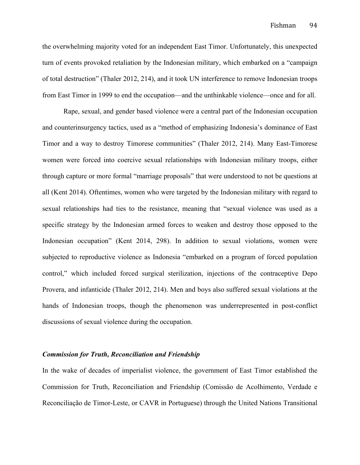the overwhelming majority voted for an independent East Timor. Unfortunately, this unexpected turn of events provoked retaliation by the Indonesian military, which embarked on a "campaign of total destruction" (Thaler 2012, 214), and it took UN interference to remove Indonesian troops from East Timor in 1999 to end the occupation—and the unthinkable violence—once and for all.

Rape, sexual, and gender based violence were a central part of the Indonesian occupation and counterinsurgency tactics, used as a "method of emphasizing Indonesia's dominance of East Timor and a way to destroy Timorese communities" (Thaler 2012, 214). Many East-Timorese women were forced into coercive sexual relationships with Indonesian military troops, either through capture or more formal "marriage proposals" that were understood to not be questions at all (Kent 2014). Oftentimes, women who were targeted by the Indonesian military with regard to sexual relationships had ties to the resistance, meaning that "sexual violence was used as a specific strategy by the Indonesian armed forces to weaken and destroy those opposed to the Indonesian occupation" (Kent 2014, 298). In addition to sexual violations, women were subjected to reproductive violence as Indonesia "embarked on a program of forced population control," which included forced surgical sterilization, injections of the contraceptive Depo Provera, and infanticide (Thaler 2012, 214). Men and boys also suffered sexual violations at the hands of Indonesian troops, though the phenomenon was underrepresented in post-conflict discussions of sexual violence during the occupation.

# *Commission for Truth, Reconciliation and Friendship*

In the wake of decades of imperialist violence, the government of East Timor established the Commission for Truth, Reconciliation and Friendship (Comissão de Acolhimento, Verdade e Reconciliação de Timor-Leste, or CAVR in Portuguese) through the United Nations Transitional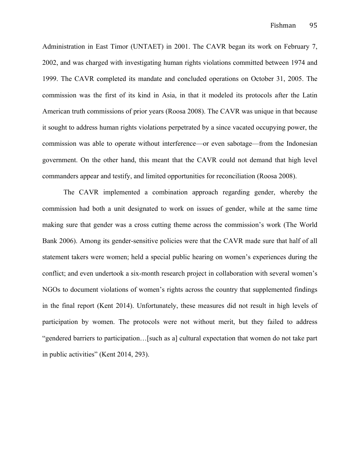Administration in East Timor (UNTAET) in 2001. The CAVR began its work on February 7, 2002, and was charged with investigating human rights violations committed between 1974 and 1999. The CAVR completed its mandate and concluded operations on October 31, 2005. The commission was the first of its kind in Asia, in that it modeled its protocols after the Latin American truth commissions of prior years (Roosa 2008). The CAVR was unique in that because it sought to address human rights violations perpetrated by a since vacated occupying power, the commission was able to operate without interference—or even sabotage—from the Indonesian government. On the other hand, this meant that the CAVR could not demand that high level commanders appear and testify, and limited opportunities for reconciliation (Roosa 2008).

The CAVR implemented a combination approach regarding gender, whereby the commission had both a unit designated to work on issues of gender, while at the same time making sure that gender was a cross cutting theme across the commission's work (The World Bank 2006). Among its gender-sensitive policies were that the CAVR made sure that half of all statement takers were women; held a special public hearing on women's experiences during the conflict; and even undertook a six-month research project in collaboration with several women's NGOs to document violations of women's rights across the country that supplemented findings in the final report (Kent 2014). Unfortunately, these measures did not result in high levels of participation by women. The protocols were not without merit, but they failed to address "gendered barriers to participation…[such as a] cultural expectation that women do not take part in public activities" (Kent 2014, 293).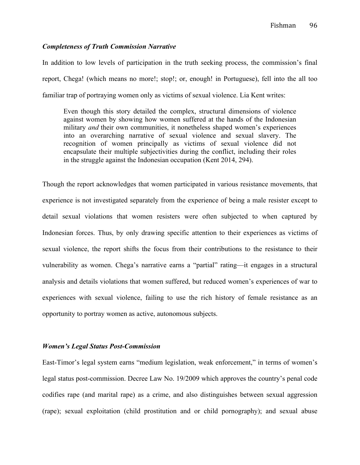# *Completeness of Truth Commission Narrative*

In addition to low levels of participation in the truth seeking process, the commission's final report, Chega! (which means no more!; stop!; or, enough! in Portuguese), fell into the all too familiar trap of portraying women only as victims of sexual violence. Lia Kent writes:

Even though this story detailed the complex, structural dimensions of violence against women by showing how women suffered at the hands of the Indonesian military *and* their own communities, it nonetheless shaped women's experiences into an overarching narrative of sexual violence and sexual slavery. The recognition of women principally as victims of sexual violence did not encapsulate their multiple subjectivities during the conflict, including their roles in the struggle against the Indonesian occupation (Kent 2014, 294).

Though the report acknowledges that women participated in various resistance movements, that experience is not investigated separately from the experience of being a male resister except to detail sexual violations that women resisters were often subjected to when captured by Indonesian forces. Thus, by only drawing specific attention to their experiences as victims of sexual violence, the report shifts the focus from their contributions to the resistance to their vulnerability as women. Chega's narrative earns a "partial" rating—it engages in a structural analysis and details violations that women suffered, but reduced women's experiences of war to experiences with sexual violence, failing to use the rich history of female resistance as an opportunity to portray women as active, autonomous subjects.

#### *Women's Legal Status Post-Commission*

East-Timor's legal system earns "medium legislation, weak enforcement," in terms of women's legal status post-commission. Decree Law No. 19/2009 which approves the country's penal code codifies rape (and marital rape) as a crime, and also distinguishes between sexual aggression (rape); sexual exploitation (child prostitution and or child pornography); and sexual abuse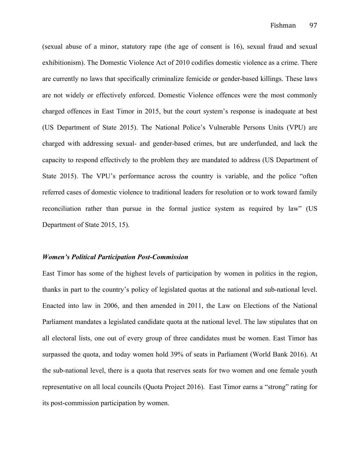(sexual abuse of a minor, statutory rape (the age of consent is 16), sexual fraud and sexual exhibitionism). The Domestic Violence Act of 2010 codifies domestic violence as a crime. There are currently no laws that specifically criminalize femicide or gender-based killings. These laws are not widely or effectively enforced. Domestic Violence offences were the most commonly charged offences in East Timor in 2015, but the court system's response is inadequate at best (US Department of State 2015). The National Police's Vulnerable Persons Units (VPU) are charged with addressing sexual- and gender-based crimes, but are underfunded, and lack the capacity to respond effectively to the problem they are mandated to address (US Department of State 2015). The VPU's performance across the country is variable, and the police "often referred cases of domestic violence to traditional leaders for resolution or to work toward family reconciliation rather than pursue in the formal justice system as required by law" (US Department of State 2015, 15).

#### *Women's Political Participation Post-Commission*

East Timor has some of the highest levels of participation by women in politics in the region, thanks in part to the country's policy of legislated quotas at the national and sub-national level. Enacted into law in 2006, and then amended in 2011, the Law on Elections of the National Parliament mandates a legislated candidate quota at the national level. The law stipulates that on all electoral lists, one out of every group of three candidates must be women. East Timor has surpassed the quota, and today women hold 39% of seats in Parliament (World Bank 2016). At the sub-national level, there is a quota that reserves seats for two women and one female youth representative on all local councils (Quota Project 2016). East Timor earns a "strong" rating for its post-commission participation by women.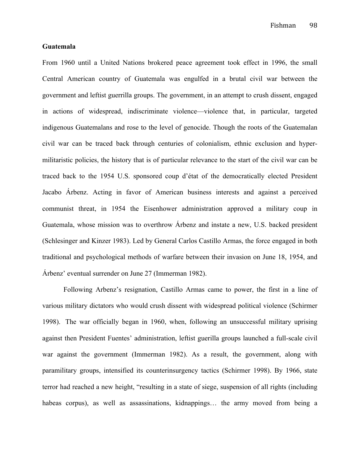Fishman 98

# **Guatemala**

From 1960 until a United Nations brokered peace agreement took effect in 1996, the small Central American country of Guatemala was engulfed in a brutal civil war between the government and leftist guerrilla groups. The government, in an attempt to crush dissent, engaged in actions of widespread, indiscriminate violence—violence that, in particular, targeted indigenous Guatemalans and rose to the level of genocide. Though the roots of the Guatemalan civil war can be traced back through centuries of colonialism, ethnic exclusion and hypermilitaristic policies, the history that is of particular relevance to the start of the civil war can be traced back to the 1954 U.S. sponsored coup d'état of the democratically elected President Jacabo Árbenz. Acting in favor of American business interests and against a perceived communist threat, in 1954 the Eisenhower administration approved a military coup in Guatemala, whose mission was to overthrow Árbenz and instate a new, U.S. backed president (Schlesinger and Kinzer 1983). Led by General Carlos Castillo Armas, the force engaged in both traditional and psychological methods of warfare between their invasion on June 18, 1954, and Árbenz' eventual surrender on June 27 (Immerman 1982).

Following Arbenz's resignation, Castillo Armas came to power, the first in a line of various military dictators who would crush dissent with widespread political violence (Schirmer 1998). The war officially began in 1960, when, following an unsuccessful military uprising against then President Fuentes' administration, leftist guerilla groups launched a full-scale civil war against the government (Immerman 1982). As a result, the government, along with paramilitary groups, intensified its counterinsurgency tactics (Schirmer 1998). By 1966, state terror had reached a new height, "resulting in a state of siege, suspension of all rights (including habeas corpus), as well as assassinations, kidnappings... the army moved from being a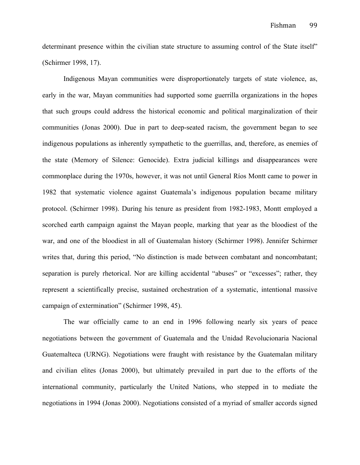determinant presence within the civilian state structure to assuming control of the State itself" (Schirmer 1998, 17).

Indigenous Mayan communities were disproportionately targets of state violence, as, early in the war, Mayan communities had supported some guerrilla organizations in the hopes that such groups could address the historical economic and political marginalization of their communities (Jonas 2000). Due in part to deep-seated racism, the government began to see indigenous populations as inherently sympathetic to the guerrillas, and, therefore, as enemies of the state (Memory of Silence: Genocide). Extra judicial killings and disappearances were commonplace during the 1970s, however, it was not until General Ríos Montt came to power in 1982 that systematic violence against Guatemala's indigenous population became military protocol. (Schirmer 1998). During his tenure as president from 1982-1983, Montt employed a scorched earth campaign against the Mayan people, marking that year as the bloodiest of the war, and one of the bloodiest in all of Guatemalan history (Schirmer 1998). Jennifer Schirmer writes that, during this period, "No distinction is made between combatant and noncombatant; separation is purely rhetorical. Nor are killing accidental "abuses" or "excesses"; rather, they represent a scientifically precise, sustained orchestration of a systematic, intentional massive campaign of extermination" (Schirmer 1998, 45).

The war officially came to an end in 1996 following nearly six years of peace negotiations between the government of Guatemala and the Unidad Revolucionaria Nacional Guatemalteca (URNG). Negotiations were fraught with resistance by the Guatemalan military and civilian elites (Jonas 2000), but ultimately prevailed in part due to the efforts of the international community, particularly the United Nations, who stepped in to mediate the negotiations in 1994 (Jonas 2000). Negotiations consisted of a myriad of smaller accords signed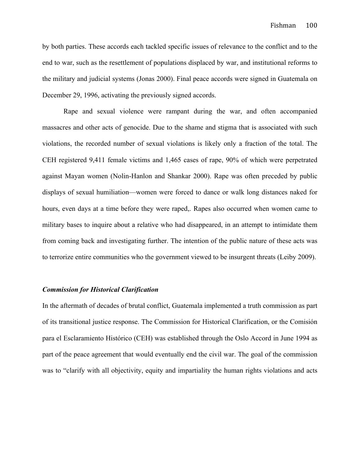by both parties. These accords each tackled specific issues of relevance to the conflict and to the end to war, such as the resettlement of populations displaced by war, and institutional reforms to the military and judicial systems (Jonas 2000). Final peace accords were signed in Guatemala on December 29, 1996, activating the previously signed accords.

Rape and sexual violence were rampant during the war, and often accompanied massacres and other acts of genocide. Due to the shame and stigma that is associated with such violations, the recorded number of sexual violations is likely only a fraction of the total. The CEH registered 9,411 female victims and 1,465 cases of rape, 90% of which were perpetrated against Mayan women (Nolin-Hanlon and Shankar 2000). Rape was often preceded by public displays of sexual humiliation—women were forced to dance or walk long distances naked for hours, even days at a time before they were raped,. Rapes also occurred when women came to military bases to inquire about a relative who had disappeared, in an attempt to intimidate them from coming back and investigating further. The intention of the public nature of these acts was to terrorize entire communities who the government viewed to be insurgent threats (Leiby 2009).

#### *Commission for Historical Clarification*

In the aftermath of decades of brutal conflict, Guatemala implemented a truth commission as part of its transitional justice response. The Commission for Historical Clarification, or the Comisión para el Esclaramiento Histórico (CEH) was established through the Oslo Accord in June 1994 as part of the peace agreement that would eventually end the civil war. The goal of the commission was to "clarify with all objectivity, equity and impartiality the human rights violations and acts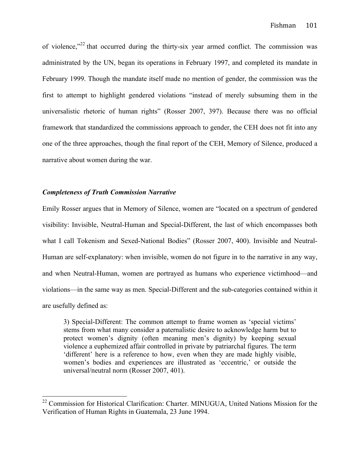of violence,"<sup>22</sup> that occurred during the thirty-six year armed conflict. The commission was administrated by the UN, began its operations in February 1997, and completed its mandate in February 1999. Though the mandate itself made no mention of gender, the commission was the first to attempt to highlight gendered violations "instead of merely subsuming them in the universalistic rhetoric of human rights" (Rosser 2007, 397). Because there was no official framework that standardized the commissions approach to gender, the CEH does not fit into any one of the three approaches, though the final report of the CEH, Memory of Silence, produced a narrative about women during the war.

### *Completeness of Truth Commission Narrative*

Emily Rosser argues that in Memory of Silence, women are "located on a spectrum of gendered visibility: Invisible, Neutral-Human and Special-Different, the last of which encompasses both what I call Tokenism and Sexed-National Bodies" (Rosser 2007, 400). Invisible and Neutral-Human are self-explanatory: when invisible, women do not figure in to the narrative in any way, and when Neutral-Human, women are portrayed as humans who experience victimhood—and violations—in the same way as men. Special-Different and the sub-categories contained within it are usefully defined as:

3) Special-Different: The common attempt to frame women as 'special victims' stems from what many consider a paternalistic desire to acknowledge harm but to protect women's dignity (often meaning men's dignity) by keeping sexual violence a euphemized affair controlled in private by patriarchal figures. The term 'different' here is a reference to how, even when they are made highly visible, women's bodies and experiences are illustrated as 'eccentric,' or outside the universal/neutral norm (Rosser 2007, 401).

<sup>&</sup>lt;sup>22</sup> Commission for Historical Clarification: Charter. MINUGUA, United Nations Mission for the Verification of Human Rights in Guatemala, 23 June 1994.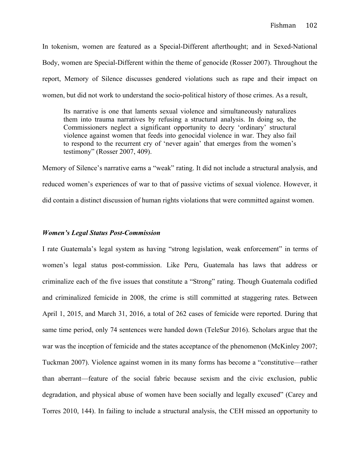In tokenism, women are featured as a Special-Different afterthought; and in Sexed-National Body, women are Special-Different within the theme of genocide (Rosser 2007). Throughout the report, Memory of Silence discusses gendered violations such as rape and their impact on women, but did not work to understand the socio-political history of those crimes. As a result,

Its narrative is one that laments sexual violence and simultaneously naturalizes them into trauma narratives by refusing a structural analysis. In doing so, the Commissioners neglect a significant opportunity to decry 'ordinary' structural violence against women that feeds into genocidal violence in war. They also fail to respond to the recurrent cry of 'never again' that emerges from the women's testimony" (Rosser 2007, 409).

Memory of Silence's narrative earns a "weak" rating. It did not include a structural analysis, and reduced women's experiences of war to that of passive victims of sexual violence. However, it did contain a distinct discussion of human rights violations that were committed against women.

## *Women's Legal Status Post-Commission*

I rate Guatemala's legal system as having "strong legislation, weak enforcement" in terms of women's legal status post-commission. Like Peru, Guatemala has laws that address or criminalize each of the five issues that constitute a "Strong" rating. Though Guatemala codified and criminalized femicide in 2008, the crime is still committed at staggering rates. Between April 1, 2015, and March 31, 2016, a total of 262 cases of femicide were reported. During that same time period, only 74 sentences were handed down (TeleSur 2016). Scholars argue that the war was the inception of femicide and the states acceptance of the phenomenon (McKinley 2007; Tuckman 2007). Violence against women in its many forms has become a "constitutive—rather than aberrant—feature of the social fabric because sexism and the civic exclusion, public degradation, and physical abuse of women have been socially and legally excused" (Carey and Torres 2010, 144). In failing to include a structural analysis, the CEH missed an opportunity to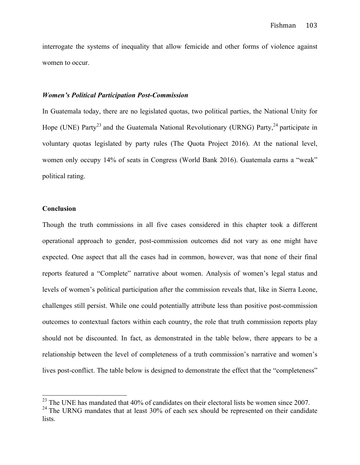interrogate the systems of inequality that allow femicide and other forms of violence against women to occur.

### *Women's Political Participation Post-Commission*

In Guatemala today, there are no legislated quotas, two political parties, the National Unity for Hope (UNE) Party<sup>23</sup> and the Guatemala National Revolutionary (URNG) Party,<sup>24</sup> participate in voluntary quotas legislated by party rules (The Quota Project 2016). At the national level, women only occupy 14% of seats in Congress (World Bank 2016). Guatemala earns a "weak" political rating.

## **Conclusion**

Though the truth commissions in all five cases considered in this chapter took a different operational approach to gender, post-commission outcomes did not vary as one might have expected. One aspect that all the cases had in common, however, was that none of their final reports featured a "Complete" narrative about women. Analysis of women's legal status and levels of women's political participation after the commission reveals that, like in Sierra Leone, challenges still persist. While one could potentially attribute less than positive post-commission outcomes to contextual factors within each country, the role that truth commission reports play should not be discounted. In fact, as demonstrated in the table below, there appears to be a relationship between the level of completeness of a truth commission's narrative and women's lives post-conflict. The table below is designed to demonstrate the effect that the "completeness"

 $23$  The UNE has mandated that 40% of candidates on their electoral lists be women since 2007.

 $24$  The URNG mandates that at least 30% of each sex should be represented on their candidate lists.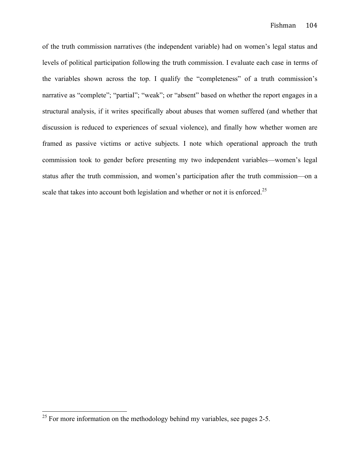of the truth commission narratives (the independent variable) had on women's legal status and levels of political participation following the truth commission. I evaluate each case in terms of the variables shown across the top. I qualify the "completeness" of a truth commission's narrative as "complete"; "partial"; "weak"; or "absent" based on whether the report engages in a structural analysis, if it writes specifically about abuses that women suffered (and whether that discussion is reduced to experiences of sexual violence), and finally how whether women are framed as passive victims or active subjects. I note which operational approach the truth commission took to gender before presenting my two independent variables—women's legal status after the truth commission, and women's participation after the truth commission—on a scale that takes into account both legislation and whether or not it is enforced.<sup>25</sup>

 $^{25}$  For more information on the methodology behind my variables, see pages 2-5.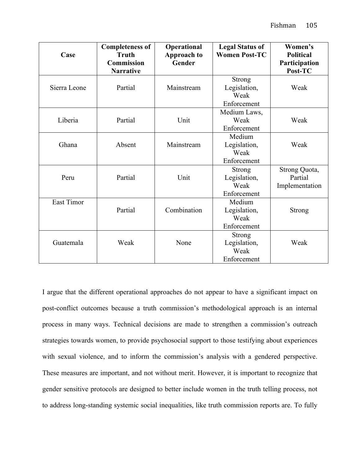| Case              | <b>Completeness of</b><br><b>Truth</b><br><b>Commission</b><br><b>Narrative</b> | Operational<br><b>Approach to</b><br>Gender | <b>Legal Status of</b><br><b>Women Post-TC</b>       | Women's<br><b>Political</b><br>Participation<br>Post-TC |
|-------------------|---------------------------------------------------------------------------------|---------------------------------------------|------------------------------------------------------|---------------------------------------------------------|
| Sierra Leone      | Partial                                                                         | Mainstream                                  | <b>Strong</b><br>Legislation,<br>Weak<br>Enforcement | Weak                                                    |
| Liberia           | Partial                                                                         | Unit                                        | Medium Laws,<br>Weak<br>Enforcement                  | Weak                                                    |
| Ghana             | Absent                                                                          | Mainstream                                  | Medium<br>Legislation,<br>Weak<br>Enforcement        | Weak                                                    |
| Peru              | Partial                                                                         | Unit                                        | <b>Strong</b><br>Legislation,<br>Weak<br>Enforcement | Strong Quota,<br>Partial<br>Implementation              |
| <b>East Timor</b> | Partial                                                                         | Combination                                 | Medium<br>Legislation,<br>Weak<br>Enforcement        | <b>Strong</b>                                           |
| Guatemala         | Weak                                                                            | None                                        | <b>Strong</b><br>Legislation,<br>Weak<br>Enforcement | Weak                                                    |

I argue that the different operational approaches do not appear to have a significant impact on post-conflict outcomes because a truth commission's methodological approach is an internal process in many ways. Technical decisions are made to strengthen a commission's outreach strategies towards women, to provide psychosocial support to those testifying about experiences with sexual violence, and to inform the commission's analysis with a gendered perspective. These measures are important, and not without merit. However, it is important to recognize that gender sensitive protocols are designed to better include women in the truth telling process, not to address long-standing systemic social inequalities, like truth commission reports are. To fully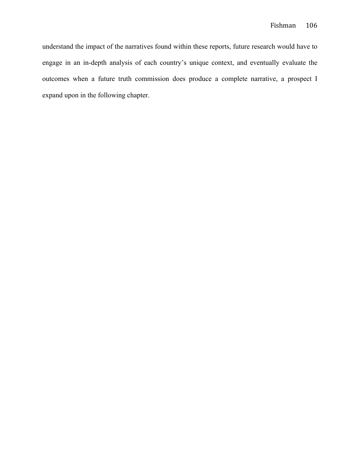understand the impact of the narratives found within these reports, future research would have to engage in an in-depth analysis of each country's unique context, and eventually evaluate the outcomes when a future truth commission does produce a complete narrative, a prospect I expand upon in the following chapter.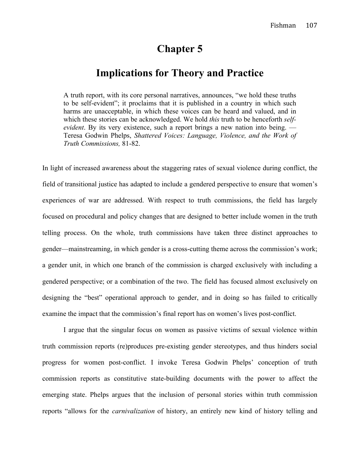# **Chapter 5**

# **Implications for Theory and Practice**

A truth report, with its core personal narratives, announces, "we hold these truths to be self-evident"; it proclaims that it is published in a country in which such harms are unacceptable, in which these voices can be heard and valued, and in which these stories can be acknowledged. We hold *this* truth to be henceforth *selfevident*. By its very existence, such a report brings a new nation into being. — Teresa Godwin Phelps, *Shattered Voices: Language, Violence, and the Work of Truth Commissions,* 81-82.

In light of increased awareness about the staggering rates of sexual violence during conflict, the field of transitional justice has adapted to include a gendered perspective to ensure that women's experiences of war are addressed. With respect to truth commissions, the field has largely focused on procedural and policy changes that are designed to better include women in the truth telling process. On the whole, truth commissions have taken three distinct approaches to gender—mainstreaming, in which gender is a cross-cutting theme across the commission's work; a gender unit, in which one branch of the commission is charged exclusively with including a gendered perspective; or a combination of the two. The field has focused almost exclusively on designing the "best" operational approach to gender, and in doing so has failed to critically examine the impact that the commission's final report has on women's lives post-conflict.

I argue that the singular focus on women as passive victims of sexual violence within truth commission reports (re)produces pre-existing gender stereotypes, and thus hinders social progress for women post-conflict. I invoke Teresa Godwin Phelps' conception of truth commission reports as constitutive state-building documents with the power to affect the emerging state. Phelps argues that the inclusion of personal stories within truth commission reports "allows for the *carnivalization* of history, an entirely new kind of history telling and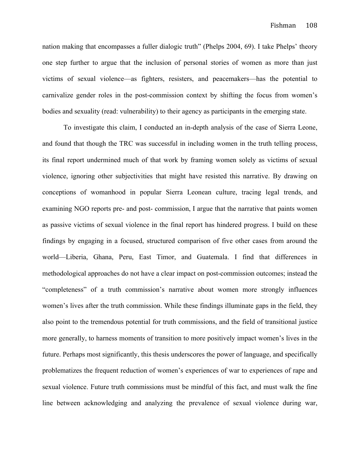nation making that encompasses a fuller dialogic truth" (Phelps 2004, 69). I take Phelps' theory one step further to argue that the inclusion of personal stories of women as more than just victims of sexual violence—as fighters, resisters, and peacemakers—has the potential to carnivalize gender roles in the post-commission context by shifting the focus from women's bodies and sexuality (read: vulnerability) to their agency as participants in the emerging state.

To investigate this claim, I conducted an in-depth analysis of the case of Sierra Leone, and found that though the TRC was successful in including women in the truth telling process, its final report undermined much of that work by framing women solely as victims of sexual violence, ignoring other subjectivities that might have resisted this narrative. By drawing on conceptions of womanhood in popular Sierra Leonean culture, tracing legal trends, and examining NGO reports pre- and post- commission, I argue that the narrative that paints women as passive victims of sexual violence in the final report has hindered progress. I build on these findings by engaging in a focused, structured comparison of five other cases from around the world—Liberia, Ghana, Peru, East Timor, and Guatemala. I find that differences in methodological approaches do not have a clear impact on post-commission outcomes; instead the "completeness" of a truth commission's narrative about women more strongly influences women's lives after the truth commission. While these findings illuminate gaps in the field, they also point to the tremendous potential for truth commissions, and the field of transitional justice more generally, to harness moments of transition to more positively impact women's lives in the future. Perhaps most significantly, this thesis underscores the power of language, and specifically problematizes the frequent reduction of women's experiences of war to experiences of rape and sexual violence. Future truth commissions must be mindful of this fact, and must walk the fine line between acknowledging and analyzing the prevalence of sexual violence during war,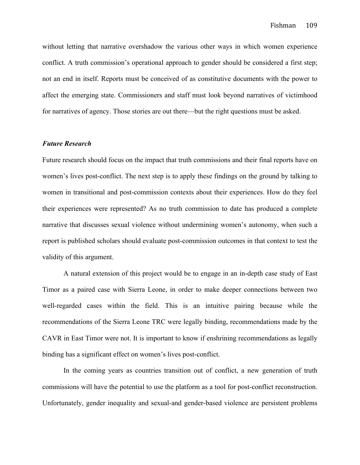without letting that narrative overshadow the various other ways in which women experience conflict. A truth commission's operational approach to gender should be considered a first step; not an end in itself. Reports must be conceived of as constitutive documents with the power to affect the emerging state. Commissioners and staff must look beyond narratives of victimhood for narratives of agency. Those stories are out there—but the right questions must be asked.

### *Future Research*

Future research should focus on the impact that truth commissions and their final reports have on women's lives post-conflict. The next step is to apply these findings on the ground by talking to women in transitional and post-commission contexts about their experiences. How do they feel their experiences were represented? As no truth commission to date has produced a complete narrative that discusses sexual violence without undermining women's autonomy, when such a report is published scholars should evaluate post-commission outcomes in that context to test the validity of this argument.

A natural extension of this project would be to engage in an in-depth case study of East Timor as a paired case with Sierra Leone, in order to make deeper connections between two well-regarded cases within the field. This is an intuitive pairing because while the recommendations of the Sierra Leone TRC were legally binding, recommendations made by the CAVR in East Timor were not. It is important to know if enshrining recommendations as legally binding has a significant effect on women's lives post-conflict.

In the coming years as countries transition out of conflict, a new generation of truth commissions will have the potential to use the platform as a tool for post-conflict reconstruction. Unfortunately, gender inequality and sexual-and gender-based violence are persistent problems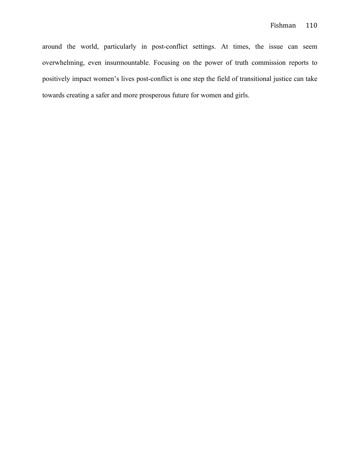around the world, particularly in post-conflict settings. At times, the issue can seem overwhelming, even insurmountable. Focusing on the power of truth commission reports to positively impact women's lives post-conflict is one step the field of transitional justice can take towards creating a safer and more prosperous future for women and girls.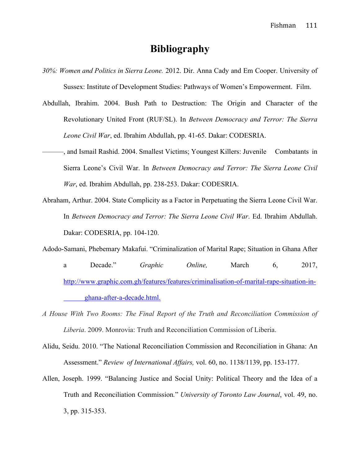# **Bibliography**

- *30%: Women and Politics in Sierra Leone.* 2012. Dir. Anna Cady and Em Cooper. University of Sussex: Institute of Development Studies: Pathways of Women's Empowerment. Film.
- Abdullah, Ibrahim. 2004. Bush Path to Destruction: The Origin and Character of the Revolutionary United Front (RUF/SL). In *Between Democracy and Terror: The Sierra Leone Civil War*, ed. Ibrahim Abdullah, pp. 41-65. Dakar: CODESRIA.
- ———, and Ismail Rashid. 2004. Smallest Victims; Youngest Killers: Juvenile Combatants in Sierra Leone's Civil War. In *Between Democracy and Terror: The Sierra Leone Civil War*, ed. Ibrahim Abdullah, pp. 238-253. Dakar: CODESRIA.
- Abraham, Arthur. 2004. State Complicity as a Factor in Perpetuating the Sierra Leone Civil War. In *Between Democracy and Terror: The Sierra Leone Civil War*. Ed. Ibrahim Abdullah. Dakar: CODESRIA, pp. 104-120.
- Adodo-Samani, Phebemary Makafui. "Criminalization of Marital Rape; Situation in Ghana After a Decade." *Graphic Online,* March 6, 2017, http://www.graphic.com.gh/features/features/criminalisation-of-marital-rape-situation-inghana-after-a-decade.html.
- *A House With Two Rooms: The Final Report of the Truth and Reconciliation Commission of Liberia*. 2009. Monrovia: Truth and Reconciliation Commission of Liberia.
- Alidu, Seidu. 2010. "The National Reconciliation Commission and Reconciliation in Ghana: An Assessment." *Review of International Affairs,* vol. 60, no. 1138/1139, pp. 153-177.
- Allen, Joseph. 1999. "Balancing Justice and Social Unity: Political Theory and the Idea of a Truth and Reconciliation Commission*.*" *University of Toronto Law Journal*, vol. 49, no. 3, pp. 315-353.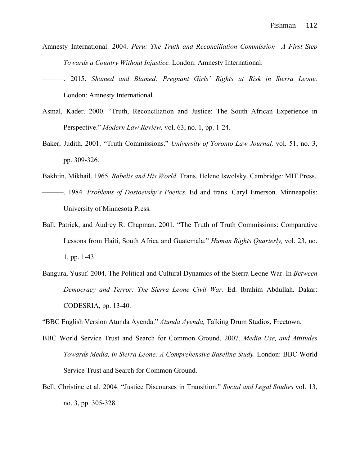- Amnesty International. 2004. *Peru: The Truth and Reconciliation Commission—A First Step Towards a Country Without Injustice.* London: Amnesty International.
- ———. 2015. *Shamed and Blamed: Pregnant Girls' Rights at Risk in Sierra Leone.*  London: Amnesty International.
- Asmal, Kader. 2000. "Truth, Reconciliation and Justice: The South African Experience in Perspective." *Modern Law Review,* vol. 63, no. 1, pp. 1-24.
- Baker, Judith. 2001. "Truth Commissions." *University of Toronto Law Journal,* vol. 51, no. 3, pp. 309-326.
- Bakhtin, Mikhail. 1965. *Rabelis and His World*. Trans. Helene Iswolsky. Cambridge: MIT Press.
- ———. 1984. *Problems of Dostoevsky's Poetics.* Ed and trans. Caryl Emerson. Minneapolis: University of Minnesota Press.
- Ball, Patrick, and Audrey R. Chapman. 2001. "The Truth of Truth Commissions: Comparative Lessons from Haiti, South Africa and Guatemala." *Human Rights Quarterly,* vol. 23, no. 1, pp. 1-43.
- Bangura, Yusuf. 2004. The Political and Cultural Dynamics of the Sierra Leone War. In *Between Democracy and Terror: The Sierra Leone Civil War*. Ed. Ibrahim Abdullah. Dakar: CODESRIA, pp. 13-40.
- "BBC English Version Atunda Ayenda." *Atunda Ayenda,* Talking Drum Studios, Freetown.
- BBC World Service Trust and Search for Common Ground. 2007. *Media Use, and Attitudes Towards Media, in Sierra Leone: A Comprehensive Baseline Study.* London: BBC World Service Trust and Search for Common Ground.
- Bell, Christine et al. 2004. "Justice Discourses in Transition." *Social and Legal Studies* vol. 13, no. 3, pp. 305-328.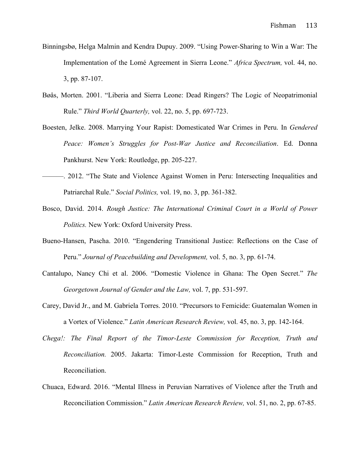- Binningsbø, Helga Malmin and Kendra Dupuy. 2009. "Using Power-Sharing to Win a War: The Implementation of the Lomé Agreement in Sierra Leone." *Africa Spectrum,* vol. 44, no. 3, pp. 87-107.
- Bøås, Morten. 2001. "Liberia and Sierra Leone: Dead Ringers? The Logic of Neopatrimonial Rule." *Third World Quarterly,* vol. 22, no. 5, pp. 697-723.
- Boesten, Jelke. 2008. Marrying Your Rapist: Domesticated War Crimes in Peru. In *Gendered Peace: Women's Struggles for Post-War Justice and Reconciliation*. Ed. Donna Pankhurst. New York: Routledge, pp. 205-227.
- ———. 2012. "The State and Violence Against Women in Peru: Intersecting Inequalities and Patriarchal Rule." *Social Politics,* vol. 19, no. 3, pp. 361-382.
- Bosco, David. 2014. *Rough Justice: The International Criminal Court in a World of Power Politics.* New York: Oxford University Press.
- Bueno-Hansen, Pascha. 2010. "Engendering Transitional Justice: Reflections on the Case of Peru." *Journal of Peacebuilding and Development,* vol. 5, no. 3, pp. 61-74.
- Cantalupo, Nancy Chi et al. 2006. "Domestic Violence in Ghana: The Open Secret." *The Georgetown Journal of Gender and the Law,* vol. 7, pp. 531-597.
- Carey, David Jr., and M. Gabriela Torres. 2010. "Precursors to Femicide: Guatemalan Women in a Vortex of Violence." *Latin American Research Review,* vol. 45, no. 3, pp. 142-164.
- *Chega!: The Final Report of the Timor-Leste Commission for Reception, Truth and Reconciliation.* 2005. Jakarta: Timor-Leste Commission for Reception, Truth and Reconciliation.
- Chuaca, Edward. 2016. "Mental Illness in Peruvian Narratives of Violence after the Truth and Reconciliation Commission." *Latin American Research Review,* vol. 51, no. 2, pp. 67-85.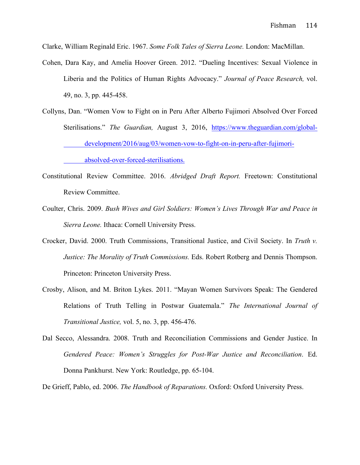Clarke, William Reginald Eric. 1967. *Some Folk Tales of Sierra Leone.* London: MacMillan.

- Cohen, Dara Kay, and Amelia Hoover Green. 2012. "Dueling Incentives: Sexual Violence in Liberia and the Politics of Human Rights Advocacy." *Journal of Peace Research,* vol. 49, no. 3, pp. 445-458.
- Collyns, Dan. "Women Vow to Fight on in Peru After Alberto Fujimori Absolved Over Forced Sterilisations." *The Guardian,* August 3, 2016, https://www.theguardian.com/globaldevelopment/2016/aug/03/women-vow-to-fight-on-in-peru-after-fujimori-

absolved-over-forced-sterilisations.

- Constitutional Review Committee. 2016. *Abridged Draft Report.* Freetown: Constitutional Review Committee.
- Coulter, Chris. 2009. *Bush Wives and Girl Soldiers: Women's Lives Through War and Peace in Sierra Leone.* Ithaca: Cornell University Press.
- Crocker, David. 2000. Truth Commissions, Transitional Justice, and Civil Society. In *Truth v. Justice: The Morality of Truth Commissions.* Eds. Robert Rotberg and Dennis Thompson. Princeton: Princeton University Press.
- Crosby, Alison, and M. Briton Lykes. 2011. "Mayan Women Survivors Speak: The Gendered Relations of Truth Telling in Postwar Guatemala." *The International Journal of Transitional Justice,* vol. 5, no. 3, pp. 456-476.
- Dal Secco, Alessandra. 2008. Truth and Reconciliation Commissions and Gender Justice. In *Gendered Peace: Women's Struggles for Post-War Justice and Reconciliation*. Ed. Donna Pankhurst. New York: Routledge, pp. 65-104.

De Grieff, Pablo, ed. 2006. *The Handbook of Reparations.* Oxford: Oxford University Press.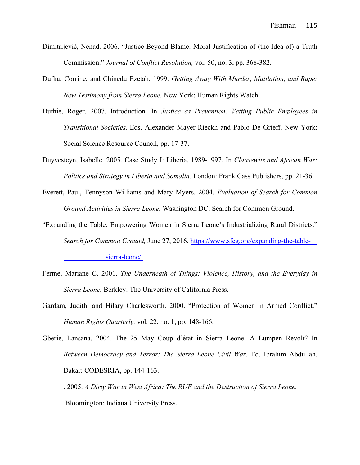- Dimitrijević, Nenad. 2006. "Justice Beyond Blame: Moral Justification of (the Idea of) a Truth Commission." *Journal of Conflict Resolution,* vol. 50, no. 3, pp. 368-382.
- Dufka, Corrine, and Chinedu Ezetah. 1999. *Getting Away With Murder, Mutilation, and Rape: New Testimony from Sierra Leone.* New York: Human Rights Watch.
- Duthie, Roger. 2007. Introduction. In *Justice as Prevention: Vetting Public Employees in Transitional Societies.* Eds. Alexander Mayer-Rieckh and Pablo De Grieff. New York: Social Science Resource Council, pp. 17-37.
- Duyvesteyn, Isabelle. 2005. Case Study I: Liberia, 1989-1997. In *Clausewitz and African War: Politics and Strategy in Liberia and Somalia.* London: Frank Cass Publishers, pp. 21-36.
- Everett, Paul, Tennyson Williams and Mary Myers. 2004. *Evaluation of Search for Common Ground Activities in Sierra Leone.* Washington DC: Search for Common Ground.
- "Expanding the Table: Empowering Women in Sierra Leone's Industrializing Rural Districts." *Search for Common Ground,* June 27, 2016, https://www.sfcg.org/expanding-the-tablesierra-leone/.
- Ferme, Mariane C. 2001. *The Underneath of Things: Violence, History, and the Everyday in Sierra Leone.* Berkley: The University of California Press.
- Gardam, Judith, and Hilary Charlesworth. 2000. "Protection of Women in Armed Conflict." *Human Rights Quarterly,* vol. 22, no. 1, pp. 148-166.
- Gberie, Lansana. 2004. The 25 May Coup d'état in Sierra Leone: A Lumpen Revolt? In *Between Democracy and Terror: The Sierra Leone Civil War*. Ed. Ibrahim Abdullah. Dakar: CODESRIA, pp. 144-163.
- ———. 2005. *A Dirty War in West Africa: The RUF and the Destruction of Sierra Leone.* Bloomington: Indiana University Press.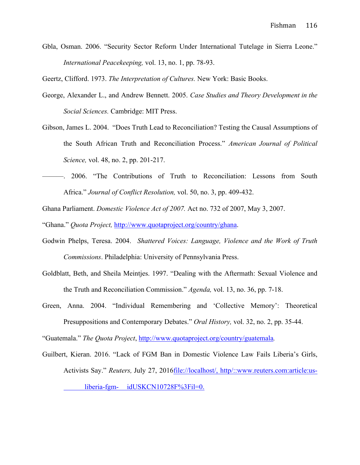Gbla, Osman. 2006. "Security Sector Reform Under International Tutelage in Sierra Leone." *International Peacekeeping,* vol. 13, no. 1, pp. 78-93.

Geertz, Clifford. 1973. *The Interpretation of Cultures.* New York: Basic Books.

- George, Alexander L., and Andrew Bennett. 2005. *Case Studies and Theory Development in the Social Sciences.* Cambridge: MIT Press.
- Gibson, James L. 2004. "Does Truth Lead to Reconciliation? Testing the Causal Assumptions of the South African Truth and Reconciliation Process." *American Journal of Political Science,* vol. 48, no. 2, pp. 201-217.
- ———. 2006. "The Contributions of Truth to Reconciliation: Lessons from South Africa." *Journal of Conflict Resolution,* vol. 50, no. 3, pp. 409-432.
- Ghana Parliament. *Domestic Violence Act of 2007.* Act no. 732 of 2007, May 3, 2007.

"Ghana." *Quota Project,* http://www.quotaproject.org/country/ghana.

- Godwin Phelps, Teresa. 2004. *Shattered Voices: Language, Violence and the Work of Truth Commissions*. Philadelphia: University of Pennsylvania Press.
- Goldblatt, Beth, and Sheila Meintjes. 1997. "Dealing with the Aftermath: Sexual Violence and the Truth and Reconciliation Commission." *Agenda,* vol. 13, no. 36, pp. 7-18.
- Green, Anna. 2004. "Individual Remembering and 'Collective Memory': Theoretical Presuppositions and Contemporary Debates." *Oral History,* vol. 32, no. 2, pp. 35-44.

"Guatemala." *The Quota Project*, http://www.quotaproject.org/country/guatemala*.* 

Guilbert, Kieran. 2016. "Lack of FGM Ban in Domestic Violence Law Fails Liberia's Girls, Activists Say." *Reuters,* July 27, 2016file://localhost/, http/::www.reuters.com:article:usliberia-fgm- idUSKCN10728F%3Fil=0.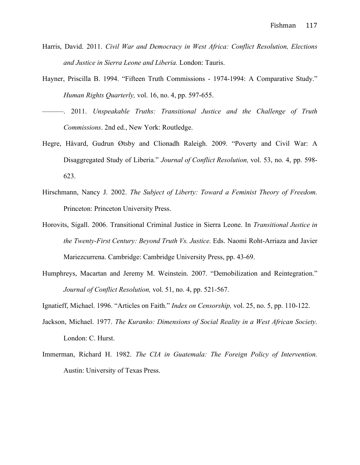- Harris, David. 2011. *Civil War and Democracy in West Africa: Conflict Resolution, Elections and Justice in Sierra Leone and Liberia.* London: Tauris.
- Hayner, Priscilla B. 1994. "Fifteen Truth Commissions 1974-1994: A Comparative Study." *Human Rights Quarterly,* vol. 16, no. 4, pp. 597-655.
- ———. 2011. *Unspeakable Truths: Transitional Justice and the Challenge of Truth Commissions*. 2nd ed., New York: Routledge.
- Hegre, Håvard, Gudrun Øtsby and Clionadh Raleigh. 2009. "Poverty and Civil War: A Disaggregated Study of Liberia." *Journal of Conflict Resolution,* vol. 53, no. 4, pp. 598- 623.
- Hirschmann, Nancy J. 2002. *The Subject of Liberty: Toward a Feminist Theory of Freedom.*  Princeton: Princeton University Press.
- Horovits, Sigall. 2006. Transitional Criminal Justice in Sierra Leone. In *Transitional Justice in the Twenty-First Century: Beyond Truth Vs. Justice.* Eds. Naomi Roht-Arriaza and Javier Mariezcurrena. Cambridge: Cambridge University Press, pp. 43-69.
- Humphreys, Macartan and Jeremy M. Weinstein. 2007. "Demobilization and Reintegration." *Journal of Conflict Resolution,* vol. 51, no. 4, pp. 521-567.
- Ignatieff, Michael. 1996. "Articles on Faith." *Index on Censorship,* vol. 25, no. 5, pp. 110-122.
- Jackson, Michael. 1977. *The Kuranko: Dimensions of Social Reality in a West African Society.*  London: C. Hurst.
- Immerman, Richard H. 1982. *The CIA in Guatemala: The Foreign Policy of Intervention.*  Austin: University of Texas Press.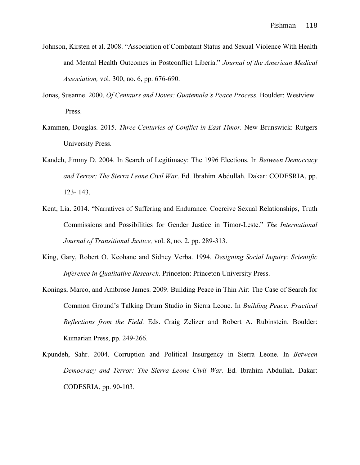- Johnson, Kirsten et al. 2008. "Association of Combatant Status and Sexual Violence With Health and Mental Health Outcomes in Postconflict Liberia." *Journal of the American Medical Association,* vol. 300, no. 6, pp. 676-690.
- Jonas, Susanne. 2000. *Of Centaurs and Doves: Guatemala's Peace Process.* Boulder: Westview Press.
- Kammen, Douglas. 2015. *Three Centuries of Conflict in East Timor.* New Brunswick: Rutgers University Press.
- Kandeh, Jimmy D. 2004. In Search of Legitimacy: The 1996 Elections. In *Between Democracy and Terror: The Sierra Leone Civil War*. Ed. Ibrahim Abdullah. Dakar: CODESRIA, pp. 123- 143.
- Kent, Lia. 2014. "Narratives of Suffering and Endurance: Coercive Sexual Relationships, Truth Commissions and Possibilities for Gender Justice in Timor-Leste." *The International Journal of Transitional Justice,* vol. 8, no. 2, pp. 289-313.
- King, Gary, Robert O. Keohane and Sidney Verba. 1994. *Designing Social Inquiry: Scientific Inference in Qualitative Research.* Princeton: Princeton University Press.
- Konings, Marco, and Ambrose James. 2009. Building Peace in Thin Air: The Case of Search for Common Ground's Talking Drum Studio in Sierra Leone. In *Building Peace: Practical Reflections from the Field.* Eds. Craig Zelizer and Robert A. Rubinstein. Boulder: Kumarian Press, pp. 249-266.
- Kpundeh, Sahr. 2004. Corruption and Political Insurgency in Sierra Leone. In *Between Democracy and Terror: The Sierra Leone Civil War*. Ed. Ibrahim Abdullah. Dakar: CODESRIA, pp. 90-103.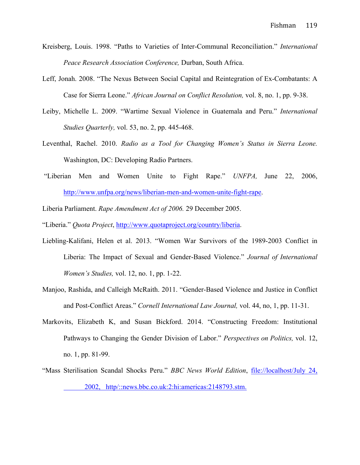- Kreisberg, Louis. 1998. "Paths to Varieties of Inter-Communal Reconciliation." *International Peace Research Association Conference,* Durban, South Africa.
- Leff, Jonah. 2008. "The Nexus Between Social Capital and Reintegration of Ex-Combatants: A Case for Sierra Leone." *African Journal on Conflict Resolution,* vol. 8, no. 1, pp. 9-38.
- Leiby, Michelle L. 2009. "Wartime Sexual Violence in Guatemala and Peru." *International Studies Quarterly,* vol. 53, no. 2, pp. 445-468.
- Leventhal, Rachel. 2010. *Radio as a Tool for Changing Women's Status in Sierra Leone.*  Washington, DC: Developing Radio Partners.
- "Liberian Men and Women Unite to Fight Rape." *UNFPA,* June 22, 2006, http://www.unfpa.org/news/liberian-men-and-women-unite-fight-rape.
- Liberia Parliament. *Rape Amendment Act of 2006.* 29 December 2005.
- "Liberia." *Quota Project*, http://www.quotaproject.org/country/liberia.
- Liebling-Kalifani, Helen et al. 2013. "Women War Survivors of the 1989-2003 Conflict in Liberia: The Impact of Sexual and Gender-Based Violence." *Journal of International Women's Studies,* vol. 12, no. 1, pp. 1-22.
- Manjoo, Rashida, and Calleigh McRaith. 2011. "Gender-Based Violence and Justice in Conflict and Post-Conflict Areas." *Cornell International Law Journal,* vol. 44, no, 1, pp. 11-31.
- Markovits, Elizabeth K, and Susan Bickford. 2014. "Constructing Freedom: Institutional Pathways to Changing the Gender Division of Labor." *Perspectives on Politics,* vol. 12, no. 1, pp. 81-99.
- "Mass Sterilisation Scandal Shocks Peru." *BBC News World Edition*, file://localhost/July 24, 2002, http/::news.bbc.co.uk:2:hi:americas:2148793.stm.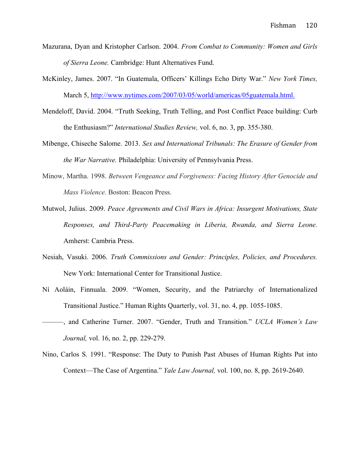- Mazurana, Dyan and Kristopher Carlson. 2004. *From Combat to Community: Women and Girls of Sierra Leone.* Cambridge: Hunt Alternatives Fund.
- McKinley, James. 2007. "In Guatemala, Officers' Killings Echo Dirty War." *New York Times,* March 5, http://www.nytimes.com/2007/03/05/world/americas/05guatemala.html.
- Mendeloff, David. 2004. "Truth Seeking, Truth Telling, and Post Conflict Peace building: Curb the Enthusiasm?" *International Studies Review,* vol. 6, no. 3, pp. 355-380.
- Mibenge, Chiseche Salome. 2013. *Sex and International Tribunals: The Erasure of Gender from the War Narrative.* Philadelphia: University of Pennsylvania Press.
- Minow, Martha. 1998. *Between Vengeance and Forgiveness: Facing History After Genocide and Mass Violence.* Boston: Beacon Press.
- Mutwol, Julius. 2009. *Peace Agreements and Civil Wars in Africa: Insurgent Motivations, State Responses, and Third-Party Peacemaking in Liberia, Rwanda, and Sierra Leone.*  Amherst: Cambria Press.
- Nesiah, Vasuki. 2006. *Truth Commissions and Gender: Principles, Policies, and Procedures.*  New York: International Center for Transitional Justice.
- Ní Aoláin, Finnuala. 2009. "Women, Security, and the Patriarchy of Internationalized Transitional Justice." Human Rights Quarterly, vol. 31, no. 4, pp. 1055-1085.
- ———, and Catherine Turner. 2007. "Gender, Truth and Transition." *UCLA Women's Law Journal,* vol. 16, no. 2, pp. 229-279.
- Nino, Carlos S. 1991. "Response: The Duty to Punish Past Abuses of Human Rights Put into Context—The Case of Argentina." *Yale Law Journal,* vol. 100, no. 8, pp. 2619-2640.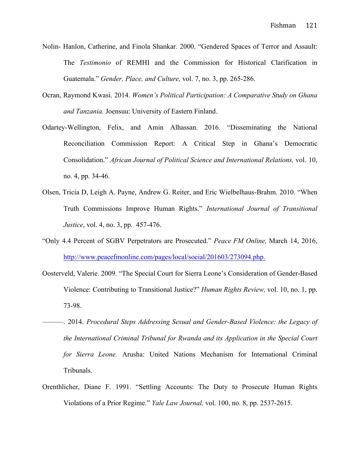- Nolin- Hanlon, Catherine, and Finola Shankar. 2000. "Gendered Spaces of Terror and Assault: The *Testimonio* of REMHI and the Commission for Historical Clarification in Guatemala." *Gender, Place, and Culture,* vol. 7, no. 3, pp. 265-286.
- Ocran, Raymond Kwasi. 2014. *Women's Political Participation: A Comparative Study on Ghana and Tanzania.* Joensuu: University of Eastern Finland.
- Odartey-Wellington, Felix, and Amin Alhassan. 2016. "Disseminating the National Reconciliation Commission Report: A Critical Step in Ghana's Democratic Consolidation." *African Journal of Political Science and International Relations,* vol. 10, no. 4, pp. 34-46.
- Olsen, Tricia D, Leigh A. Payne, Andrew G. Reiter, and Eric Wielbelhaus-Brahm. 2010. "When Truth Commissions Improve Human Rights." *International Journal of Transitional Justice*, vol. 4, no. 3, pp. 457-476.
- "Only 4.4 Percent of SGBV Perpetrators are Prosecuted." *Peace FM Online,* March 14, 2016, http://www.peacefmonline.com/pages/local/social/201603/273094.php.
- Oosterveld, Valerie. 2009. "The Special Court for Sierra Leone's Consideration of Gender-Based Violence: Contributing to Transitional Justice?" *Human Rights Review,* vol. 10, no. 1, pp. 73-98.
- ———. 2014. *Procedural Steps Addressing Sexual and Gender-Based Violence: the Legacy of the International Criminal Tribunal for Rwanda and its Application in the Special Court for Sierra Leone.* Arusha: United Nations Mechanism for International Criminal Tribunals.
- Orenthlicher, Diane F. 1991. "Settling Accounts: The Duty to Prosecute Human Rights Violations of a Prior Regime." *Yale Law Journal,* vol. 100, no. 8, pp. 2537-2615.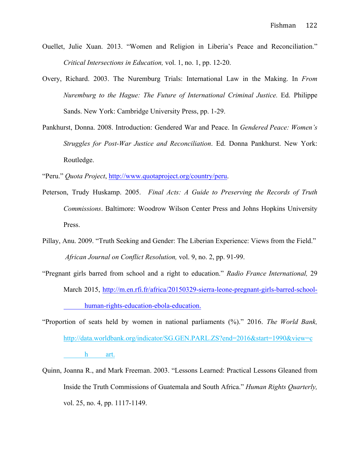- Ouellet, Julie Xuan. 2013. "Women and Religion in Liberia's Peace and Reconciliation." *Critical Intersections in Education,* vol. 1, no. 1, pp. 12-20.
- Overy, Richard. 2003. The Nuremburg Trials: International Law in the Making. In *From Nuremburg to the Hague: The Future of International Criminal Justice.* Ed. Philippe Sands. New York: Cambridge University Press, pp. 1-29.
- Pankhurst, Donna. 2008. Introduction: Gendered War and Peace. In *Gendered Peace: Women's Struggles for Post-War Justice and Reconciliation*. Ed. Donna Pankhurst. New York: Routledge.

"Peru." *Quota Project*, http://www.quotaproject.org/country/peru.

- Peterson, Trudy Huskamp. 2005. *Final Acts: A Guide to Preserving the Records of Truth Commissions*. Baltimore: Woodrow Wilson Center Press and Johns Hopkins University Press.
- Pillay, Anu. 2009. "Truth Seeking and Gender: The Liberian Experience: Views from the Field." *African Journal on Conflict Resolution,* vol. 9, no. 2, pp. 91-99.
- "Pregnant girls barred from school and a right to education." *Radio France International,* 29 March 2015, http://m.en.rfi.fr/africa/20150329-sierra-leone-pregnant-girls-barred-schoolhuman-rights-education-ebola-education.
- "Proportion of seats held by women in national parliaments (%)." 2016. *The World Bank,*  http://data.worldbank.org/indicator/SG.GEN.PARL.ZS?end=2016&start=1990&view=c h art.
- Quinn, Joanna R., and Mark Freeman. 2003. "Lessons Learned: Practical Lessons Gleaned from Inside the Truth Commissions of Guatemala and South Africa." *Human Rights Quarterly,*  vol. 25, no. 4, pp. 1117-1149.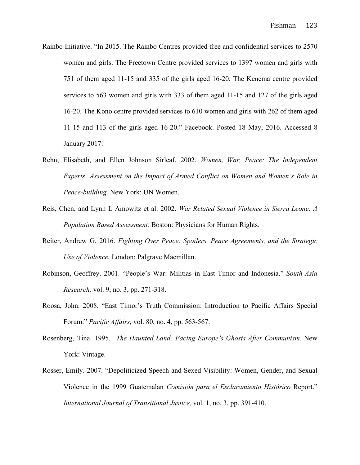- Rainbo Initiative. "In 2015. The Rainbo Centres provided free and confidential services to 2570 women and girls. The Freetown Centre provided services to 1397 women and girls with 751 of them aged 11-15 and 335 of the girls aged 16-20. The Kenema centre provided services to 563 women and girls with 333 of them aged 11-15 and 127 of the girls aged 16-20. The Kono centre provided services to 610 women and girls with 262 of them aged 11-15 and 113 of the girls aged 16-20." Facebook. Posted 18 May, 2016. Accessed 8 January 2017.
- Rehn, Elisabeth, and Ellen Johnson Sirleaf. 2002. *Women, War, Peace: The Independent Experts' Assessment on the Impact of Armed Conflict on Women and Women's Role in Peace-building.* New York: UN Women.
- Reis, Chen, and Lynn L Amowitz et al. 2002. *War Related Sexual Violence in Sierra Leone: A Population Based Assessment.* Boston: Physicians for Human Rights.
- Reiter, Andrew G. 2016. *Fighting Over Peace: Spoilers, Peace Agreements, and the Strategic Use of Violence.* London: Palgrave Macmillan.
- Robinson, Geoffrey. 2001. "People's War: Militias in East Timor and Indonesia." *South Asia Research,* vol. 9, no. 3, pp. 271-318.
- Roosa, John. 2008. "East Timor's Truth Commission: Introduction to Pacific Affairs Special Forum." *Pacific Affairs,* vol. 80, no. 4, pp. 563-567.
- Rosenberg, Tina. 1995. *The Haunted Land: Facing Europe's Ghosts After Communism.* New York: Vintage.
- Rosser, Emily. 2007. "Depoliticized Speech and Sexed Visibility: Women, Gender, and Sexual Violence in the 1999 Guatemalan *Comisión para el Esclaramiento Histórico* Report." *International Journal of Transitional Justice,* vol. 1, no. 3, pp. 391-410.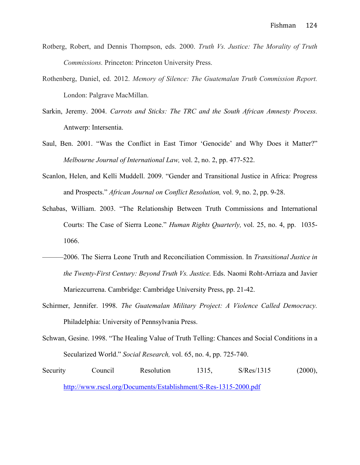- Rotberg, Robert, and Dennis Thompson, eds. 2000. *Truth Vs. Justice: The Morality of Truth Commissions.* Princeton: Princeton University Press.
- Rothenberg, Daniel, ed. 2012. *Memory of Silence: The Guatemalan Truth Commission Report.*  London: Palgrave MacMillan.
- Sarkin, Jeremy. 2004. *Carrots and Sticks: The TRC and the South African Amnesty Process.*  Antwerp: Intersentia.
- Saul, Ben. 2001. "Was the Conflict in East Timor 'Genocide' and Why Does it Matter?" *Melbourne Journal of International Law,* vol. 2, no. 2, pp. 477-522.
- Scanlon, Helen, and Kelli Muddell. 2009. "Gender and Transitional Justice in Africa: Progress and Prospects." *African Journal on Conflict Resolution,* vol. 9, no. 2, pp. 9-28.
- Schabas, William. 2003. "The Relationship Between Truth Commissions and International Courts: The Case of Sierra Leone." *Human Rights Quarterly,* vol. 25, no. 4, pp. 1035- 1066.
- ———2006. The Sierra Leone Truth and Reconciliation Commission. In *Transitional Justice in the Twenty-First Century: Beyond Truth Vs. Justice.* Eds. Naomi Roht-Arriaza and Javier Mariezcurrena. Cambridge: Cambridge University Press, pp. 21-42.
- Schirmer, Jennifer. 1998. *The Guatemalan Military Project: A Violence Called Democracy.*  Philadelphia: University of Pennsylvania Press.
- Schwan, Gesine. 1998. "The Healing Value of Truth Telling: Chances and Social Conditions in a Secularized World." *Social Research,* vol. 65, no. 4, pp. 725-740.
- Security Council Resolution 1315, S/Res/1315 (2000), http://www.rscsl.org/Documents/Establishment/S-Res-1315-2000.pdf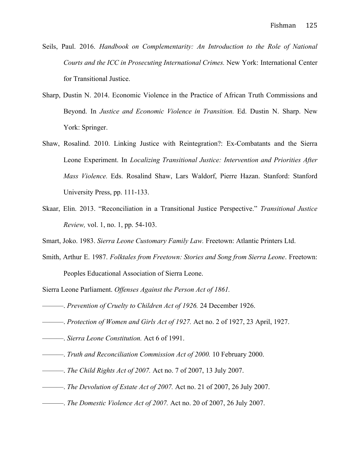- Seils, Paul. 2016. *Handbook on Complementarity: An Introduction to the Role of National Courts and the ICC in Prosecuting International Crimes.* New York: International Center for Transitional Justice.
- Sharp, Dustin N. 2014. Economic Violence in the Practice of African Truth Commissions and Beyond. In *Justice and Economic Violence in Transition.* Ed. Dustin N. Sharp. New York: Springer.
- Shaw, Rosalind. 2010. Linking Justice with Reintegration?: Ex-Combatants and the Sierra Leone Experiment. In *Localizing Transitional Justice: Intervention and Priorities After Mass Violence.* Eds. Rosalind Shaw, Lars Waldorf, Pierre Hazan. Stanford: Stanford University Press, pp. 111-133.
- Skaar, Elin. 2013. "Reconciliation in a Transitional Justice Perspective." *Transitional Justice Review,* vol. 1, no. 1, pp. 54-103.
- Smart, Joko. 1983. *Sierra Leone Customary Family Law.* Freetown: Atlantic Printers Ltd.
- Smith, Arthur E. 1987. *Folktales from Freetown: Stories and Song from Sierra Leone*. Freetown: Peoples Educational Association of Sierra Leone.
- Sierra Leone Parliament. *Offenses Against the Person Act of 1861.*
- ———. *Prevention of Cruelty to Children Act of 1926.* 24 December 1926.
- ———. *Protection of Women and Girls Act of 1927.* Act no. 2 of 1927, 23 April, 1927.
- ———. *Sierra Leone Constitution.* Act 6 of 1991.
- ———. *Truth and Reconciliation Commission Act of 2000.* 10 February 2000.
- ———. *The Child Rights Act of 2007.* Act no. 7 of 2007, 13 July 2007.
- ———. *The Devolution of Estate Act of 2007.* Act no. 21 of 2007, 26 July 2007.
- ———. *The Domestic Violence Act of 2007.* Act no. 20 of 2007, 26 July 2007.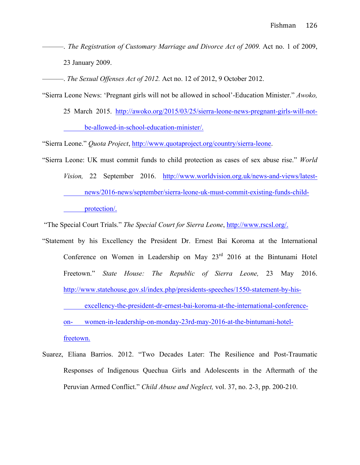———. *The Registration of Customary Marriage and Divorce Act of 2009.* Act no. 1 of 2009, 23 January 2009.

———. *The Sexual Offenses Act of 2012.* Act no. 12 of 2012, 9 October 2012.

"Sierra Leone News: 'Pregnant girls will not be allowed in school'-Education Minister." *Awoko,* 

25 March 2015. http://awoko.org/2015/03/25/sierra-leone-news-pregnant-girls-will-notbe-allowed-in-school-education-minister/.

"Sierra Leone." *Quota Project*, http://www.quotaproject.org/country/sierra-leone.

"Sierra Leone: UK must commit funds to child protection as cases of sex abuse rise." *World Vision,* 22 September 2016. http://www.worldvision.org.uk/news-and-views/latestnews/2016-news/september/sierra-leone-uk-must-commit-existing-funds-childprotection/.

"The Special Court Trials." *The Special Court for Sierra Leone*, http://www.rscsl.org/.

"Statement by his Excellency the President Dr. Ernest Bai Koroma at the International Conference on Women in Leadership on May 23<sup>rd</sup> 2016 at the Bintunami Hotel Freetown." *State House: The Republic of Sierra Leone,* 23 May 2016. http://www.statehouse.gov.sl/index.php/presidents-speeches/1550-statement-by-hisexcellency-the-president-dr-ernest-bai-koroma-at-the-international-conferenceon- women-in-leadership-on-monday-23rd-may-2016-at-the-bintumani-hotelfreetown.

Suarez, Eliana Barrios. 2012. "Two Decades Later: The Resilience and Post-Traumatic Responses of Indigenous Quechua Girls and Adolescents in the Aftermath of the Peruvian Armed Conflict." *Child Abuse and Neglect,* vol. 37, no. 2-3, pp. 200-210.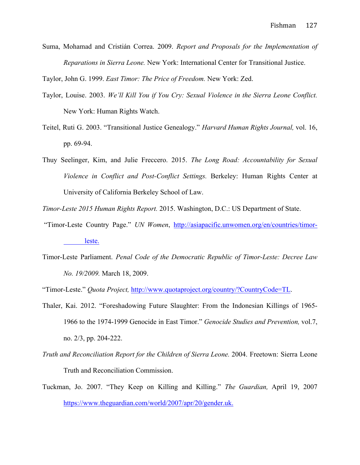Suma, Mohamad and Cristián Correa. 2009. *Report and Proposals for the Implementation of Reparations in Sierra Leone.* New York: International Center for Transitional Justice.

Taylor, John G. 1999. *East Timor: The Price of Freedom.* New York: Zed.

- Taylor, Louise. 2003. *We'll Kill You if You Cry: Sexual Violence in the Sierra Leone Conflict.*  New York: Human Rights Watch.
- Teitel, Ruti G. 2003. "Transitional Justice Genealogy." *Harvard Human Rights Journal,* vol. 16, pp. 69-94.
- Thuy Seelinger, Kim, and Julie Freccero. 2015. *The Long Road: Accountability for Sexual Violence in Conflict and Post-Conflict Settings.* Berkeley: Human Rights Center at University of California Berkeley School of Law.

*Timor-Leste 2015 Human Rights Report.* 2015. Washington, D.C.: US Department of State.

- "Timor-Leste Country Page." *UN Women*, http://asiapacific.unwomen.org/en/countries/timorleste.
- Timor-Leste Parliament. *Penal Code of the Democratic Republic of Timor-Leste: Decree Law No. 19/2009.* March 18, 2009.

"Timor-Leste." *Quota Project,* http://www.quotaproject.org/country/?CountryCode=TL.

- Thaler, Kai. 2012. "Foreshadowing Future Slaughter: From the Indonesian Killings of 1965- 1966 to the 1974-1999 Genocide in East Timor." *Genocide Studies and Prevention,* vol.7, no. 2/3, pp. 204-222.
- *Truth and Reconciliation Report for the Children of Sierra Leone.* 2004. Freetown: Sierra Leone Truth and Reconciliation Commission.
- Tuckman, Jo. 2007. "They Keep on Killing and Killing." *The Guardian,* April 19, 2007 https://www.theguardian.com/world/2007/apr/20/gender.uk.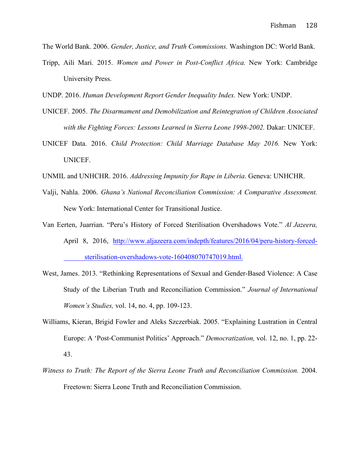The World Bank. 2006. *Gender, Justice, and Truth Commissions.* Washington DC: World Bank.

- Tripp, Aili Mari. 2015. *Women and Power in Post-Conflict Africa.* New York: Cambridge University Press.
- UNDP. 2016. *Human Development Report Gender Inequality Index.* New York: UNDP.
- UNICEF. 2005. *The Disarmament and Demobilization and Reintegration of Children Associated*  with the Fighting Forces: Lessons Learned in Sierra Leone 1998-2002. Dakar: UNICEF.
- UNICEF Data. 2016. *Child Protection: Child Marriage Database May 2016.* New York: UNICEF.
- UNMIL and UNHCHR. 2016. *Addressing Impunity for Rape in Liberia*. Geneva: UNHCHR.
- Valji, Nahla. 2006. *Ghana's National Reconciliation Commission: A Comparative Assessment.*  New York: International Center for Transitional Justice.
- Van Eerten, Juarrian. "Peru's History of Forced Sterilisation Overshadows Vote." *Al Jazeera,*  April 8, 2016, http://www.aljazeera.com/indepth/features/2016/04/peru-history-forcedsterilisation-overshadows-vote-160408070747019.html.
- West, James. 2013. "Rethinking Representations of Sexual and Gender-Based Violence: A Case Study of the Liberian Truth and Reconciliation Commission." *Journal of International Women's Studies,* vol. 14, no. 4, pp. 109-123.
- Williams, Kieran, Brigid Fowler and Aleks Szczerbiak. 2005. "Explaining Lustration in Central Europe: A 'Post-Communist Politics' Approach." *Democratization,* vol. 12, no. 1, pp. 22- 43.
- *Witness to Truth: The Report of the Sierra Leone Truth and Reconciliation Commission.* 2004. Freetown: Sierra Leone Truth and Reconciliation Commission.